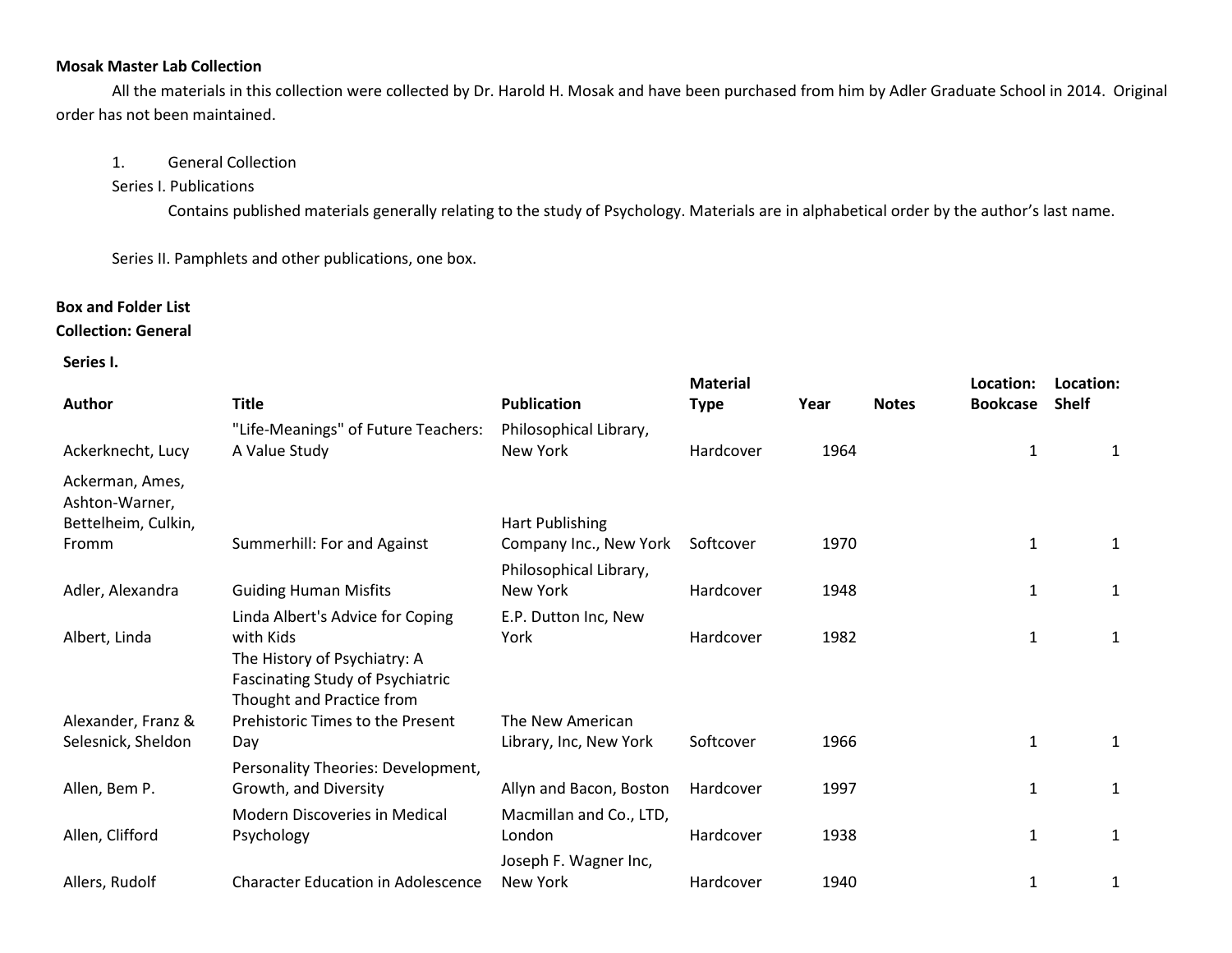### **Mosak Master Lab Collection**

All the materials in this collection were collected by Dr. Harold H. Mosak and have been purchased from him by Adler Graduate School in 2014. Original order has not been maintained.

### 1. General Collection

### Series I. Publications

Contains published materials generally relating to the study of Psychology. Materials are in alphabetical order by the author's last name.

Series II. Pamphlets and other publications, one box.

# **Box and Folder List**

## **Collection: General**

### **Series I.**

|                                   |                                                                      |                         | <b>Material</b> |      |              | Location:       | Location:    |
|-----------------------------------|----------------------------------------------------------------------|-------------------------|-----------------|------|--------------|-----------------|--------------|
| Author                            | <b>Title</b>                                                         | <b>Publication</b>      | <b>Type</b>     | Year | <b>Notes</b> | <b>Bookcase</b> | <b>Shelf</b> |
|                                   | "Life-Meanings" of Future Teachers:                                  | Philosophical Library,  |                 |      |              |                 |              |
| Ackerknecht, Lucy                 | A Value Study                                                        | New York                | Hardcover       | 1964 |              | 1               | 1            |
| Ackerman, Ames,<br>Ashton-Warner, |                                                                      |                         |                 |      |              |                 |              |
| Bettelheim, Culkin,               |                                                                      | <b>Hart Publishing</b>  |                 |      |              |                 |              |
| Fromm                             | Summerhill: For and Against                                          | Company Inc., New York  | Softcover       | 1970 |              | 1               | 1            |
|                                   |                                                                      | Philosophical Library,  |                 |      |              |                 |              |
| Adler, Alexandra                  | <b>Guiding Human Misfits</b>                                         | New York                | Hardcover       | 1948 |              | 1               | 1            |
|                                   | Linda Albert's Advice for Coping                                     | E.P. Dutton Inc, New    |                 |      |              |                 |              |
| Albert, Linda                     | with Kids                                                            | York                    | Hardcover       | 1982 |              | 1               | $\mathbf{1}$ |
|                                   | The History of Psychiatry: A                                         |                         |                 |      |              |                 |              |
|                                   | <b>Fascinating Study of Psychiatric</b><br>Thought and Practice from |                         |                 |      |              |                 |              |
| Alexander, Franz &                | Prehistoric Times to the Present                                     | The New American        |                 |      |              |                 |              |
| Selesnick, Sheldon                | Day                                                                  | Library, Inc, New York  | Softcover       | 1966 |              | 1               | 1            |
|                                   | Personality Theories: Development,                                   |                         |                 |      |              |                 |              |
| Allen, Bem P.                     | Growth, and Diversity                                                | Allyn and Bacon, Boston | Hardcover       | 1997 |              | 1               | 1            |
|                                   | Modern Discoveries in Medical                                        | Macmillan and Co., LTD, |                 |      |              |                 |              |
| Allen, Clifford                   | Psychology                                                           | London                  | Hardcover       | 1938 |              | $\mathbf{1}$    | $\mathbf{1}$ |
|                                   |                                                                      | Joseph F. Wagner Inc,   |                 |      |              |                 |              |
| Allers, Rudolf                    | <b>Character Education in Adolescence</b>                            | New York                | Hardcover       | 1940 |              | 1               | 1            |
|                                   |                                                                      |                         |                 |      |              |                 |              |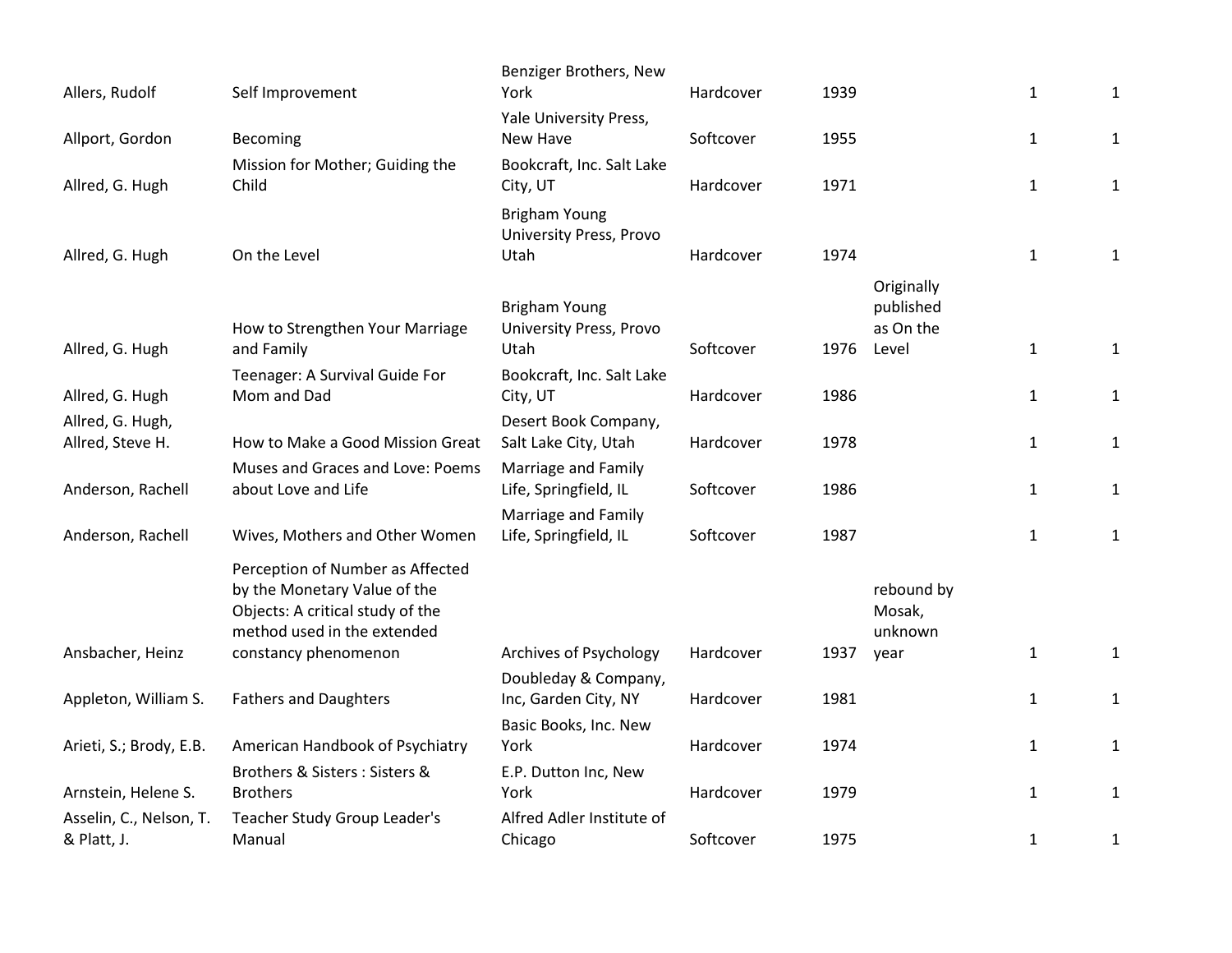| Allers, Rudolf                         | Self Improvement                                                                                                                    | Benziger Brothers, New<br>York                  | Hardcover | 1939 |                                      | $\mathbf{1}$ | $\mathbf{1}$ |
|----------------------------------------|-------------------------------------------------------------------------------------------------------------------------------------|-------------------------------------------------|-----------|------|--------------------------------------|--------------|--------------|
|                                        |                                                                                                                                     | Yale University Press,                          |           |      |                                      |              |              |
| Allport, Gordon                        | Becoming                                                                                                                            | New Have                                        | Softcover | 1955 |                                      | $\mathbf{1}$ | $\mathbf{1}$ |
| Allred, G. Hugh                        | Mission for Mother; Guiding the<br>Child                                                                                            | Bookcraft, Inc. Salt Lake<br>City, UT           | Hardcover | 1971 |                                      | $\mathbf{1}$ | $\mathbf{1}$ |
|                                        |                                                                                                                                     | <b>Brigham Young</b><br>University Press, Provo |           |      |                                      |              |              |
| Allred, G. Hugh                        | On the Level                                                                                                                        | Utah                                            | Hardcover | 1974 |                                      | $\mathbf{1}$ | $\mathbf{1}$ |
|                                        | How to Strengthen Your Marriage                                                                                                     | <b>Brigham Young</b><br>University Press, Provo |           |      | Originally<br>published<br>as On the |              |              |
| Allred, G. Hugh                        | and Family                                                                                                                          | Utah                                            | Softcover | 1976 | Level                                | $\mathbf{1}$ | $\mathbf{1}$ |
| Allred, G. Hugh                        | Teenager: A Survival Guide For<br>Mom and Dad                                                                                       | Bookcraft, Inc. Salt Lake<br>City, UT           | Hardcover | 1986 |                                      | $\mathbf{1}$ | $\mathbf{1}$ |
| Allred, G. Hugh,                       |                                                                                                                                     | Desert Book Company,                            | Hardcover | 1978 |                                      |              |              |
| Allred, Steve H.                       | How to Make a Good Mission Great                                                                                                    | Salt Lake City, Utah                            |           |      |                                      | $\mathbf{1}$ | $\mathbf{1}$ |
| Anderson, Rachell                      | Muses and Graces and Love: Poems<br>about Love and Life                                                                             | Marriage and Family<br>Life, Springfield, IL    | Softcover | 1986 |                                      | $\mathbf{1}$ | $\mathbf{1}$ |
|                                        |                                                                                                                                     | Marriage and Family                             |           |      |                                      |              |              |
| Anderson, Rachell                      | Wives, Mothers and Other Women                                                                                                      | Life, Springfield, IL                           | Softcover | 1987 |                                      | $\mathbf{1}$ | $\mathbf{1}$ |
|                                        | Perception of Number as Affected<br>by the Monetary Value of the<br>Objects: A critical study of the<br>method used in the extended |                                                 |           |      | rebound by<br>Mosak,<br>unknown      |              |              |
| Ansbacher, Heinz                       | constancy phenomenon                                                                                                                | Archives of Psychology                          | Hardcover | 1937 | year                                 | $\mathbf{1}$ | $\mathbf{1}$ |
| Appleton, William S.                   | <b>Fathers and Daughters</b>                                                                                                        | Doubleday & Company,<br>Inc, Garden City, NY    | Hardcover | 1981 |                                      | $\mathbf{1}$ | $\mathbf{1}$ |
| Arieti, S.; Brody, E.B.                | American Handbook of Psychiatry                                                                                                     | Basic Books, Inc. New<br>York                   | Hardcover | 1974 |                                      | $\mathbf{1}$ | $\mathbf{1}$ |
| Arnstein, Helene S.                    | Brothers & Sisters: Sisters &<br><b>Brothers</b>                                                                                    | E.P. Dutton Inc, New<br>York                    | Hardcover | 1979 |                                      | $\mathbf{1}$ | 1            |
| Asselin, C., Nelson, T.<br>& Platt, J. | Teacher Study Group Leader's<br>Manual                                                                                              | Alfred Adler Institute of<br>Chicago            | Softcover | 1975 |                                      | $\mathbf{1}$ | $\mathbf{1}$ |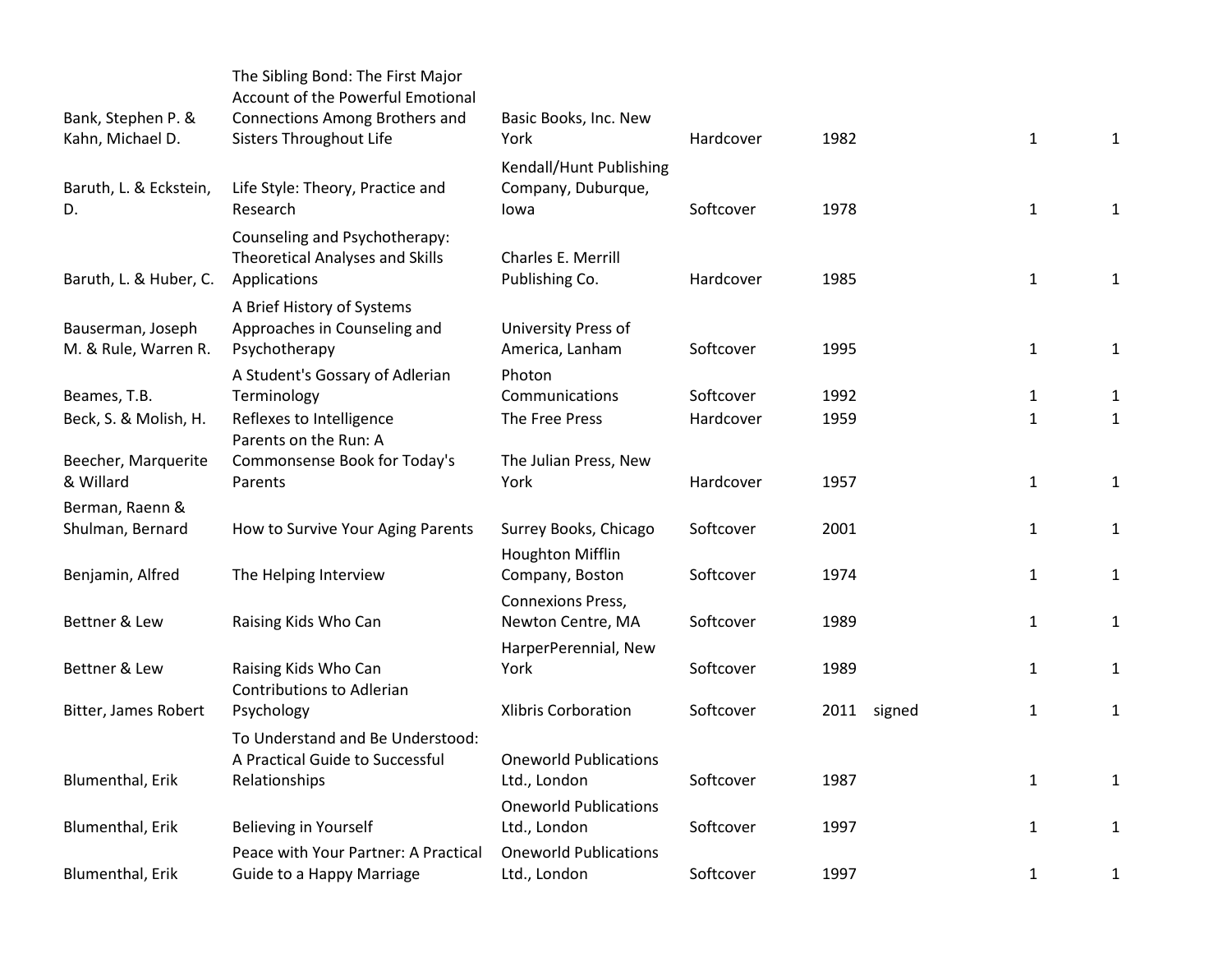| Bank, Stephen P. &<br>Kahn, Michael D.    | The Sibling Bond: The First Major<br>Account of the Powerful Emotional<br>Connections Among Brothers and<br>Sisters Throughout Life | Basic Books, Inc. New<br>York                         | Hardcover | 1982        | $\mathbf{1}$ | 1            |
|-------------------------------------------|-------------------------------------------------------------------------------------------------------------------------------------|-------------------------------------------------------|-----------|-------------|--------------|--------------|
| Baruth, L. & Eckstein,<br>D.              | Life Style: Theory, Practice and<br>Research                                                                                        | Kendall/Hunt Publishing<br>Company, Duburque,<br>lowa | Softcover | 1978        | $\mathbf{1}$ | 1            |
| Baruth, L. & Huber, C.                    | Counseling and Psychotherapy:<br>Theoretical Analyses and Skills<br>Applications                                                    | Charles E. Merrill<br>Publishing Co.                  | Hardcover | 1985        | $\mathbf{1}$ | 1            |
| Bauserman, Joseph<br>M. & Rule, Warren R. | A Brief History of Systems<br>Approaches in Counseling and<br>Psychotherapy                                                         | University Press of<br>America, Lanham                | Softcover | 1995        | $\mathbf{1}$ | $\mathbf{1}$ |
| Beames, T.B.                              | A Student's Gossary of Adlerian<br>Terminology                                                                                      | Photon<br>Communications                              | Softcover | 1992        | $\mathbf{1}$ | $\mathbf{1}$ |
| Beck, S. & Molish, H.                     | Reflexes to Intelligence<br>Parents on the Run: A                                                                                   | The Free Press                                        | Hardcover | 1959        | $\mathbf{1}$ | $\mathbf{1}$ |
| Beecher, Marquerite<br>& Willard          | Commonsense Book for Today's<br>Parents                                                                                             | The Julian Press, New<br>York                         | Hardcover | 1957        | $\mathbf{1}$ | $\mathbf{1}$ |
| Berman, Raenn &<br>Shulman, Bernard       |                                                                                                                                     | Surrey Books, Chicago                                 | Softcover | 2001        | $\mathbf{1}$ |              |
|                                           | How to Survive Your Aging Parents                                                                                                   | <b>Houghton Mifflin</b>                               |           |             |              | $\mathbf{1}$ |
| Benjamin, Alfred                          | The Helping Interview                                                                                                               | Company, Boston                                       | Softcover | 1974        | $\mathbf{1}$ | $\mathbf{1}$ |
| Bettner & Lew                             | Raising Kids Who Can                                                                                                                | <b>Connexions Press,</b><br>Newton Centre, MA         | Softcover | 1989        | $\mathbf{1}$ | $\mathbf{1}$ |
| Bettner & Lew                             | Raising Kids Who Can<br><b>Contributions to Adlerian</b>                                                                            | HarperPerennial, New<br>York                          | Softcover | 1989        | $\mathbf{1}$ | 1            |
| Bitter, James Robert                      | Psychology                                                                                                                          | <b>Xlibris Corboration</b>                            | Softcover | 2011 signed | $\mathbf{1}$ | $\mathbf{1}$ |
| Blumenthal, Erik                          | To Understand and Be Understood:<br>A Practical Guide to Successful<br>Relationships                                                | <b>Oneworld Publications</b><br>Ltd., London          | Softcover | 1987        | $\mathbf{1}$ | $\mathbf{1}$ |
| <b>Blumenthal, Erik</b>                   | Believing in Yourself                                                                                                               | <b>Oneworld Publications</b><br>Ltd., London          | Softcover | 1997        | $\mathbf{1}$ | $\mathbf{1}$ |
| Blumenthal, Erik                          | Peace with Your Partner: A Practical<br>Guide to a Happy Marriage                                                                   | <b>Oneworld Publications</b><br>Ltd., London          | Softcover | 1997        | $\mathbf{1}$ | $\mathbf{1}$ |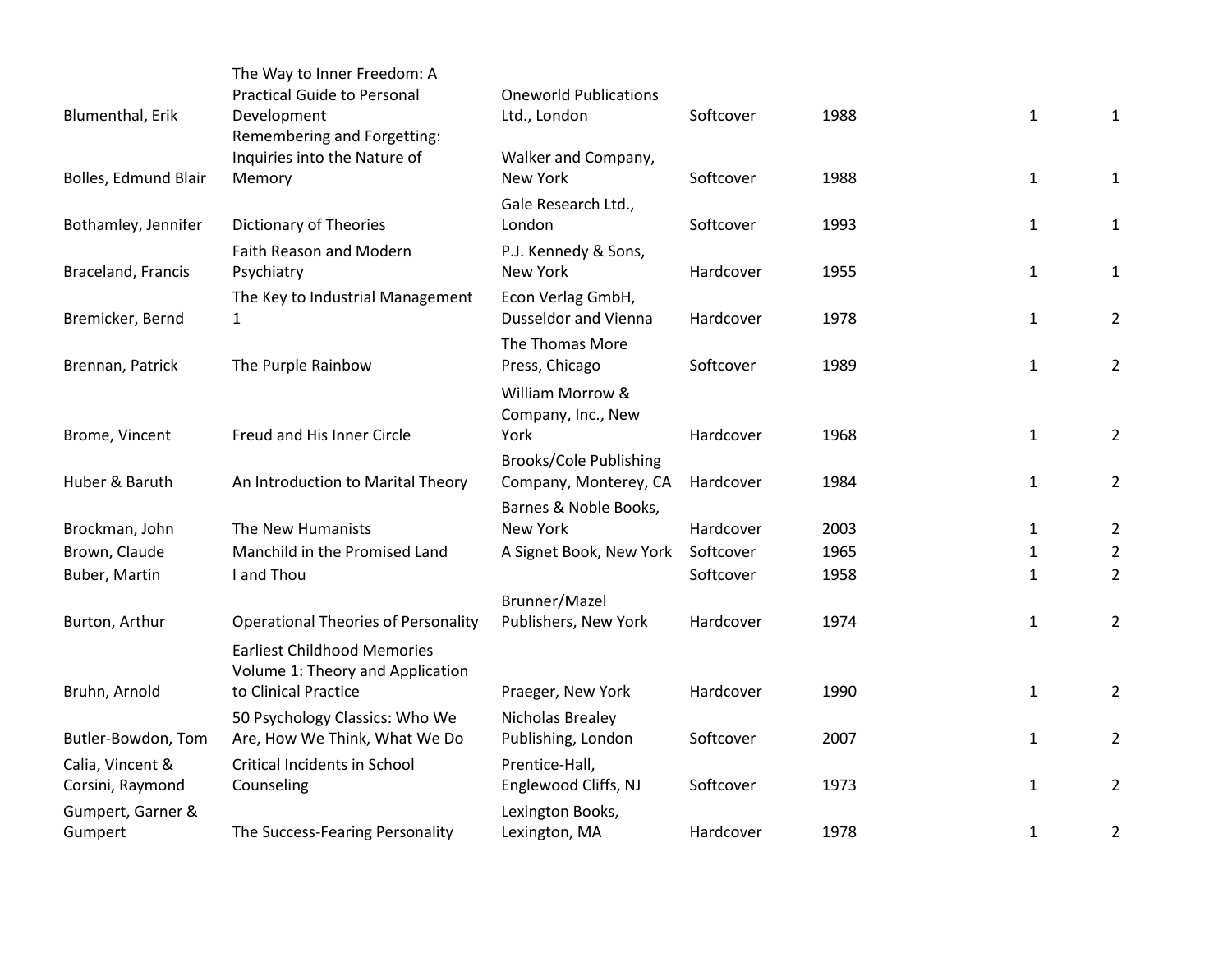|                      | The Way to Inner Freedom: A<br><b>Practical Guide to Personal</b>      | <b>Oneworld Publications</b>          |           |      |                   |                                  |
|----------------------|------------------------------------------------------------------------|---------------------------------------|-----------|------|-------------------|----------------------------------|
| Blumenthal, Erik     | Development                                                            | Ltd., London                          | Softcover | 1988 | $\mathbf 1$       | $\mathbf{1}$                     |
|                      | Remembering and Forgetting:                                            |                                       |           |      |                   |                                  |
|                      | Inquiries into the Nature of                                           | Walker and Company,                   |           |      |                   |                                  |
| Bolles, Edmund Blair | Memory                                                                 | New York                              | Softcover | 1988 | $\mathbf{1}$      | $\mathbf{1}$                     |
|                      |                                                                        | Gale Research Ltd.,                   |           |      |                   |                                  |
| Bothamley, Jennifer  | Dictionary of Theories                                                 | London                                | Softcover | 1993 | $\mathbf{1}$      | 1                                |
|                      | Faith Reason and Modern                                                | P.J. Kennedy & Sons,                  |           |      |                   |                                  |
| Braceland, Francis   | Psychiatry                                                             | New York                              | Hardcover | 1955 | $\mathbf{1}$      | $\mathbf{1}$                     |
|                      | The Key to Industrial Management                                       | Econ Verlag GmbH,                     |           |      |                   |                                  |
| Bremicker, Bernd     | $\mathbf{1}$                                                           | <b>Dusseldor and Vienna</b>           | Hardcover | 1978 | $\mathbf{1}$      | $\overline{2}$                   |
|                      |                                                                        | The Thomas More                       |           |      |                   |                                  |
| Brennan, Patrick     | The Purple Rainbow                                                     | Press, Chicago                        | Softcover | 1989 | $\mathbf{1}$      | $\overline{2}$                   |
|                      |                                                                        | William Morrow &                      |           |      |                   |                                  |
|                      |                                                                        | Company, Inc., New                    |           |      |                   |                                  |
| Brome, Vincent       | Freud and His Inner Circle                                             | York                                  | Hardcover | 1968 | $\mathbf 1$       | $\overline{2}$                   |
|                      |                                                                        | <b>Brooks/Cole Publishing</b>         |           |      |                   |                                  |
| Huber & Baruth       | An Introduction to Marital Theory                                      | Company, Monterey, CA                 | Hardcover | 1984 | $\mathbf{1}$      | $\overline{2}$                   |
| Brockman, John       | The New Humanists                                                      | Barnes & Noble Books,<br>New York     | Hardcover | 2003 |                   |                                  |
| Brown, Claude        | Manchild in the Promised Land                                          | A Signet Book, New York               | Softcover | 1965 | $\mathbf{1}$      | $\overline{2}$<br>$\overline{2}$ |
| Buber, Martin        | I and Thou                                                             |                                       | Softcover | 1958 | 1<br>$\mathbf{1}$ | $\overline{2}$                   |
|                      |                                                                        |                                       |           |      |                   |                                  |
| Burton, Arthur       | <b>Operational Theories of Personality</b>                             | Brunner/Mazel<br>Publishers, New York | Hardcover | 1974 | $\mathbf{1}$      | $\overline{2}$                   |
|                      |                                                                        |                                       |           |      |                   |                                  |
|                      | <b>Earliest Childhood Memories</b><br>Volume 1: Theory and Application |                                       |           |      |                   |                                  |
| Bruhn, Arnold        | to Clinical Practice                                                   | Praeger, New York                     | Hardcover | 1990 | $\mathbf{1}$      | $\overline{2}$                   |
|                      | 50 Psychology Classics: Who We                                         | Nicholas Brealey                      |           |      |                   |                                  |
| Butler-Bowdon, Tom   | Are, How We Think, What We Do                                          | Publishing, London                    | Softcover | 2007 | $\mathbf{1}$      | $\overline{2}$                   |
| Calia, Vincent &     | <b>Critical Incidents in School</b>                                    | Prentice-Hall,                        |           |      |                   |                                  |
| Corsini, Raymond     | Counseling                                                             | Englewood Cliffs, NJ                  | Softcover | 1973 | $\mathbf{1}$      | $\overline{2}$                   |
| Gumpert, Garner &    |                                                                        | Lexington Books,                      |           |      |                   |                                  |
| Gumpert              | The Success-Fearing Personality                                        | Lexington, MA                         | Hardcover | 1978 | $\mathbf{1}$      | $\overline{2}$                   |
|                      |                                                                        |                                       |           |      |                   |                                  |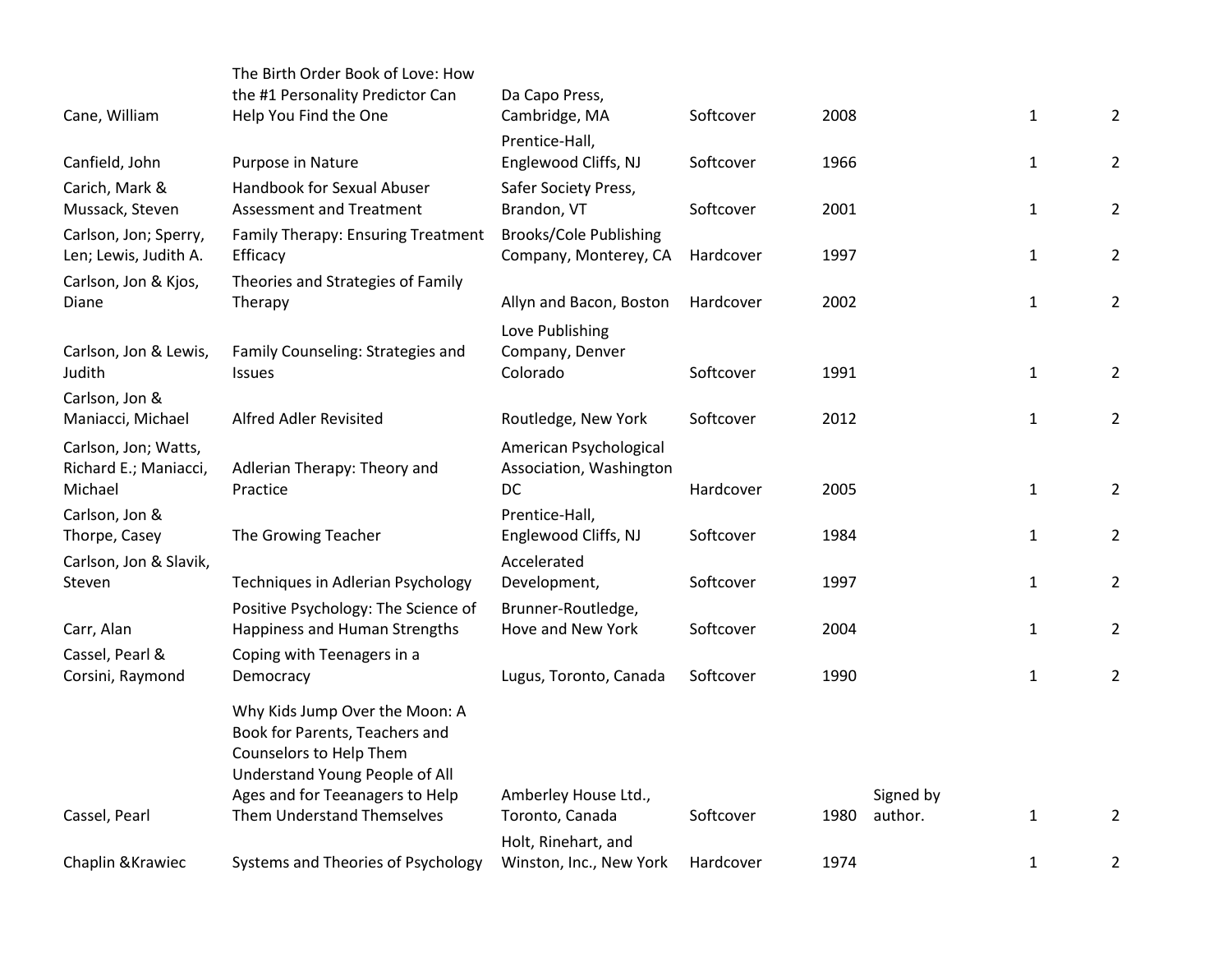|                                                | The Birth Order Book of Love: How                         |                                                 |           |      |           |              |                |
|------------------------------------------------|-----------------------------------------------------------|-------------------------------------------------|-----------|------|-----------|--------------|----------------|
| Cane, William                                  | the #1 Personality Predictor Can<br>Help You Find the One | Da Capo Press,<br>Cambridge, MA                 | Softcover | 2008 |           | $\mathbf{1}$ | $\overline{2}$ |
|                                                |                                                           | Prentice-Hall,                                  |           |      |           |              |                |
| Canfield, John                                 | Purpose in Nature                                         | Englewood Cliffs, NJ                            | Softcover | 1966 |           | $\mathbf{1}$ | $\overline{2}$ |
| Carich, Mark &                                 | Handbook for Sexual Abuser                                | Safer Society Press,                            |           |      |           |              |                |
| Mussack, Steven                                | <b>Assessment and Treatment</b>                           | Brandon, VT                                     | Softcover | 2001 |           | $\mathbf{1}$ | $\overline{2}$ |
| Carlson, Jon; Sperry,<br>Len; Lewis, Judith A. | Family Therapy: Ensuring Treatment<br>Efficacy            | Brooks/Cole Publishing<br>Company, Monterey, CA | Hardcover | 1997 |           | $\mathbf{1}$ | $\overline{2}$ |
| Carlson, Jon & Kjos,                           | Theories and Strategies of Family                         |                                                 |           |      |           |              |                |
| Diane                                          | Therapy                                                   | Allyn and Bacon, Boston                         | Hardcover | 2002 |           | $\mathbf{1}$ | $\overline{2}$ |
|                                                |                                                           | Love Publishing                                 |           |      |           |              |                |
| Carlson, Jon & Lewis,<br>Judith                | Family Counseling: Strategies and                         | Company, Denver<br>Colorado                     | Softcover | 1991 |           |              |                |
|                                                | <b>Issues</b>                                             |                                                 |           |      |           | $\mathbf{1}$ | $\overline{2}$ |
| Carlson, Jon &<br>Maniacci, Michael            | Alfred Adler Revisited                                    | Routledge, New York                             | Softcover | 2012 |           | $\mathbf{1}$ | $\overline{2}$ |
| Carlson, Jon; Watts,                           |                                                           | American Psychological                          |           |      |           |              |                |
| Richard E.; Maniacci,                          | Adlerian Therapy: Theory and                              | Association, Washington                         |           |      |           |              |                |
| Michael                                        | Practice                                                  | DC                                              | Hardcover | 2005 |           | $\mathbf{1}$ | $\overline{2}$ |
| Carlson, Jon &<br>Thorpe, Casey                | The Growing Teacher                                       | Prentice-Hall,<br>Englewood Cliffs, NJ          | Softcover | 1984 |           | $\mathbf{1}$ | $\overline{2}$ |
| Carlson, Jon & Slavik,                         |                                                           | Accelerated                                     |           |      |           |              |                |
| Steven                                         | Techniques in Adlerian Psychology                         | Development,                                    | Softcover | 1997 |           | $\mathbf{1}$ | $\overline{2}$ |
|                                                | Positive Psychology: The Science of                       | Brunner-Routledge,                              |           |      |           |              |                |
| Carr, Alan                                     | Happiness and Human Strengths                             | Hove and New York                               | Softcover | 2004 |           | $\mathbf{1}$ | $\overline{2}$ |
| Cassel, Pearl &                                | Coping with Teenagers in a                                |                                                 |           |      |           |              |                |
| Corsini, Raymond                               | Democracy                                                 | Lugus, Toronto, Canada                          | Softcover | 1990 |           | $\mathbf{1}$ | $\overline{2}$ |
|                                                | Why Kids Jump Over the Moon: A                            |                                                 |           |      |           |              |                |
|                                                | Book for Parents, Teachers and<br>Counselors to Help Them |                                                 |           |      |           |              |                |
|                                                | Understand Young People of All                            |                                                 |           |      |           |              |                |
|                                                | Ages and for Teeanagers to Help                           | Amberley House Ltd.,                            |           |      | Signed by |              |                |
| Cassel, Pearl                                  | Them Understand Themselves                                | Toronto, Canada                                 | Softcover | 1980 | author.   | $\mathbf{1}$ | $\overline{2}$ |
|                                                |                                                           | Holt, Rinehart, and                             |           |      |           |              |                |
| Chaplin & Krawiec                              | Systems and Theories of Psychology                        | Winston, Inc., New York                         | Hardcover | 1974 |           | $\mathbf{1}$ | 2              |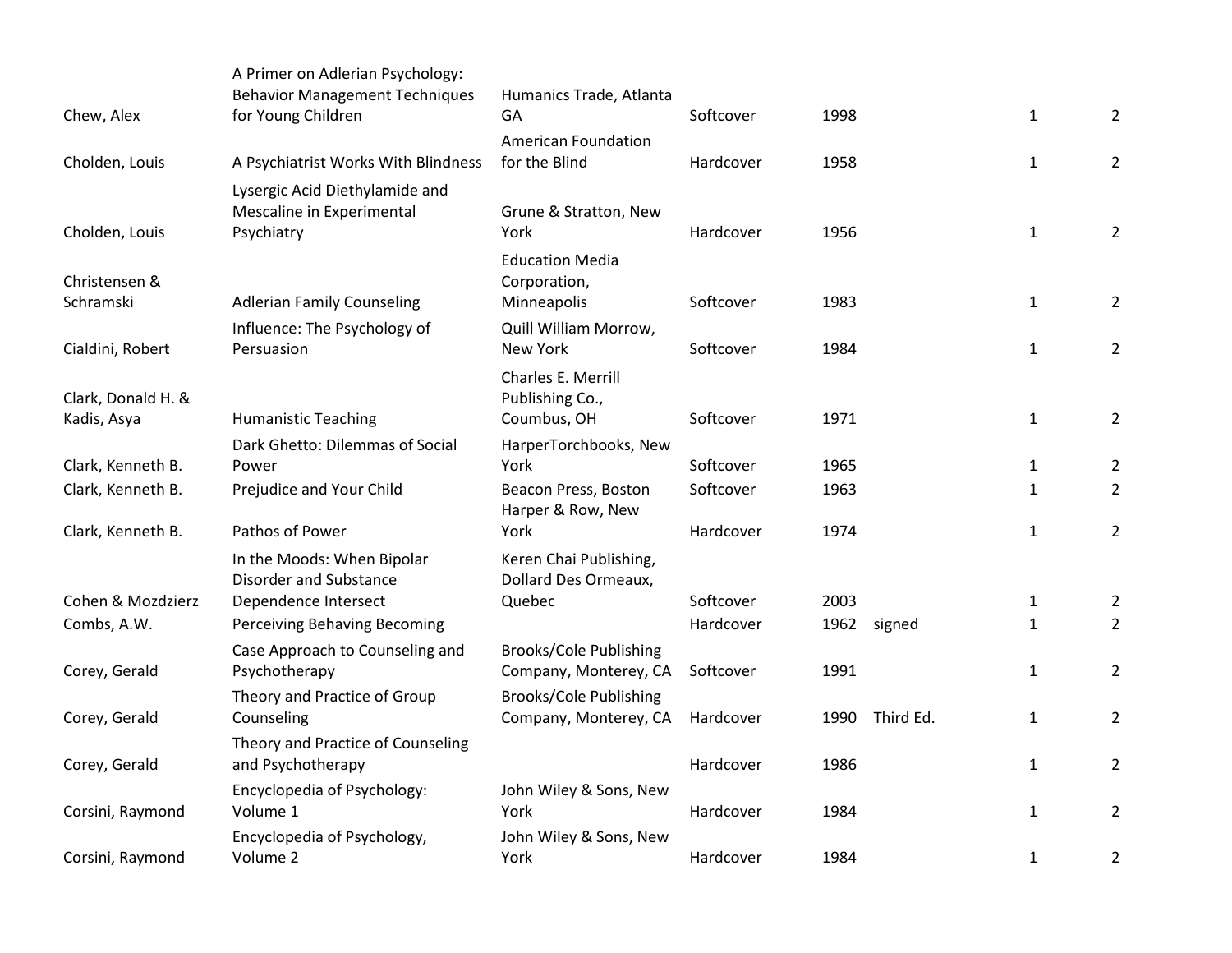| Chew, Alex                        | A Primer on Adlerian Psychology:<br><b>Behavior Management Techniques</b><br>for Young Children | Humanics Trade, Atlanta<br>GA                          | Softcover | 1998              | $\mathbf{1}$ | $\overline{2}$ |
|-----------------------------------|-------------------------------------------------------------------------------------------------|--------------------------------------------------------|-----------|-------------------|--------------|----------------|
| Cholden, Louis                    | A Psychiatrist Works With Blindness                                                             | <b>American Foundation</b><br>for the Blind            | Hardcover | 1958              | $\mathbf{1}$ | $\overline{2}$ |
| Cholden, Louis                    | Lysergic Acid Diethylamide and<br>Mescaline in Experimental<br>Psychiatry                       | Grune & Stratton, New<br>York                          | Hardcover | 1956              | $\mathbf{1}$ | $\overline{2}$ |
| Christensen &<br>Schramski        |                                                                                                 | <b>Education Media</b><br>Corporation,                 | Softcover | 1983              | $\mathbf{1}$ | $\overline{2}$ |
|                                   | <b>Adlerian Family Counseling</b><br>Influence: The Psychology of                               | Minneapolis<br>Quill William Morrow,                   |           |                   |              |                |
| Cialdini, Robert                  | Persuasion                                                                                      | New York                                               | Softcover | 1984              | $\mathbf{1}$ | $\overline{2}$ |
| Clark, Donald H. &<br>Kadis, Asya | <b>Humanistic Teaching</b>                                                                      | Charles E. Merrill<br>Publishing Co.,<br>Coumbus, OH   | Softcover | 1971              | $\mathbf{1}$ | $\overline{2}$ |
|                                   | Dark Ghetto: Dilemmas of Social                                                                 | HarperTorchbooks, New                                  |           |                   |              |                |
| Clark, Kenneth B.                 | Power                                                                                           | York                                                   | Softcover | 1965              | $\mathbf{1}$ | $\overline{2}$ |
| Clark, Kenneth B.                 | Prejudice and Your Child                                                                        | Beacon Press, Boston<br>Harper & Row, New              | Softcover | 1963              | $\mathbf{1}$ | $\overline{2}$ |
| Clark, Kenneth B.                 | Pathos of Power                                                                                 | York                                                   | Hardcover | 1974              | $\mathbf{1}$ | $\overline{2}$ |
|                                   | In the Moods: When Bipolar<br><b>Disorder and Substance</b>                                     | Keren Chai Publishing,<br>Dollard Des Ormeaux,         |           |                   |              |                |
| Cohen & Mozdzierz                 | Dependence Intersect                                                                            | Quebec                                                 | Softcover | 2003              | $\mathbf{1}$ | $\overline{2}$ |
| Combs, A.W.                       | Perceiving Behaving Becoming                                                                    |                                                        | Hardcover | 1962<br>signed    | $\mathbf{1}$ | $\overline{2}$ |
| Corey, Gerald                     | Case Approach to Counseling and<br>Psychotherapy                                                | <b>Brooks/Cole Publishing</b><br>Company, Monterey, CA | Softcover | 1991              | $\mathbf{1}$ | $\overline{2}$ |
| Corey, Gerald                     | Theory and Practice of Group<br>Counseling                                                      | <b>Brooks/Cole Publishing</b><br>Company, Monterey, CA | Hardcover | Third Ed.<br>1990 | $\mathbf{1}$ | $\overline{2}$ |
| Corey, Gerald                     | Theory and Practice of Counseling<br>and Psychotherapy                                          |                                                        | Hardcover | 1986              | 1            | $\overline{2}$ |
| Corsini, Raymond                  | Encyclopedia of Psychology:<br>Volume 1                                                         | John Wiley & Sons, New<br>York                         | Hardcover | 1984              | $\mathbf{1}$ | $\overline{2}$ |
| Corsini, Raymond                  | Encyclopedia of Psychology,<br>Volume 2                                                         | John Wiley & Sons, New<br>York                         | Hardcover | 1984              | $\mathbf{1}$ | $\overline{2}$ |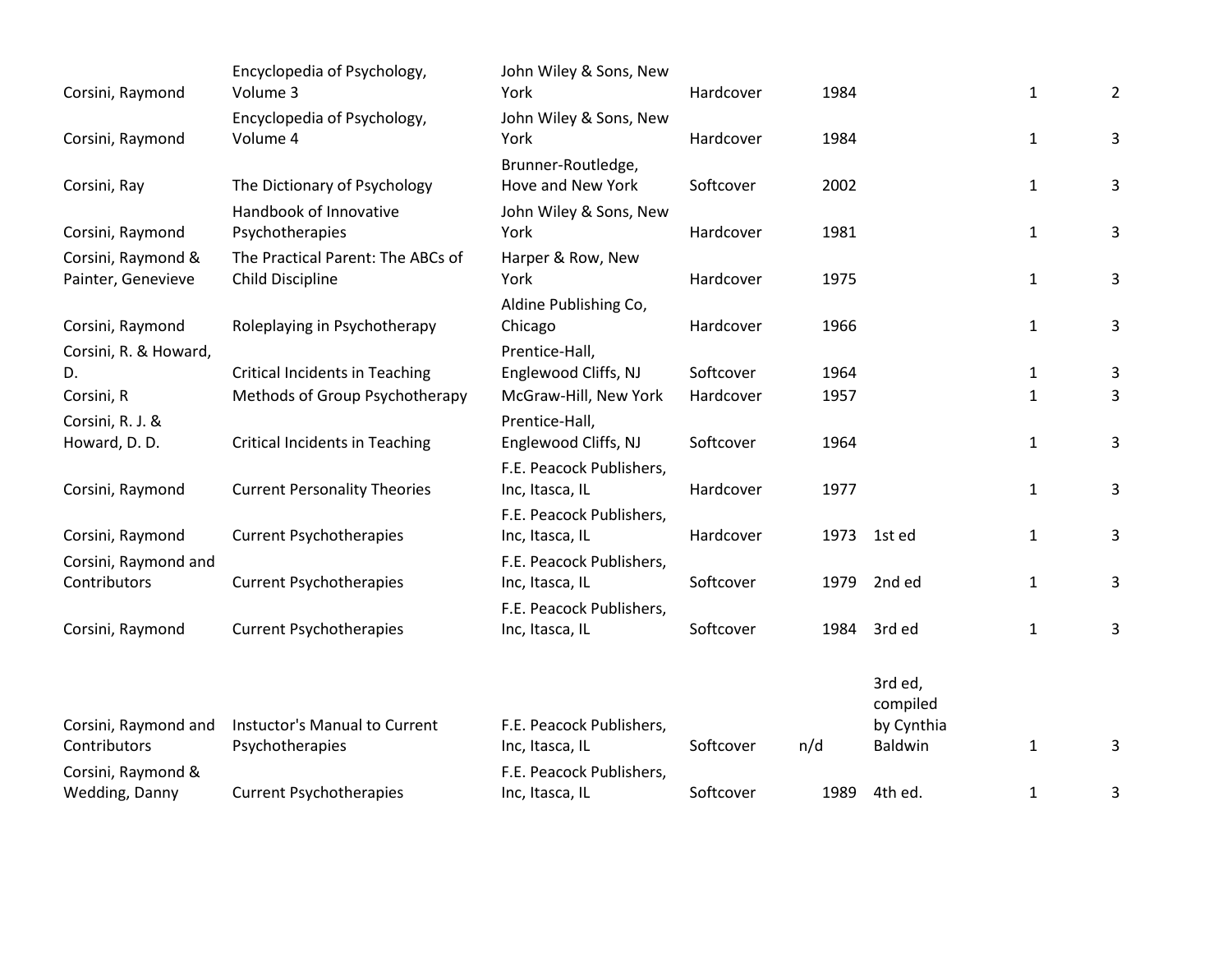| Corsini, Raymond      | Encyclopedia of Psychology,<br>Volume 3 | John Wiley & Sons, New<br>York | Hardcover | 1984 |                     | $\mathbf{1}$ | $\overline{2}$ |
|-----------------------|-----------------------------------------|--------------------------------|-----------|------|---------------------|--------------|----------------|
|                       | Encyclopedia of Psychology,             | John Wiley & Sons, New         |           |      |                     |              |                |
| Corsini, Raymond      | Volume 4                                | York                           | Hardcover | 1984 |                     | $\mathbf{1}$ | 3              |
|                       |                                         | Brunner-Routledge,             |           |      |                     |              |                |
| Corsini, Ray          | The Dictionary of Psychology            | Hove and New York              | Softcover | 2002 |                     | $\mathbf{1}$ | 3              |
|                       | Handbook of Innovative                  | John Wiley & Sons, New         |           |      |                     |              |                |
| Corsini, Raymond      | Psychotherapies                         | York                           | Hardcover | 1981 |                     | $\mathbf{1}$ | 3              |
| Corsini, Raymond &    | The Practical Parent: The ABCs of       | Harper & Row, New              |           |      |                     |              |                |
| Painter, Genevieve    | Child Discipline                        | York                           | Hardcover | 1975 |                     | $\mathbf{1}$ | 3              |
|                       |                                         | Aldine Publishing Co,          |           |      |                     |              |                |
| Corsini, Raymond      | Roleplaying in Psychotherapy            | Chicago                        | Hardcover | 1966 |                     | $\mathbf{1}$ | 3              |
| Corsini, R. & Howard, |                                         | Prentice-Hall,                 |           |      |                     |              |                |
| D.                    | <b>Critical Incidents in Teaching</b>   | Englewood Cliffs, NJ           | Softcover | 1964 |                     | 1            | 3              |
| Corsini, R            | Methods of Group Psychotherapy          | McGraw-Hill, New York          | Hardcover | 1957 |                     | $\mathbf{1}$ | 3              |
| Corsini, R. J. &      |                                         | Prentice-Hall,                 |           |      |                     |              |                |
| Howard, D. D.         | <b>Critical Incidents in Teaching</b>   | Englewood Cliffs, NJ           | Softcover | 1964 |                     | $\mathbf{1}$ | 3              |
|                       |                                         | F.E. Peacock Publishers,       |           |      |                     |              |                |
| Corsini, Raymond      | <b>Current Personality Theories</b>     | Inc, Itasca, IL                | Hardcover | 1977 |                     | $\mathbf{1}$ | 3              |
|                       |                                         | F.E. Peacock Publishers,       |           |      |                     |              |                |
| Corsini, Raymond      | <b>Current Psychotherapies</b>          | Inc, Itasca, IL                | Hardcover | 1973 | 1st ed              | $\mathbf{1}$ | 3              |
| Corsini, Raymond and  |                                         | F.E. Peacock Publishers,       |           |      |                     |              |                |
| Contributors          | <b>Current Psychotherapies</b>          | Inc, Itasca, IL                | Softcover | 1979 | 2nd ed              | $\mathbf{1}$ | 3              |
|                       |                                         | F.E. Peacock Publishers,       |           |      |                     |              |                |
| Corsini, Raymond      | <b>Current Psychotherapies</b>          | Inc, Itasca, IL                | Softcover | 1984 | 3rd ed              | $\mathbf{1}$ | 3              |
|                       |                                         |                                |           |      | 3rd ed,<br>compiled |              |                |
| Corsini, Raymond and  | Instuctor's Manual to Current           | F.E. Peacock Publishers,       |           |      | by Cynthia          |              |                |
| Contributors          | Psychotherapies                         | Inc, Itasca, IL                | Softcover | n/d  | Baldwin             | $\mathbf{1}$ | 3              |
| Corsini, Raymond &    |                                         | F.E. Peacock Publishers,       |           |      |                     |              |                |
| Wedding, Danny        | <b>Current Psychotherapies</b>          | Inc, Itasca, IL                | Softcover | 1989 | 4th ed.             | $\mathbf{1}$ | 3              |
|                       |                                         |                                |           |      |                     |              |                |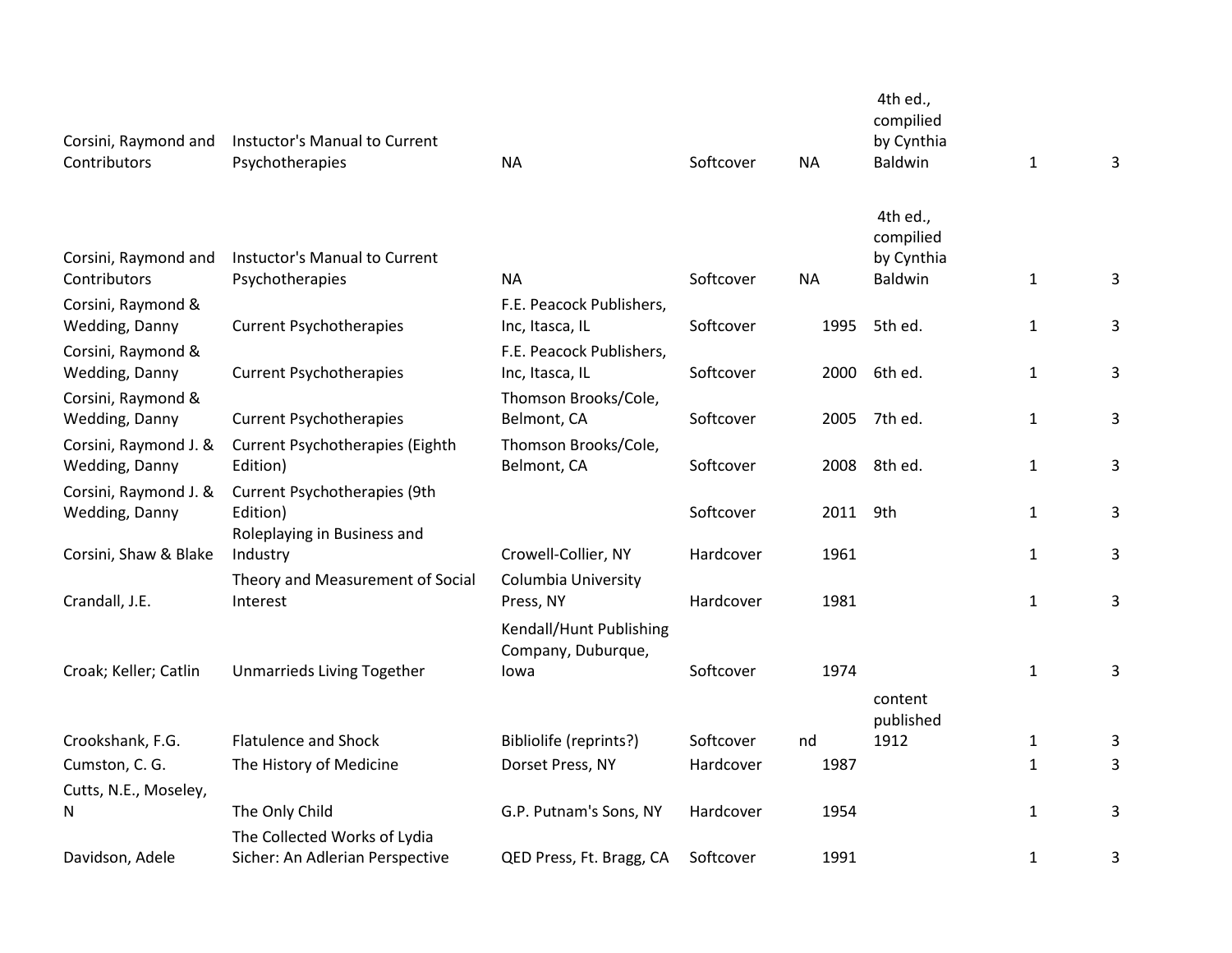| Corsini, Raymond and<br>Contributors | Instuctor's Manual to Current<br>Psychotherapies                | <b>NA</b>                                     | Softcover | <b>NA</b> | 4th ed.,<br>compilied<br>by Cynthia<br>Baldwin | $\mathbf{1}$ | 3 |
|--------------------------------------|-----------------------------------------------------------------|-----------------------------------------------|-----------|-----------|------------------------------------------------|--------------|---|
|                                      |                                                                 |                                               |           |           | 4th ed.,<br>compilied                          |              |   |
| Corsini, Raymond and<br>Contributors | Instuctor's Manual to Current<br>Psychotherapies                | <b>NA</b>                                     | Softcover | <b>NA</b> | by Cynthia<br>Baldwin                          | $\mathbf{1}$ | 3 |
| Corsini, Raymond &                   |                                                                 | F.E. Peacock Publishers,                      |           |           |                                                |              |   |
| Wedding, Danny                       | <b>Current Psychotherapies</b>                                  | Inc, Itasca, IL                               | Softcover | 1995      | 5th ed.                                        | $\mathbf{1}$ | 3 |
| Corsini, Raymond &                   |                                                                 | F.E. Peacock Publishers,                      |           |           |                                                |              |   |
| Wedding, Danny                       | <b>Current Psychotherapies</b>                                  | Inc, Itasca, IL                               | Softcover | 2000      | 6th ed.                                        | $\mathbf{1}$ | 3 |
| Corsini, Raymond &                   |                                                                 | Thomson Brooks/Cole,                          |           |           |                                                |              |   |
| Wedding, Danny                       | <b>Current Psychotherapies</b>                                  | Belmont, CA                                   | Softcover | 2005      | 7th ed.                                        | $\mathbf{1}$ | 3 |
| Corsini, Raymond J. &                | <b>Current Psychotherapies (Eighth</b>                          | Thomson Brooks/Cole,                          |           |           |                                                |              |   |
| Wedding, Danny                       | Edition)                                                        | Belmont, CA                                   | Softcover | 2008      | 8th ed.                                        | $\mathbf{1}$ | 3 |
| Corsini, Raymond J. &                | Current Psychotherapies (9th                                    |                                               |           |           |                                                |              |   |
| Wedding, Danny                       | Edition)                                                        |                                               | Softcover | 2011      | 9th                                            | $\mathbf 1$  | 3 |
|                                      | Roleplaying in Business and                                     |                                               |           |           |                                                |              |   |
| Corsini, Shaw & Blake                | Industry                                                        | Crowell-Collier, NY                           | Hardcover | 1961      |                                                | $\mathbf{1}$ | 3 |
|                                      | Theory and Measurement of Social                                | Columbia University                           |           |           |                                                |              |   |
| Crandall, J.E.                       | Interest                                                        | Press, NY                                     | Hardcover | 1981      |                                                | $\mathbf{1}$ | 3 |
|                                      |                                                                 | Kendall/Hunt Publishing<br>Company, Duburque, |           |           |                                                |              |   |
| Croak; Keller; Catlin                | Unmarrieds Living Together                                      | lowa                                          | Softcover | 1974      |                                                | $\mathbf{1}$ | 3 |
|                                      |                                                                 |                                               |           |           | content                                        |              |   |
|                                      |                                                                 |                                               |           |           | published                                      |              |   |
| Crookshank, F.G.                     | <b>Flatulence and Shock</b>                                     | Bibliolife (reprints?)                        | Softcover | nd        | 1912                                           | $\mathbf{1}$ | 3 |
| Cumston, C. G.                       | The History of Medicine                                         | Dorset Press, NY                              | Hardcover | 1987      |                                                | $\mathbf{1}$ | 3 |
| Cutts, N.E., Moseley,                |                                                                 |                                               |           |           |                                                |              |   |
| N                                    | The Only Child                                                  | G.P. Putnam's Sons, NY                        | Hardcover | 1954      |                                                | $\mathbf{1}$ | 3 |
| Davidson, Adele                      | The Collected Works of Lydia<br>Sicher: An Adlerian Perspective | QED Press, Ft. Bragg, CA                      | Softcover | 1991      |                                                | $\mathbf{1}$ | 3 |
|                                      |                                                                 |                                               |           |           |                                                |              |   |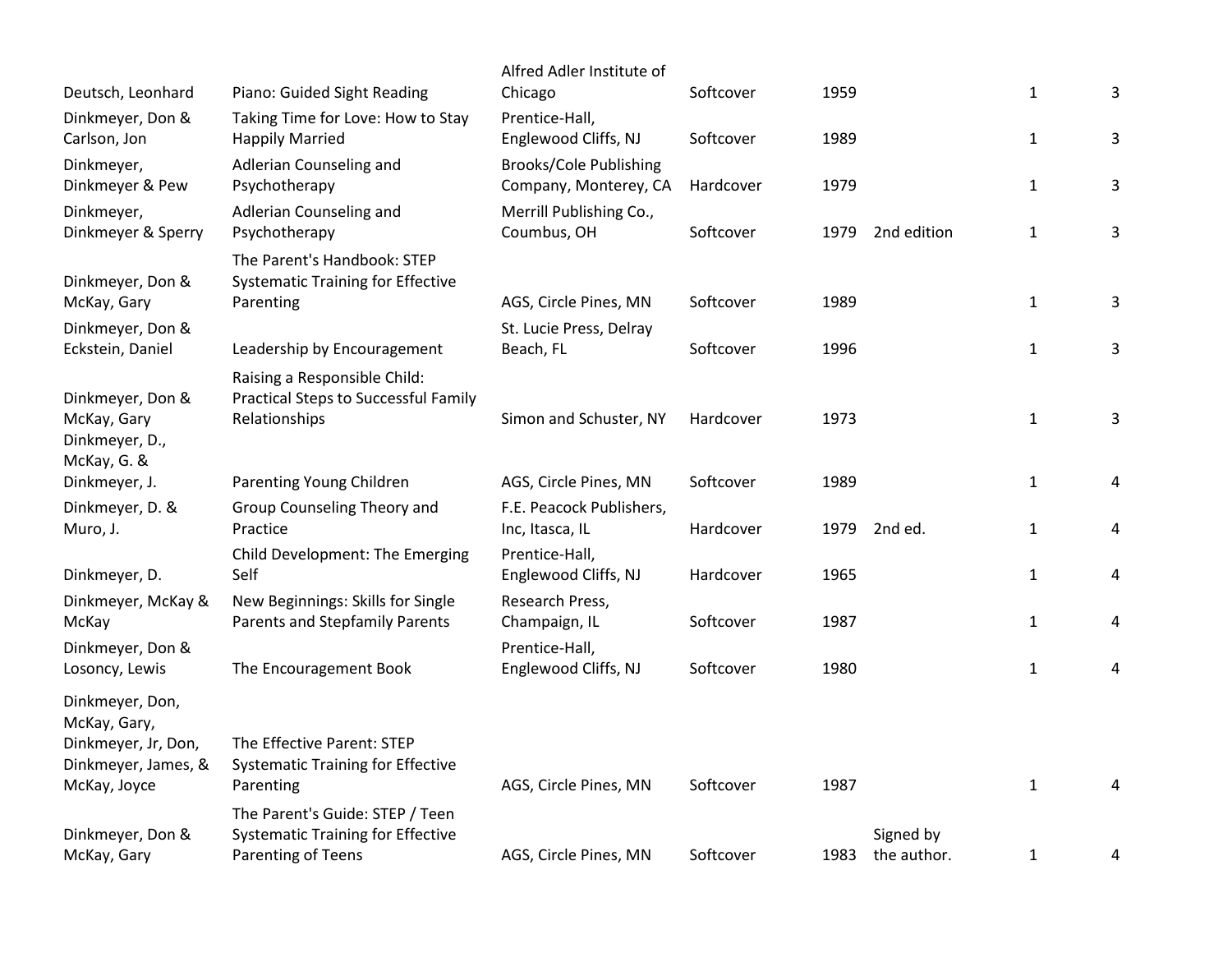|                                                                                               |                                                                                              | Alfred Adler Institute of                              |           |      |             |              |   |
|-----------------------------------------------------------------------------------------------|----------------------------------------------------------------------------------------------|--------------------------------------------------------|-----------|------|-------------|--------------|---|
| Deutsch, Leonhard                                                                             | Piano: Guided Sight Reading                                                                  | Chicago                                                | Softcover | 1959 |             | $\mathbf{1}$ | 3 |
| Dinkmeyer, Don &                                                                              | Taking Time for Love: How to Stay                                                            | Prentice-Hall,                                         |           |      |             |              |   |
| Carlson, Jon                                                                                  | <b>Happily Married</b>                                                                       | Englewood Cliffs, NJ                                   | Softcover | 1989 |             | $\mathbf 1$  | 3 |
| Dinkmeyer,<br>Dinkmeyer & Pew                                                                 | Adlerian Counseling and<br>Psychotherapy                                                     | <b>Brooks/Cole Publishing</b><br>Company, Monterey, CA | Hardcover | 1979 |             | $\mathbf{1}$ | 3 |
| Dinkmeyer,<br>Dinkmeyer & Sperry                                                              | Adlerian Counseling and<br>Psychotherapy                                                     | Merrill Publishing Co.,<br>Coumbus, OH                 | Softcover | 1979 | 2nd edition | $\mathbf{1}$ | 3 |
| Dinkmeyer, Don &                                                                              | The Parent's Handbook: STEP<br><b>Systematic Training for Effective</b>                      |                                                        |           |      |             |              |   |
| McKay, Gary                                                                                   | Parenting                                                                                    | AGS, Circle Pines, MN                                  | Softcover | 1989 |             | $\mathbf{1}$ | 3 |
| Dinkmeyer, Don &<br>Eckstein, Daniel                                                          | Leadership by Encouragement                                                                  | St. Lucie Press, Delray<br>Beach, FL                   | Softcover | 1996 |             | $\mathbf{1}$ | 3 |
| Dinkmeyer, Don &<br>McKay, Gary<br>Dinkmeyer, D.,<br>McKay, G. &                              | Raising a Responsible Child:<br><b>Practical Steps to Successful Family</b><br>Relationships | Simon and Schuster, NY                                 | Hardcover | 1973 |             | $\mathbf{1}$ | 3 |
| Dinkmeyer, J.                                                                                 | Parenting Young Children                                                                     | AGS, Circle Pines, MN                                  | Softcover | 1989 |             | $\mathbf 1$  | 4 |
| Dinkmeyer, D. &                                                                               | Group Counseling Theory and                                                                  | F.E. Peacock Publishers,                               |           |      |             |              |   |
| Muro, J.                                                                                      | Practice                                                                                     | Inc, Itasca, IL                                        | Hardcover | 1979 | 2nd ed.     | $\mathbf{1}$ | 4 |
| Dinkmeyer, D.                                                                                 | Child Development: The Emerging<br>Self                                                      | Prentice-Hall,<br>Englewood Cliffs, NJ                 | Hardcover | 1965 |             | $\mathbf 1$  | 4 |
| Dinkmeyer, McKay &<br>McKay                                                                   | New Beginnings: Skills for Single<br><b>Parents and Stepfamily Parents</b>                   | Research Press,<br>Champaign, IL                       | Softcover | 1987 |             | $\mathbf{1}$ | 4 |
| Dinkmeyer, Don &<br>Losoncy, Lewis                                                            | The Encouragement Book                                                                       | Prentice-Hall,<br>Englewood Cliffs, NJ                 | Softcover | 1980 |             | $\mathbf{1}$ | 4 |
| Dinkmeyer, Don,<br>McKay, Gary,<br>Dinkmeyer, Jr, Don,<br>Dinkmeyer, James, &<br>McKay, Joyce | The Effective Parent: STEP<br><b>Systematic Training for Effective</b><br>Parenting          | AGS, Circle Pines, MN                                  | Softcover | 1987 |             | $\mathbf{1}$ | 4 |
| Dinkmeyer, Don &                                                                              | The Parent's Guide: STEP / Teen<br><b>Systematic Training for Effective</b>                  |                                                        | Softcover |      | Signed by   |              |   |
| McKay, Gary                                                                                   | Parenting of Teens                                                                           | AGS, Circle Pines, MN                                  |           | 1983 | the author. | $\mathbf{1}$ | 4 |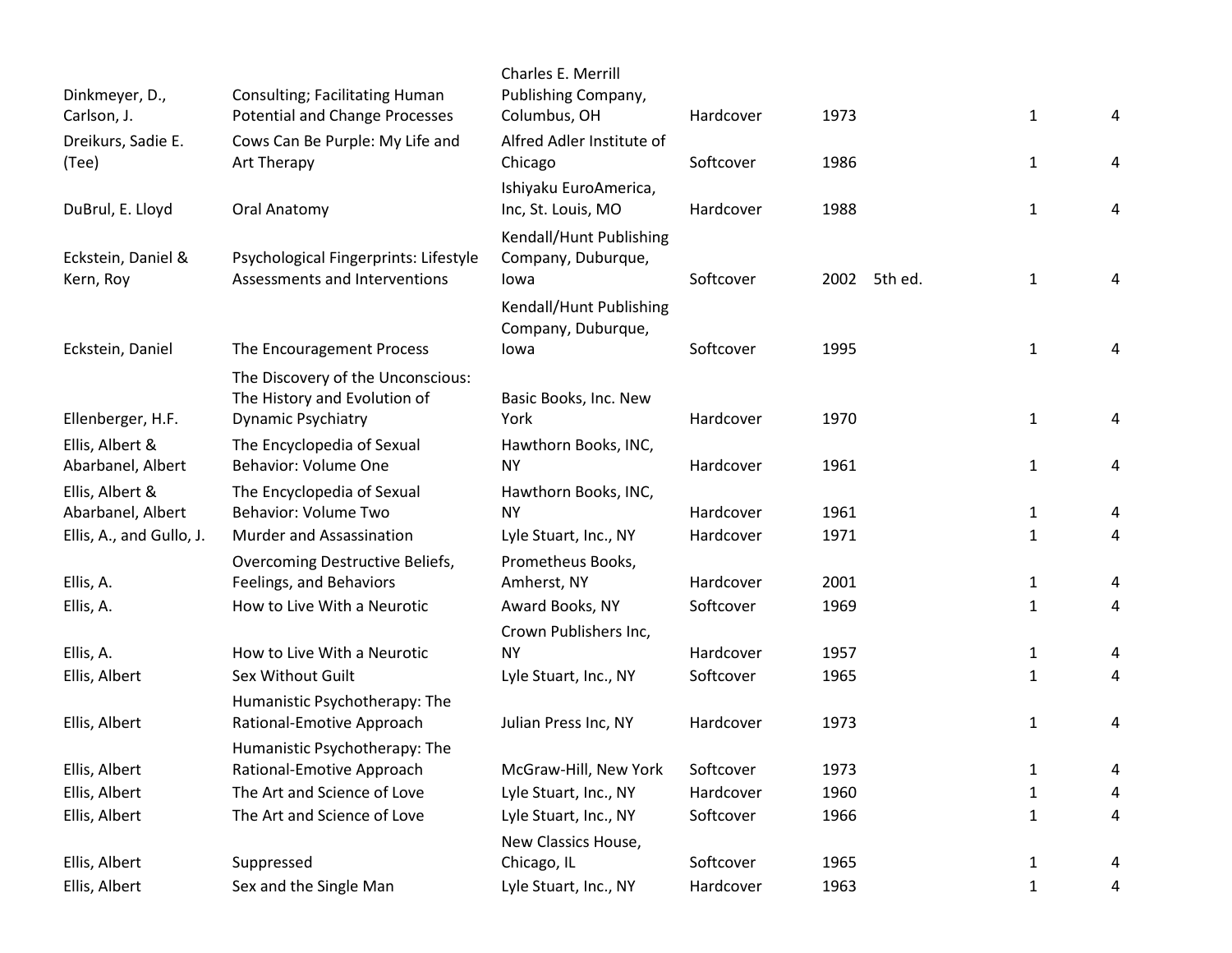| Dinkmeyer, D.,<br>Carlson, J.        | Consulting; Facilitating Human<br><b>Potential and Change Processes</b>                   | Charles E. Merrill<br>Publishing Company,<br>Columbus, OH | Hardcover              | 1973         |              | $\mathbf{1}$      | 4      |
|--------------------------------------|-------------------------------------------------------------------------------------------|-----------------------------------------------------------|------------------------|--------------|--------------|-------------------|--------|
| Dreikurs, Sadie E.<br>(Tee)          | Cows Can Be Purple: My Life and<br>Art Therapy                                            | Alfred Adler Institute of<br>Chicago                      | Softcover              | 1986         |              | $\mathbf{1}$      | 4      |
| DuBrul, E. Lloyd                     | Oral Anatomy                                                                              | Ishiyaku EuroAmerica,<br>Inc, St. Louis, MO               | Hardcover              | 1988         |              | $\mathbf{1}$      | 4      |
| Eckstein, Daniel &<br>Kern, Roy      | Psychological Fingerprints: Lifestyle<br>Assessments and Interventions                    | Kendall/Hunt Publishing<br>Company, Duburque,<br>lowa     | Softcover              |              | 2002 5th ed. | $\mathbf{1}$      | 4      |
| Eckstein, Daniel                     | The Encouragement Process                                                                 | Kendall/Hunt Publishing<br>Company, Duburque,<br>lowa     | Softcover              | 1995         |              | $\mathbf{1}$      | 4      |
| Ellenberger, H.F.                    | The Discovery of the Unconscious:<br>The History and Evolution of<br>Dynamic Psychiatry   | Basic Books, Inc. New<br>York                             | Hardcover              | 1970         |              | $\mathbf{1}$      | 4      |
| Ellis, Albert &<br>Abarbanel, Albert | The Encyclopedia of Sexual<br>Behavior: Volume One                                        | Hawthorn Books, INC,<br><b>NY</b>                         | Hardcover              | 1961         |              | $\mathbf{1}$      | 4      |
| Ellis, Albert &<br>Abarbanel, Albert | The Encyclopedia of Sexual<br><b>Behavior: Volume Two</b>                                 | Hawthorn Books, INC,<br><b>NY</b>                         | Hardcover              | 1961         |              | $\mathbf{1}$      | 4      |
| Ellis, A., and Gullo, J.             | Murder and Assassination                                                                  | Lyle Stuart, Inc., NY                                     | Hardcover              | 1971         |              | $\mathbf{1}$      | 4      |
| Ellis, A.<br>Ellis, A.               | Overcoming Destructive Beliefs,<br>Feelings, and Behaviors<br>How to Live With a Neurotic | Prometheus Books,<br>Amherst, NY<br>Award Books, NY       | Hardcover<br>Softcover | 2001<br>1969 |              | 1<br>$\mathbf{1}$ | 4<br>4 |
| Ellis, A.                            | How to Live With a Neurotic                                                               | Crown Publishers Inc,<br><b>NY</b>                        | Hardcover              | 1957         |              | $\mathbf{1}$      | 4      |
| Ellis, Albert<br>Ellis, Albert       | Sex Without Guilt<br>Humanistic Psychotherapy: The<br>Rational-Emotive Approach           | Lyle Stuart, Inc., NY<br>Julian Press Inc, NY             | Softcover<br>Hardcover | 1965<br>1973 |              | 1<br>$\mathbf{1}$ | 4<br>4 |
| Ellis, Albert                        | Humanistic Psychotherapy: The<br>Rational-Emotive Approach                                | McGraw-Hill, New York                                     | Softcover              | 1973         |              | 1                 | 4      |
| Ellis, Albert                        | The Art and Science of Love                                                               | Lyle Stuart, Inc., NY                                     | Hardcover              | 1960         |              | $\mathbf{1}$      | 4      |
| Ellis, Albert                        | The Art and Science of Love                                                               | Lyle Stuart, Inc., NY<br>New Classics House,              | Softcover              | 1966         |              | $\mathbf{1}$      | 4      |
| Ellis, Albert                        | Suppressed                                                                                | Chicago, IL                                               | Softcover              | 1965         |              | $\mathbf{1}$      | 4      |
| Ellis, Albert                        | Sex and the Single Man                                                                    | Lyle Stuart, Inc., NY                                     | Hardcover              | 1963         |              | $\mathbf{1}$      | 4      |
|                                      |                                                                                           |                                                           |                        |              |              |                   |        |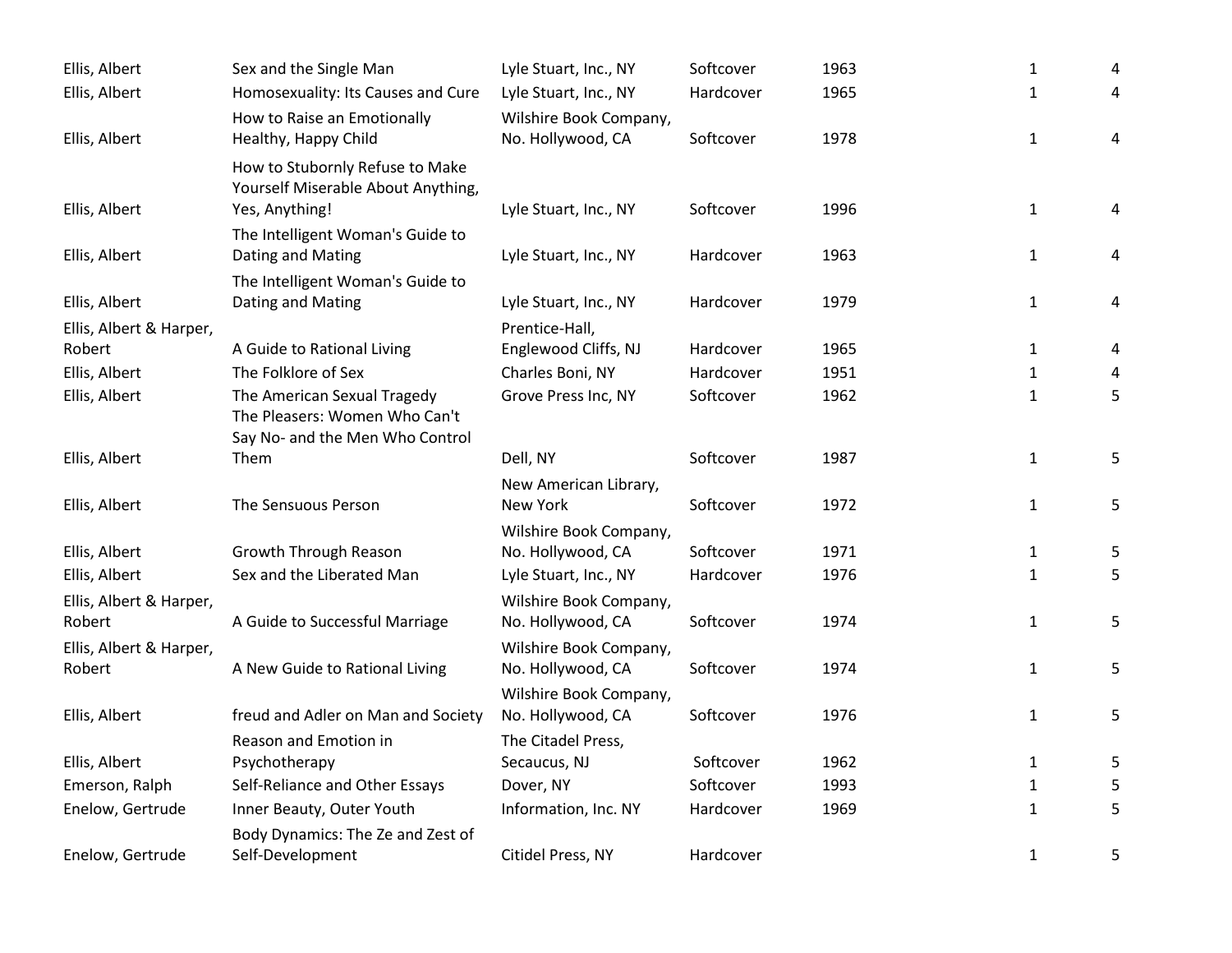| Ellis, Albert                     | Sex and the Single Man                                                                          | Lyle Stuart, Inc., NY                       | Softcover | 1963 | $\mathbf{1}$ | 4 |
|-----------------------------------|-------------------------------------------------------------------------------------------------|---------------------------------------------|-----------|------|--------------|---|
| Ellis, Albert                     | Homosexuality: Its Causes and Cure                                                              | Lyle Stuart, Inc., NY                       | Hardcover | 1965 | $\mathbf{1}$ | 4 |
|                                   | How to Raise an Emotionally                                                                     | Wilshire Book Company,                      |           |      |              |   |
| Ellis, Albert                     | Healthy, Happy Child                                                                            | No. Hollywood, CA                           | Softcover | 1978 | $\mathbf{1}$ | 4 |
|                                   | How to Stubornly Refuse to Make<br>Yourself Miserable About Anything,                           |                                             |           |      |              |   |
| Ellis, Albert                     | Yes, Anything!                                                                                  | Lyle Stuart, Inc., NY                       | Softcover | 1996 | $\mathbf{1}$ | 4 |
|                                   | The Intelligent Woman's Guide to                                                                |                                             |           |      |              |   |
| Ellis, Albert                     | Dating and Mating                                                                               | Lyle Stuart, Inc., NY                       | Hardcover | 1963 | $\mathbf{1}$ | 4 |
|                                   | The Intelligent Woman's Guide to                                                                |                                             |           |      |              |   |
| Ellis, Albert                     | Dating and Mating                                                                               | Lyle Stuart, Inc., NY                       | Hardcover | 1979 | $\mathbf{1}$ | 4 |
| Ellis, Albert & Harper,           |                                                                                                 | Prentice-Hall,                              |           |      |              |   |
| Robert                            | A Guide to Rational Living                                                                      | Englewood Cliffs, NJ                        | Hardcover | 1965 | $\mathbf{1}$ | 4 |
| Ellis, Albert                     | The Folklore of Sex                                                                             | Charles Boni, NY                            | Hardcover | 1951 | $\mathbf{1}$ | 4 |
| Ellis, Albert                     | The American Sexual Tragedy<br>The Pleasers: Women Who Can't<br>Say No- and the Men Who Control | Grove Press Inc, NY                         | Softcover | 1962 | $\mathbf{1}$ | 5 |
| Ellis, Albert                     | Them                                                                                            | Dell, NY                                    | Softcover | 1987 | $\mathbf{1}$ | 5 |
|                                   |                                                                                                 | New American Library,                       |           |      |              |   |
| Ellis, Albert                     | The Sensuous Person                                                                             | New York                                    | Softcover | 1972 | $\mathbf{1}$ | 5 |
|                                   |                                                                                                 | Wilshire Book Company,                      |           |      |              |   |
| Ellis, Albert                     | Growth Through Reason                                                                           | No. Hollywood, CA                           | Softcover | 1971 | $\mathbf{1}$ | 5 |
| Ellis, Albert                     | Sex and the Liberated Man                                                                       | Lyle Stuart, Inc., NY                       | Hardcover | 1976 | $\mathbf{1}$ | 5 |
| Ellis, Albert & Harper,<br>Robert | A Guide to Successful Marriage                                                                  | Wilshire Book Company,<br>No. Hollywood, CA | Softcover | 1974 | $\mathbf{1}$ | 5 |
| Ellis, Albert & Harper,           |                                                                                                 | Wilshire Book Company,                      |           |      |              |   |
| Robert                            | A New Guide to Rational Living                                                                  | No. Hollywood, CA                           | Softcover | 1974 | $\mathbf{1}$ | 5 |
|                                   |                                                                                                 | Wilshire Book Company,                      |           |      |              |   |
| Ellis, Albert                     | freud and Adler on Man and Society                                                              | No. Hollywood, CA                           | Softcover | 1976 | $\mathbf{1}$ | 5 |
|                                   | Reason and Emotion in                                                                           | The Citadel Press,                          |           |      |              |   |
| Ellis, Albert                     | Psychotherapy                                                                                   | Secaucus, NJ                                | Softcover | 1962 | $\mathbf{1}$ | 5 |
| Emerson, Ralph                    | Self-Reliance and Other Essays                                                                  | Dover, NY                                   | Softcover | 1993 | $\mathbf{1}$ | 5 |
| Enelow, Gertrude                  | Inner Beauty, Outer Youth                                                                       | Information, Inc. NY                        | Hardcover | 1969 | $\mathbf{1}$ | 5 |
| Enelow, Gertrude                  | Body Dynamics: The Ze and Zest of<br>Self-Development                                           | Citidel Press, NY                           | Hardcover |      | $\mathbf{1}$ | 5 |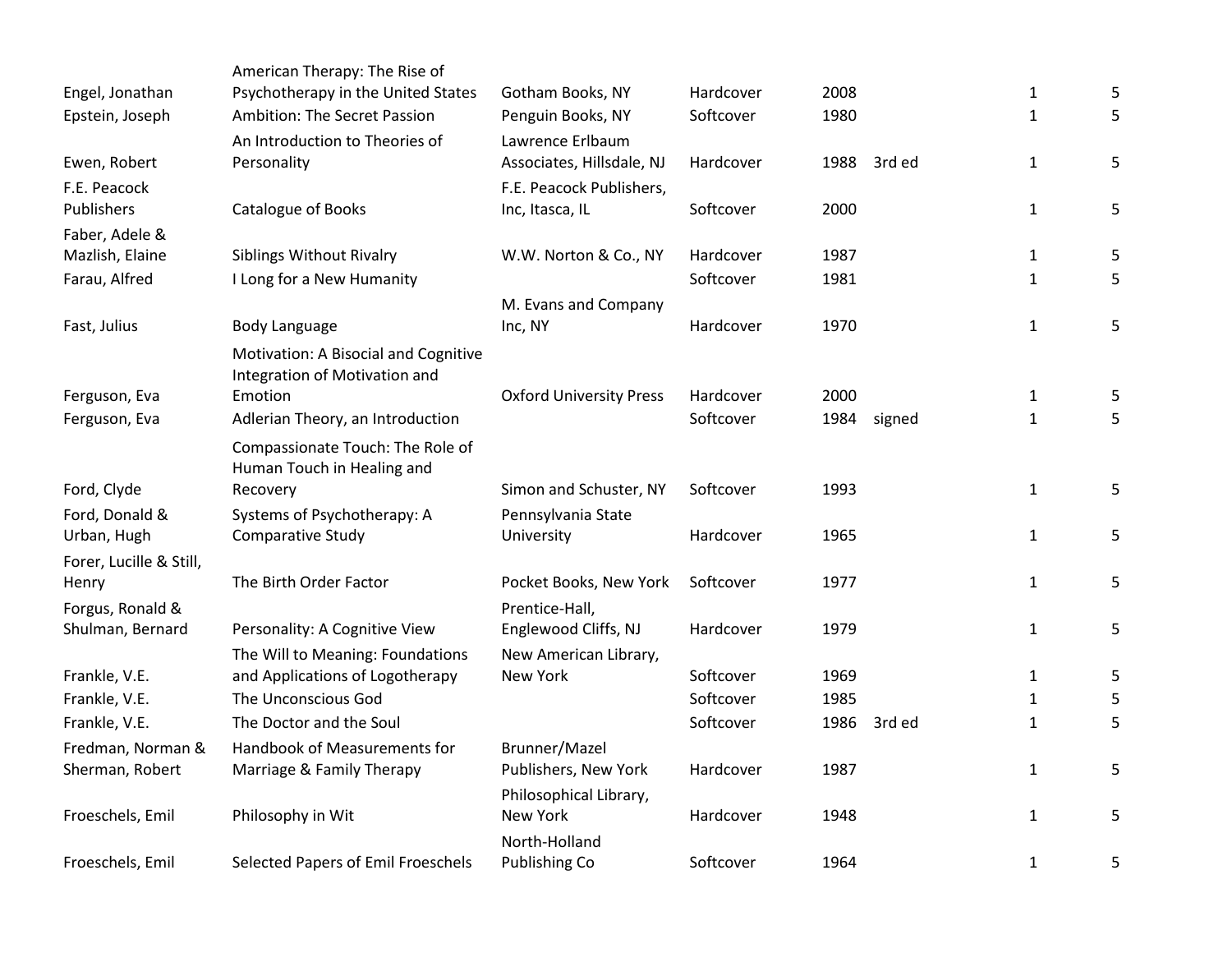|                         | American Therapy: The Rise of                                         |                                |           |      |        |              |   |
|-------------------------|-----------------------------------------------------------------------|--------------------------------|-----------|------|--------|--------------|---|
| Engel, Jonathan         | Psychotherapy in the United States                                    | Gotham Books, NY               | Hardcover | 2008 |        | $\mathbf{1}$ | 5 |
| Epstein, Joseph         | Ambition: The Secret Passion                                          | Penguin Books, NY              | Softcover | 1980 |        | 1            | 5 |
|                         | An Introduction to Theories of                                        | Lawrence Erlbaum               |           |      |        |              |   |
| Ewen, Robert            | Personality                                                           | Associates, Hillsdale, NJ      | Hardcover | 1988 | 3rd ed | $\mathbf{1}$ | 5 |
| F.E. Peacock            |                                                                       | F.E. Peacock Publishers,       |           |      |        |              |   |
| Publishers              | Catalogue of Books                                                    | Inc, Itasca, IL                | Softcover | 2000 |        | $\mathbf{1}$ | 5 |
| Faber, Adele &          |                                                                       |                                |           |      |        |              |   |
| Mazlish, Elaine         | <b>Siblings Without Rivalry</b>                                       | W.W. Norton & Co., NY          | Hardcover | 1987 |        | 1            | 5 |
| Farau, Alfred           | I Long for a New Humanity                                             |                                | Softcover | 1981 |        | $\mathbf{1}$ | 5 |
|                         |                                                                       | M. Evans and Company           |           |      |        |              |   |
| Fast, Julius            | <b>Body Language</b>                                                  | Inc, NY                        | Hardcover | 1970 |        | $\mathbf{1}$ | 5 |
|                         | Motivation: A Bisocial and Cognitive<br>Integration of Motivation and |                                |           |      |        |              |   |
| Ferguson, Eva           | Emotion                                                               | <b>Oxford University Press</b> | Hardcover | 2000 |        | $\mathbf{1}$ | 5 |
| Ferguson, Eva           | Adlerian Theory, an Introduction                                      |                                | Softcover | 1984 | signed | $\mathbf{1}$ | 5 |
|                         | Compassionate Touch: The Role of                                      |                                |           |      |        |              |   |
|                         | Human Touch in Healing and                                            |                                |           |      |        |              |   |
| Ford, Clyde             | Recovery                                                              | Simon and Schuster, NY         | Softcover | 1993 |        | $\mathbf{1}$ | 5 |
| Ford, Donald &          | Systems of Psychotherapy: A                                           | Pennsylvania State             |           |      |        |              |   |
| Urban, Hugh             | Comparative Study                                                     | University                     | Hardcover | 1965 |        | $\mathbf{1}$ | 5 |
| Forer, Lucille & Still, |                                                                       |                                |           |      |        |              |   |
| Henry                   | The Birth Order Factor                                                | Pocket Books, New York         | Softcover | 1977 |        | $\mathbf{1}$ | 5 |
| Forgus, Ronald &        |                                                                       | Prentice-Hall,                 |           |      |        |              |   |
| Shulman, Bernard        | Personality: A Cognitive View                                         | Englewood Cliffs, NJ           | Hardcover | 1979 |        | $\mathbf{1}$ | 5 |
|                         | The Will to Meaning: Foundations                                      | New American Library,          |           |      |        |              |   |
| Frankle, V.E.           | and Applications of Logotherapy                                       | New York                       | Softcover | 1969 |        | 1            | 5 |
| Frankle, V.E.           | The Unconscious God                                                   |                                | Softcover | 1985 |        | 1            | 5 |
| Frankle, V.E.           | The Doctor and the Soul                                               |                                | Softcover | 1986 | 3rd ed | 1            | 5 |
| Fredman, Norman &       | Handbook of Measurements for                                          | Brunner/Mazel                  |           |      |        |              |   |
| Sherman, Robert         | Marriage & Family Therapy                                             | Publishers, New York           | Hardcover | 1987 |        | $\mathbf{1}$ | 5 |
|                         |                                                                       | Philosophical Library,         |           |      |        |              |   |
| Froeschels, Emil        | Philosophy in Wit                                                     | New York                       | Hardcover | 1948 |        | $\mathbf{1}$ | 5 |
|                         |                                                                       | North-Holland                  |           |      |        |              |   |
| Froeschels, Emil        | Selected Papers of Emil Froeschels                                    | Publishing Co                  | Softcover | 1964 |        | $\mathbf{1}$ | 5 |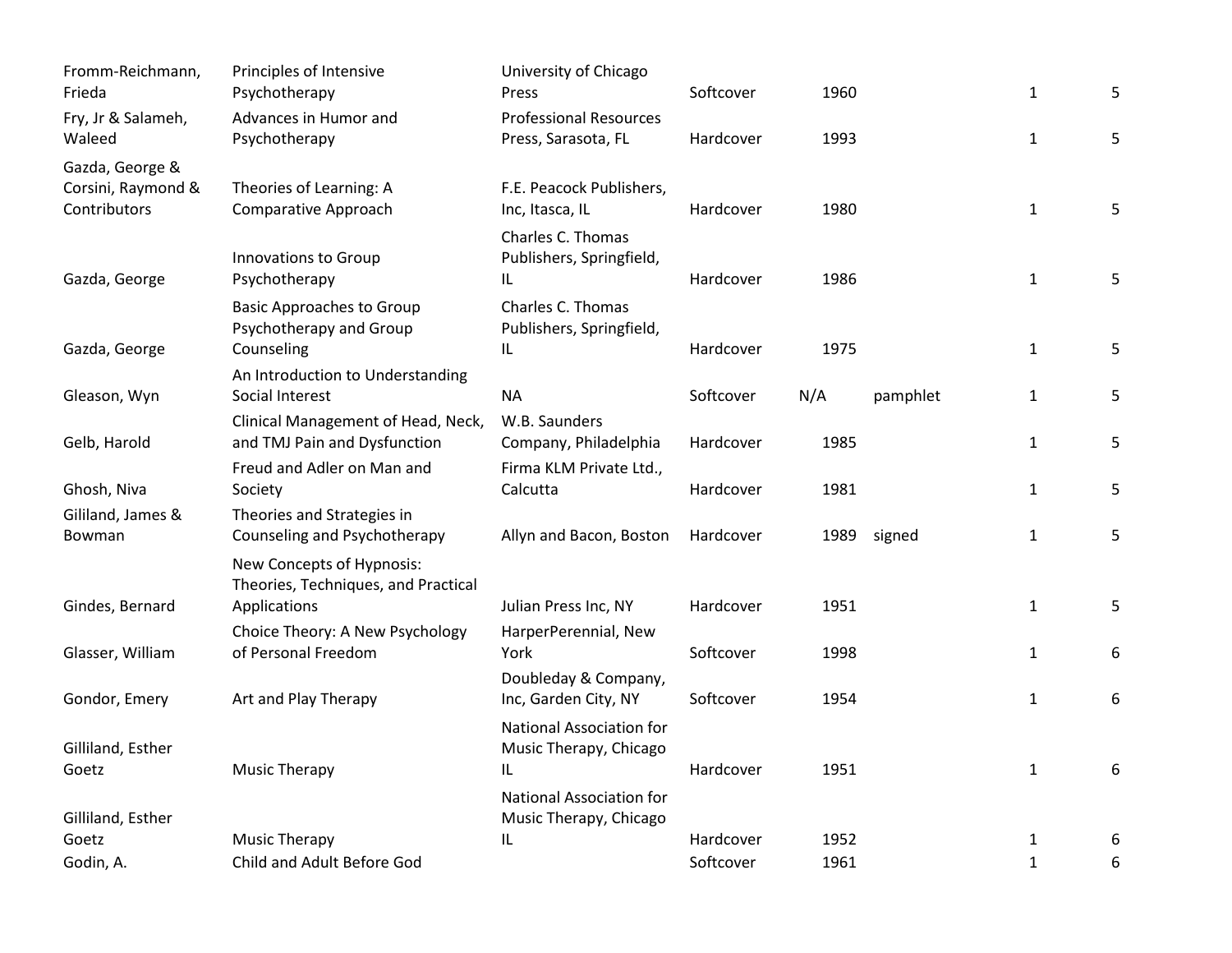| Fromm-Reichmann,<br>Frieda                            | Principles of Intensive<br>Psychotherapy                           | University of Chicago<br>Press                            | Softcover | 1960 |          | $\mathbf{1}$ | 5 |
|-------------------------------------------------------|--------------------------------------------------------------------|-----------------------------------------------------------|-----------|------|----------|--------------|---|
| Fry, Jr & Salameh,<br>Waleed                          | Advances in Humor and<br>Psychotherapy                             | <b>Professional Resources</b><br>Press, Sarasota, FL      | Hardcover | 1993 |          | $\mathbf{1}$ | 5 |
| Gazda, George &<br>Corsini, Raymond &<br>Contributors | Theories of Learning: A<br>Comparative Approach                    | F.E. Peacock Publishers,<br>Inc, Itasca, IL               | Hardcover | 1980 |          | $\mathbf 1$  | 5 |
| Gazda, George                                         | Innovations to Group<br>Psychotherapy                              | Charles C. Thomas<br>Publishers, Springfield,<br>IL       | Hardcover | 1986 |          | $\mathbf{1}$ | 5 |
|                                                       | <b>Basic Approaches to Group</b><br>Psychotherapy and Group        | Charles C. Thomas<br>Publishers, Springfield,             |           |      |          |              |   |
| Gazda, George                                         | Counseling                                                         | IL                                                        | Hardcover | 1975 |          | $\mathbf 1$  | 5 |
| Gleason, Wyn                                          | An Introduction to Understanding<br>Social Interest                | <b>NA</b>                                                 | Softcover | N/A  | pamphlet | $\mathbf{1}$ | 5 |
| Gelb, Harold                                          | Clinical Management of Head, Neck,<br>and TMJ Pain and Dysfunction | W.B. Saunders<br>Company, Philadelphia                    | Hardcover | 1985 |          | $\mathbf{1}$ | 5 |
| Ghosh, Niva                                           | Freud and Adler on Man and<br>Society                              | Firma KLM Private Ltd.,<br>Calcutta                       | Hardcover | 1981 |          | $\mathbf{1}$ | 5 |
| Gililand, James &<br>Bowman                           | Theories and Strategies in<br>Counseling and Psychotherapy         | Allyn and Bacon, Boston                                   | Hardcover | 1989 | signed   | $\mathbf{1}$ | 5 |
|                                                       | New Concepts of Hypnosis:<br>Theories, Techniques, and Practical   |                                                           |           |      |          |              |   |
| Gindes, Bernard                                       | Applications                                                       | Julian Press Inc, NY                                      | Hardcover | 1951 |          | $\mathbf{1}$ | 5 |
| Glasser, William                                      | Choice Theory: A New Psychology<br>of Personal Freedom             | HarperPerennial, New<br>York                              | Softcover | 1998 |          | $\mathbf{1}$ | 6 |
| Gondor, Emery                                         | Art and Play Therapy                                               | Doubleday & Company,<br>Inc, Garden City, NY              | Softcover | 1954 |          | $\mathbf{1}$ | 6 |
| Gilliland, Esther                                     |                                                                    | <b>National Association for</b><br>Music Therapy, Chicago |           |      |          |              |   |
| Goetz                                                 | <b>Music Therapy</b>                                               | IL                                                        | Hardcover | 1951 |          | $\mathbf{1}$ | 6 |
| Gilliland, Esther                                     |                                                                    | <b>National Association for</b><br>Music Therapy, Chicago |           |      |          |              |   |
| Goetz                                                 | Music Therapy                                                      | IL                                                        | Hardcover | 1952 |          | $\mathbf{1}$ | 6 |
| Godin, A.                                             | Child and Adult Before God                                         |                                                           | Softcover | 1961 |          | $\mathbf{1}$ | 6 |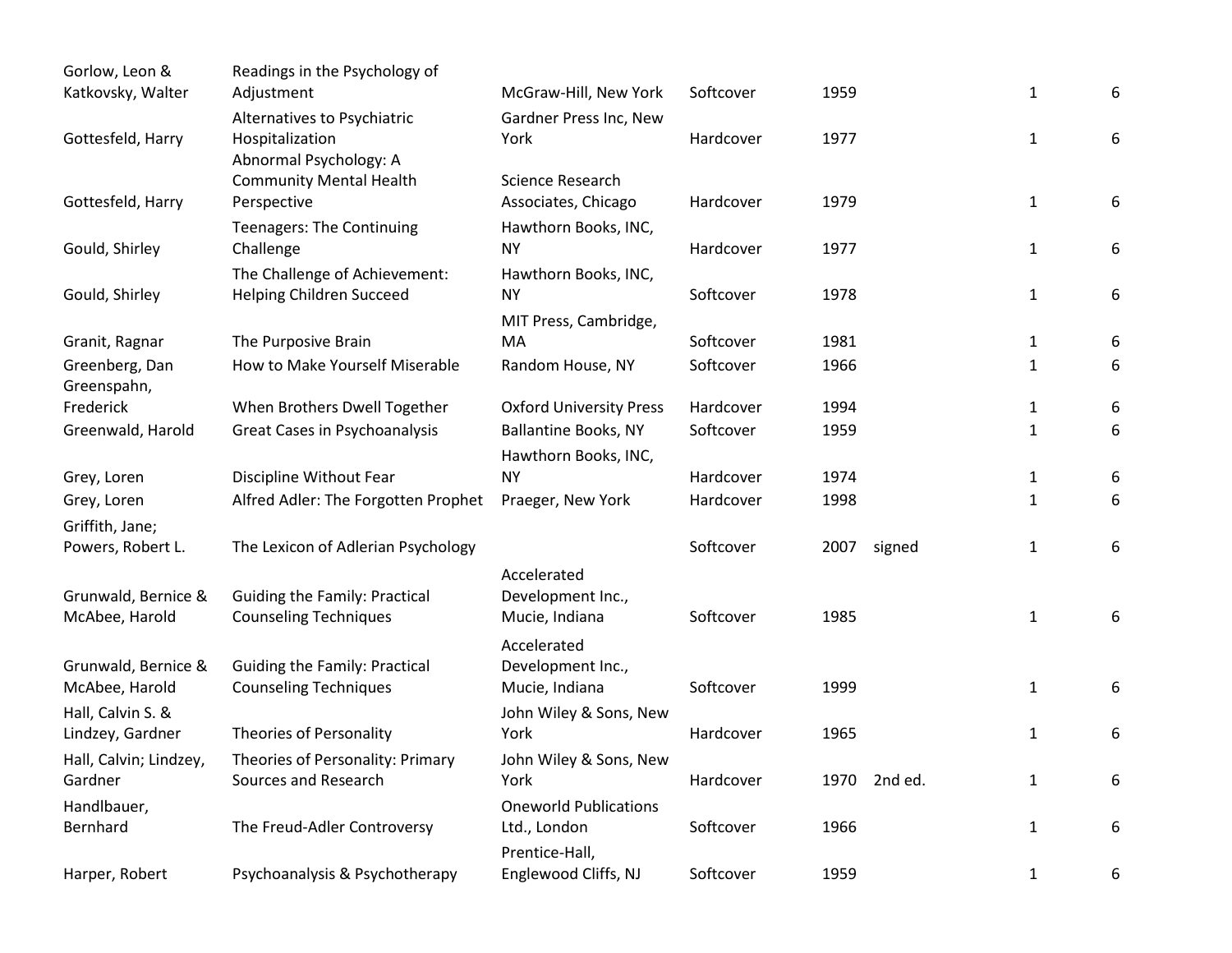| Gorlow, Leon &                    | Readings in the Psychology of                                            |                                                     |           |      |              |              |   |
|-----------------------------------|--------------------------------------------------------------------------|-----------------------------------------------------|-----------|------|--------------|--------------|---|
| Katkovsky, Walter                 | Adjustment                                                               | McGraw-Hill, New York                               | Softcover | 1959 |              | 1            | 6 |
| Gottesfeld, Harry                 | Alternatives to Psychiatric<br>Hospitalization<br>Abnormal Psychology: A | Gardner Press Inc, New<br>York                      | Hardcover | 1977 |              | $\mathbf{1}$ | 6 |
|                                   | <b>Community Mental Health</b>                                           | Science Research                                    |           |      |              |              |   |
| Gottesfeld, Harry                 | Perspective                                                              | Associates, Chicago                                 | Hardcover | 1979 |              | $\mathbf{1}$ | 6 |
| Gould, Shirley                    | <b>Teenagers: The Continuing</b><br>Challenge                            | Hawthorn Books, INC,<br><b>NY</b>                   | Hardcover | 1977 |              | $\mathbf{1}$ | 6 |
|                                   | The Challenge of Achievement:                                            | Hawthorn Books, INC,                                |           |      |              |              |   |
| Gould, Shirley                    | Helping Children Succeed                                                 | <b>NY</b>                                           | Softcover | 1978 |              | 1            | 6 |
|                                   |                                                                          | MIT Press, Cambridge,                               |           |      |              |              |   |
| Granit, Ragnar                    | The Purposive Brain                                                      | MA                                                  | Softcover | 1981 |              | 1            | 6 |
| Greenberg, Dan<br>Greenspahn,     | How to Make Yourself Miserable                                           | Random House, NY                                    | Softcover | 1966 |              | 1            | 6 |
| Frederick                         | When Brothers Dwell Together                                             | <b>Oxford University Press</b>                      | Hardcover | 1994 |              | $\mathbf{1}$ | 6 |
| Greenwald, Harold                 | Great Cases in Psychoanalysis                                            | <b>Ballantine Books, NY</b><br>Hawthorn Books, INC, | Softcover | 1959 |              | $\mathbf{1}$ | 6 |
| Grey, Loren                       | Discipline Without Fear                                                  | <b>NY</b>                                           | Hardcover | 1974 |              | $\mathbf{1}$ | 6 |
| Grey, Loren                       | Alfred Adler: The Forgotten Prophet                                      | Praeger, New York                                   | Hardcover | 1998 |              | 1            | 6 |
| Griffith, Jane;                   |                                                                          |                                                     |           |      |              |              |   |
| Powers, Robert L.                 | The Lexicon of Adlerian Psychology                                       |                                                     | Softcover | 2007 | signed       | 1            | 6 |
|                                   |                                                                          | Accelerated                                         |           |      |              |              |   |
| Grunwald, Bernice &               | <b>Guiding the Family: Practical</b>                                     | Development Inc.,                                   |           |      |              |              |   |
| McAbee, Harold                    | <b>Counseling Techniques</b>                                             | Mucie, Indiana                                      | Softcover | 1985 |              | $\mathbf{1}$ | 6 |
|                                   |                                                                          | Accelerated                                         |           |      |              |              |   |
| Grunwald, Bernice &               | <b>Guiding the Family: Practical</b>                                     | Development Inc.,                                   |           |      |              |              |   |
| McAbee, Harold                    | <b>Counseling Techniques</b>                                             | Mucie, Indiana                                      | Softcover | 1999 |              | 1            | 6 |
| Hall, Calvin S. &                 | <b>Theories of Personality</b>                                           | John Wiley & Sons, New                              | Hardcover | 1965 |              |              |   |
| Lindzey, Gardner                  |                                                                          | York                                                |           |      |              | 1            | 6 |
| Hall, Calvin; Lindzey,<br>Gardner | Theories of Personality: Primary<br>Sources and Research                 | John Wiley & Sons, New<br>York                      | Hardcover |      | 1970 2nd ed. | $\mathbf{1}$ | 6 |
| Handlbauer,                       |                                                                          | <b>Oneworld Publications</b>                        |           |      |              |              |   |
| Bernhard                          | The Freud-Adler Controversy                                              | Ltd., London                                        | Softcover | 1966 |              | $\mathbf{1}$ | 6 |
|                                   |                                                                          | Prentice-Hall,                                      |           |      |              |              |   |
| Harper, Robert                    | Psychoanalysis & Psychotherapy                                           | Englewood Cliffs, NJ                                | Softcover | 1959 |              | $\mathbf{1}$ | 6 |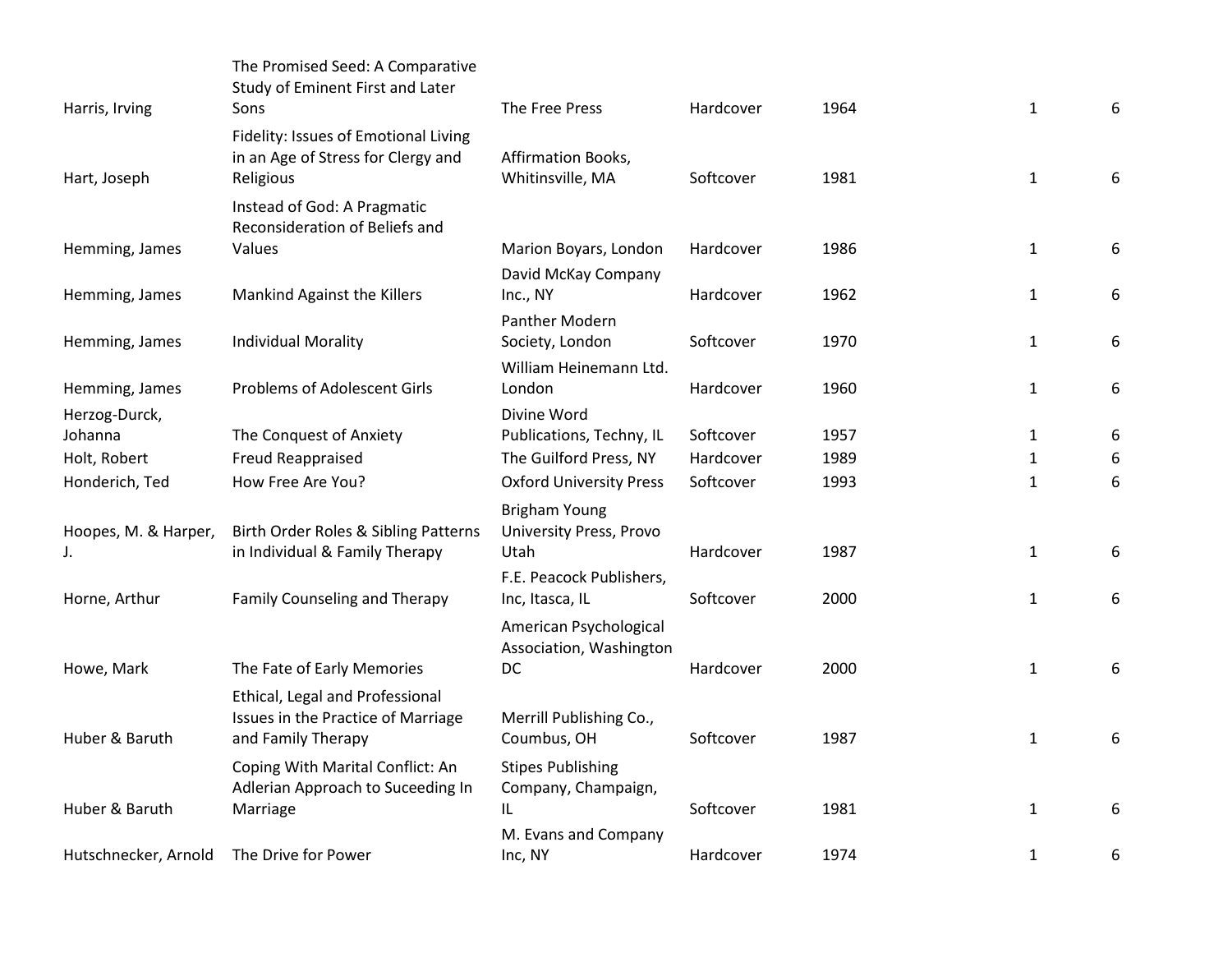| Harris, Irving                  | The Promised Seed: A Comparative<br>Study of Eminent First and Later<br>Sons                | The Free Press                                          | Hardcover | 1964 | $\mathbf{1}$ | 6 |
|---------------------------------|---------------------------------------------------------------------------------------------|---------------------------------------------------------|-----------|------|--------------|---|
| Hart, Joseph                    | Fidelity: Issues of Emotional Living<br>in an Age of Stress for Clergy and<br>Religious     | Affirmation Books,<br>Whitinsville, MA                  | Softcover | 1981 | $\mathbf{1}$ | 6 |
|                                 | Instead of God: A Pragmatic<br>Reconsideration of Beliefs and                               |                                                         |           |      |              |   |
| Hemming, James                  | Values                                                                                      | Marion Boyars, London<br>David McKay Company            | Hardcover | 1986 | $\mathbf{1}$ | 6 |
| Hemming, James                  | Mankind Against the Killers                                                                 | Inc., NY<br><b>Panther Modern</b>                       | Hardcover | 1962 | $\mathbf{1}$ | 6 |
| Hemming, James                  | <b>Individual Morality</b>                                                                  | Society, London<br>William Heinemann Ltd.               | Softcover | 1970 | $\mathbf{1}$ | 6 |
| Hemming, James<br>Herzog-Durck, | <b>Problems of Adolescent Girls</b>                                                         | London<br>Divine Word                                   | Hardcover | 1960 | $\mathbf{1}$ | 6 |
| Johanna                         | The Conquest of Anxiety                                                                     | Publications, Techny, IL                                | Softcover | 1957 | $\mathbf{1}$ | 6 |
| Holt, Robert                    | Freud Reappraised                                                                           | The Guilford Press, NY                                  | Hardcover | 1989 | $\mathbf{1}$ | 6 |
| Honderich, Ted                  | How Free Are You?                                                                           | <b>Oxford University Press</b>                          | Softcover | 1993 | 1            | 6 |
| Hoopes, M. & Harper,            | Birth Order Roles & Sibling Patterns<br>in Individual & Family Therapy                      | <b>Brigham Young</b><br>University Press, Provo<br>Utah | Hardcover | 1987 | $\mathbf{1}$ | 6 |
| Horne, Arthur                   | Family Counseling and Therapy                                                               | F.E. Peacock Publishers,<br>Inc, Itasca, IL             | Softcover | 2000 | $\mathbf{1}$ | 6 |
|                                 |                                                                                             | American Psychological<br>Association, Washington       |           |      |              |   |
| Howe, Mark                      | The Fate of Early Memories                                                                  | DC                                                      | Hardcover | 2000 | $\mathbf{1}$ | 6 |
| Huber & Baruth                  | Ethical, Legal and Professional<br>Issues in the Practice of Marriage<br>and Family Therapy | Merrill Publishing Co.,<br>Coumbus, OH                  | Softcover | 1987 | $\mathbf{1}$ | 6 |
| Huber & Baruth                  | Coping With Marital Conflict: An<br>Adlerian Approach to Suceeding In<br>Marriage           | <b>Stipes Publishing</b><br>Company, Champaign,<br>IL   | Softcover | 1981 | $\mathbf{1}$ | 6 |
| Hutschnecker, Arnold            | The Drive for Power                                                                         | M. Evans and Company<br>Inc, NY                         | Hardcover | 1974 | $\mathbf{1}$ | 6 |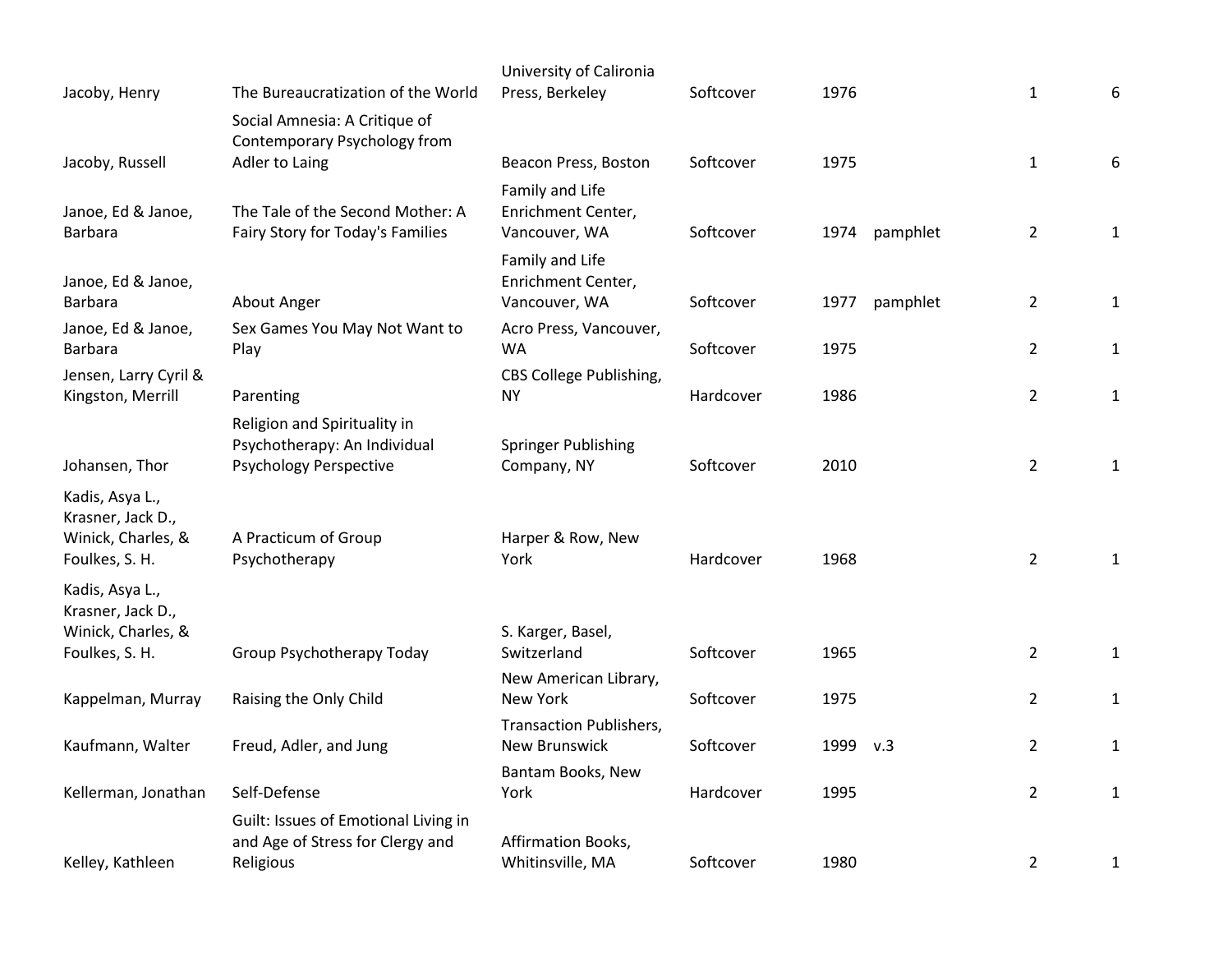|                                            |                                                               | University of Calironia                     |           |          |          |                |              |
|--------------------------------------------|---------------------------------------------------------------|---------------------------------------------|-----------|----------|----------|----------------|--------------|
| Jacoby, Henry                              | The Bureaucratization of the World                            | Press, Berkeley                             | Softcover | 1976     |          | $\mathbf{1}$   | 6            |
|                                            | Social Amnesia: A Critique of<br>Contemporary Psychology from |                                             |           |          |          |                |              |
| Jacoby, Russell                            | Adler to Laing                                                | Beacon Press, Boston                        | Softcover | 1975     |          | $\mathbf{1}$   | 6            |
|                                            |                                                               | Family and Life                             |           |          |          |                |              |
| Janoe, Ed & Janoe,                         | The Tale of the Second Mother: A                              | Enrichment Center,                          |           |          |          |                |              |
| <b>Barbara</b>                             | Fairy Story for Today's Families                              | Vancouver, WA                               | Softcover | 1974     | pamphlet | $\overline{2}$ | $\mathbf{1}$ |
|                                            |                                                               | Family and Life                             |           |          |          |                |              |
| Janoe, Ed & Janoe,                         |                                                               | Enrichment Center,                          |           |          |          |                |              |
| <b>Barbara</b>                             | About Anger                                                   | Vancouver, WA                               | Softcover | 1977     | pamphlet | $\overline{2}$ | $\mathbf{1}$ |
| Janoe, Ed & Janoe,                         | Sex Games You May Not Want to                                 | Acro Press, Vancouver,                      |           |          |          |                |              |
| <b>Barbara</b>                             | Play                                                          | WA                                          | Softcover | 1975     |          | $\overline{2}$ | $\mathbf{1}$ |
| Jensen, Larry Cyril &<br>Kingston, Merrill | Parenting                                                     | <b>CBS College Publishing,</b><br><b>NY</b> | Hardcover | 1986     |          | $\overline{2}$ | $\mathbf{1}$ |
|                                            |                                                               |                                             |           |          |          |                |              |
|                                            | Religion and Spirituality in<br>Psychotherapy: An Individual  | Springer Publishing                         |           |          |          |                |              |
| Johansen, Thor                             | <b>Psychology Perspective</b>                                 | Company, NY                                 | Softcover | 2010     |          | $\overline{2}$ | $\mathbf{1}$ |
|                                            |                                                               |                                             |           |          |          |                |              |
| Kadis, Asya L.,<br>Krasner, Jack D.,       |                                                               |                                             |           |          |          |                |              |
| Winick, Charles, &                         | A Practicum of Group                                          | Harper & Row, New                           |           |          |          |                |              |
| Foulkes, S. H.                             | Psychotherapy                                                 | York                                        | Hardcover | 1968     |          | $\overline{2}$ | $\mathbf{1}$ |
| Kadis, Asya L.,                            |                                                               |                                             |           |          |          |                |              |
| Krasner, Jack D.,                          |                                                               |                                             |           |          |          |                |              |
| Winick, Charles, &                         |                                                               | S. Karger, Basel,                           |           |          |          |                |              |
| Foulkes, S. H.                             | Group Psychotherapy Today                                     | Switzerland                                 | Softcover | 1965     |          | $\overline{2}$ | $\mathbf{1}$ |
|                                            |                                                               | New American Library,                       |           |          |          |                |              |
| Kappelman, Murray                          | Raising the Only Child                                        | New York                                    | Softcover | 1975     |          | $\overline{2}$ | $\mathbf{1}$ |
| Kaufmann, Walter                           | Freud, Adler, and Jung                                        | Transaction Publishers,<br>New Brunswick    | Softcover | 1999 v.3 |          | $\overline{2}$ | $\mathbf{1}$ |
|                                            |                                                               |                                             |           |          |          |                |              |
| Kellerman, Jonathan                        | Self-Defense                                                  | Bantam Books, New<br>York                   | Hardcover | 1995     |          | $\overline{2}$ | $\mathbf{1}$ |
|                                            | Guilt: Issues of Emotional Living in                          |                                             |           |          |          |                |              |
|                                            | and Age of Stress for Clergy and                              | Affirmation Books,                          |           |          |          |                |              |
| Kelley, Kathleen                           | Religious                                                     | Whitinsville, MA                            | Softcover | 1980     |          | $\overline{2}$ | $\mathbf{1}$ |
|                                            |                                                               |                                             |           |          |          |                |              |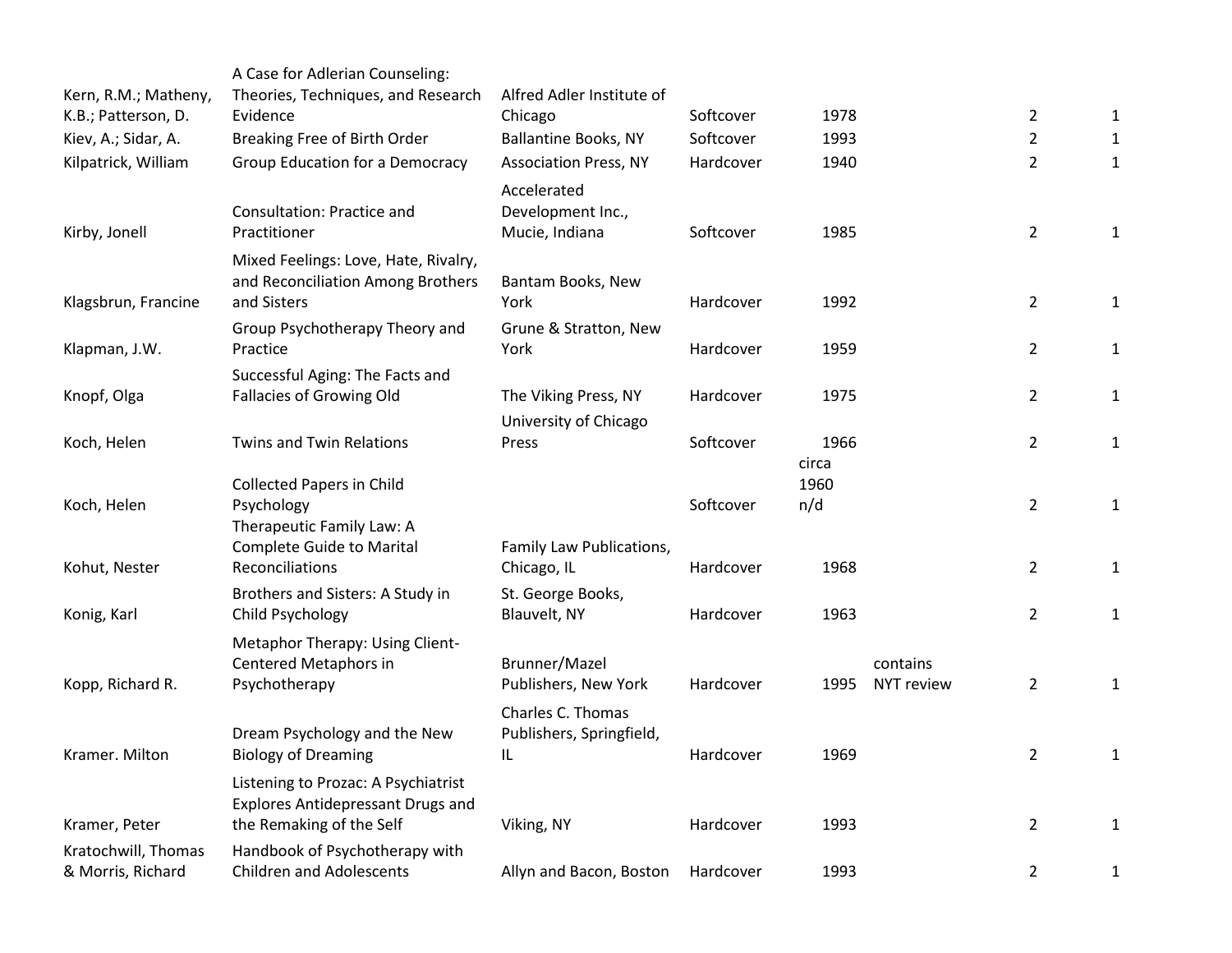|                                             | A Case for Adlerian Counseling:                                   | Alfred Adler Institute of    |           |               |                   |                |              |
|---------------------------------------------|-------------------------------------------------------------------|------------------------------|-----------|---------------|-------------------|----------------|--------------|
| Kern, R.M.; Matheny,<br>K.B.; Patterson, D. | Theories, Techniques, and Research<br>Evidence                    | Chicago                      | Softcover | 1978          |                   | $\overline{2}$ | 1            |
| Kiev, A.; Sidar, A.                         | Breaking Free of Birth Order                                      | Ballantine Books, NY         | Softcover | 1993          |                   | $\overline{2}$ | $\mathbf{1}$ |
| Kilpatrick, William                         | Group Education for a Democracy                                   | <b>Association Press, NY</b> | Hardcover | 1940          |                   | $\overline{2}$ | $\mathbf{1}$ |
|                                             |                                                                   | Accelerated                  |           |               |                   |                |              |
|                                             | <b>Consultation: Practice and</b>                                 | Development Inc.,            |           |               |                   |                |              |
| Kirby, Jonell                               | Practitioner                                                      | Mucie, Indiana               | Softcover | 1985          |                   | $\overline{2}$ | $\mathbf{1}$ |
|                                             | Mixed Feelings: Love, Hate, Rivalry,                              |                              |           |               |                   |                |              |
|                                             | and Reconciliation Among Brothers                                 | Bantam Books, New            |           |               |                   |                |              |
| Klagsbrun, Francine                         | and Sisters                                                       | York                         | Hardcover | 1992          |                   | $\overline{2}$ | 1            |
|                                             | Group Psychotherapy Theory and                                    | Grune & Stratton, New        |           |               |                   |                |              |
| Klapman, J.W.                               | Practice                                                          | York                         | Hardcover | 1959          |                   | $\overline{2}$ | $\mathbf{1}$ |
|                                             | Successful Aging: The Facts and                                   |                              |           |               |                   |                |              |
| Knopf, Olga                                 | Fallacies of Growing Old                                          | The Viking Press, NY         | Hardcover | 1975          |                   | $\overline{2}$ | 1            |
|                                             |                                                                   | University of Chicago        |           |               |                   |                |              |
| Koch, Helen                                 | Twins and Twin Relations                                          | Press                        | Softcover | 1966          |                   | $\overline{2}$ | $\mathbf{1}$ |
|                                             | <b>Collected Papers in Child</b>                                  |                              |           | circa<br>1960 |                   |                |              |
| Koch, Helen                                 | Psychology                                                        |                              | Softcover | n/d           |                   | $\overline{2}$ | $\mathbf{1}$ |
|                                             | Therapeutic Family Law: A                                         |                              |           |               |                   |                |              |
|                                             | <b>Complete Guide to Marital</b>                                  | Family Law Publications,     |           |               |                   |                |              |
| Kohut, Nester                               | Reconciliations                                                   | Chicago, IL                  | Hardcover | 1968          |                   | $\overline{2}$ | $\mathbf{1}$ |
|                                             | Brothers and Sisters: A Study in                                  | St. George Books,            |           |               |                   |                |              |
| Konig, Karl                                 | Child Psychology                                                  | Blauvelt, NY                 | Hardcover | 1963          |                   | $\overline{2}$ | $\mathbf{1}$ |
|                                             | Metaphor Therapy: Using Client-                                   |                              |           |               |                   |                |              |
|                                             | Centered Metaphors in                                             | Brunner/Mazel                |           |               | contains          |                |              |
| Kopp, Richard R.                            | Psychotherapy                                                     | Publishers, New York         | Hardcover | 1995          | <b>NYT review</b> | $\overline{2}$ | 1            |
|                                             |                                                                   | Charles C. Thomas            |           |               |                   |                |              |
|                                             | Dream Psychology and the New                                      | Publishers, Springfield,     |           |               |                   |                |              |
| Kramer. Milton                              | <b>Biology of Dreaming</b>                                        | IL                           | Hardcover | 1969          |                   | $\overline{2}$ | 1            |
|                                             | Listening to Prozac: A Psychiatrist                               |                              |           |               |                   |                |              |
|                                             | <b>Explores Antidepressant Drugs and</b>                          |                              |           |               |                   |                |              |
| Kramer, Peter                               | the Remaking of the Self                                          | Viking, NY                   | Hardcover | 1993          |                   | $\overline{2}$ | 1            |
| Kratochwill, Thomas<br>& Morris, Richard    | Handbook of Psychotherapy with<br><b>Children and Adolescents</b> | Allyn and Bacon, Boston      | Hardcover | 1993          |                   | $\overline{2}$ |              |
|                                             |                                                                   |                              |           |               |                   |                | 1            |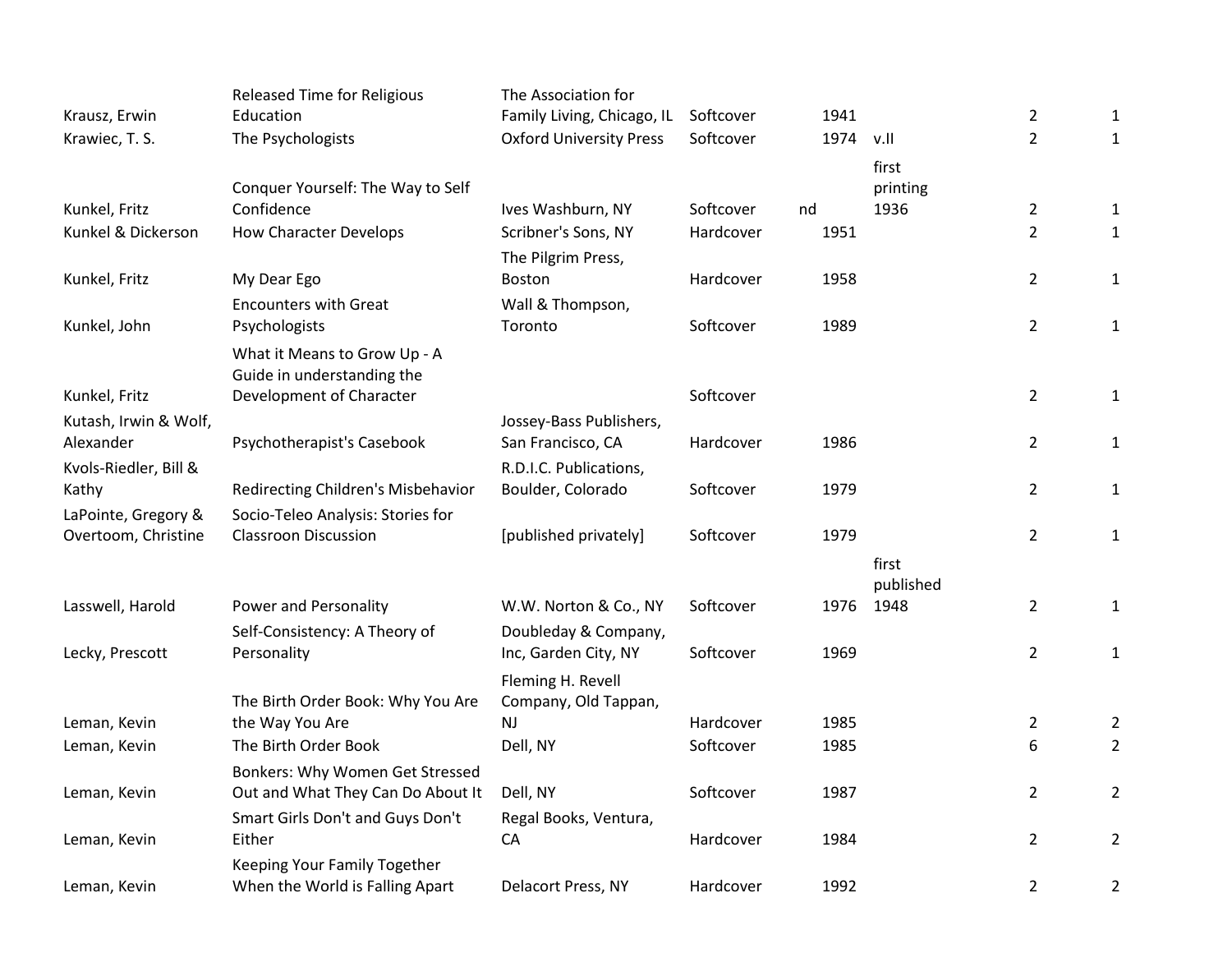|                       | <b>Released Time for Religious</b> | The Association for            |           |      |           |                |                |
|-----------------------|------------------------------------|--------------------------------|-----------|------|-----------|----------------|----------------|
| Krausz, Erwin         | Education                          | Family Living, Chicago, IL     | Softcover | 1941 |           | $\overline{2}$ | $\mathbf{1}$   |
| Krawiec, T. S.        | The Psychologists                  | <b>Oxford University Press</b> | Softcover | 1974 | v.II      | $\overline{2}$ | $\mathbf{1}$   |
|                       |                                    |                                |           |      | first     |                |                |
|                       | Conquer Yourself: The Way to Self  |                                |           |      | printing  |                |                |
| Kunkel, Fritz         | Confidence                         | Ives Washburn, NY              | Softcover | nd   | 1936      | $\overline{2}$ | $\mathbf{1}$   |
| Kunkel & Dickerson    | <b>How Character Develops</b>      | Scribner's Sons, NY            | Hardcover | 1951 |           | $\overline{2}$ | $\mathbf{1}$   |
|                       |                                    | The Pilgrim Press,             |           |      |           |                |                |
| Kunkel, Fritz         | My Dear Ego                        | Boston                         | Hardcover | 1958 |           | $\overline{2}$ | $\mathbf{1}$   |
|                       | <b>Encounters with Great</b>       | Wall & Thompson,               |           |      |           |                |                |
| Kunkel, John          | Psychologists                      | Toronto                        | Softcover | 1989 |           | $\overline{2}$ | $\mathbf{1}$   |
|                       | What it Means to Grow Up - A       |                                |           |      |           |                |                |
|                       | Guide in understanding the         |                                |           |      |           |                |                |
| Kunkel, Fritz         | Development of Character           |                                | Softcover |      |           | $\overline{2}$ | $\mathbf{1}$   |
| Kutash, Irwin & Wolf, |                                    | Jossey-Bass Publishers,        |           |      |           |                |                |
| Alexander             | Psychotherapist's Casebook         | San Francisco, CA              | Hardcover | 1986 |           | $\overline{2}$ | $\mathbf{1}$   |
| Kvols-Riedler, Bill & |                                    | R.D.I.C. Publications,         |           |      |           |                |                |
| Kathy                 | Redirecting Children's Misbehavior | Boulder, Colorado              | Softcover | 1979 |           | $\overline{2}$ | $\mathbf{1}$   |
| LaPointe, Gregory &   | Socio-Teleo Analysis: Stories for  |                                |           |      |           |                |                |
| Overtoom, Christine   | <b>Classroon Discussion</b>        | [published privately]          | Softcover | 1979 |           | $\overline{2}$ | $\mathbf{1}$   |
|                       |                                    |                                |           |      | first     |                |                |
|                       |                                    |                                |           |      | published |                |                |
| Lasswell, Harold      | Power and Personality              | W.W. Norton & Co., NY          | Softcover | 1976 | 1948      | $\overline{2}$ | $\mathbf{1}$   |
|                       | Self-Consistency: A Theory of      | Doubleday & Company,           |           |      |           |                |                |
| Lecky, Prescott       | Personality                        | Inc, Garden City, NY           | Softcover | 1969 |           | $\overline{2}$ | $\mathbf{1}$   |
|                       |                                    | Fleming H. Revell              |           |      |           |                |                |
|                       | The Birth Order Book: Why You Are  | Company, Old Tappan,           |           |      |           |                |                |
| Leman, Kevin          | the Way You Are                    | <b>NJ</b>                      | Hardcover | 1985 |           | $\overline{2}$ | $\overline{2}$ |
| Leman, Kevin          | The Birth Order Book               | Dell, NY                       | Softcover | 1985 |           | 6              | $\overline{2}$ |
|                       | Bonkers: Why Women Get Stressed    |                                |           |      |           |                |                |
| Leman, Kevin          | Out and What They Can Do About It  | Dell, NY                       | Softcover | 1987 |           | $\overline{2}$ | $\overline{2}$ |
|                       | Smart Girls Don't and Guys Don't   | Regal Books, Ventura,          |           |      |           |                |                |
| Leman, Kevin          | Either                             | CA                             | Hardcover | 1984 |           | $\overline{2}$ | $\overline{2}$ |
|                       | Keeping Your Family Together       |                                |           |      |           |                |                |
| Leman, Kevin          | When the World is Falling Apart    | Delacort Press, NY             | Hardcover | 1992 |           | $\overline{2}$ | $\overline{2}$ |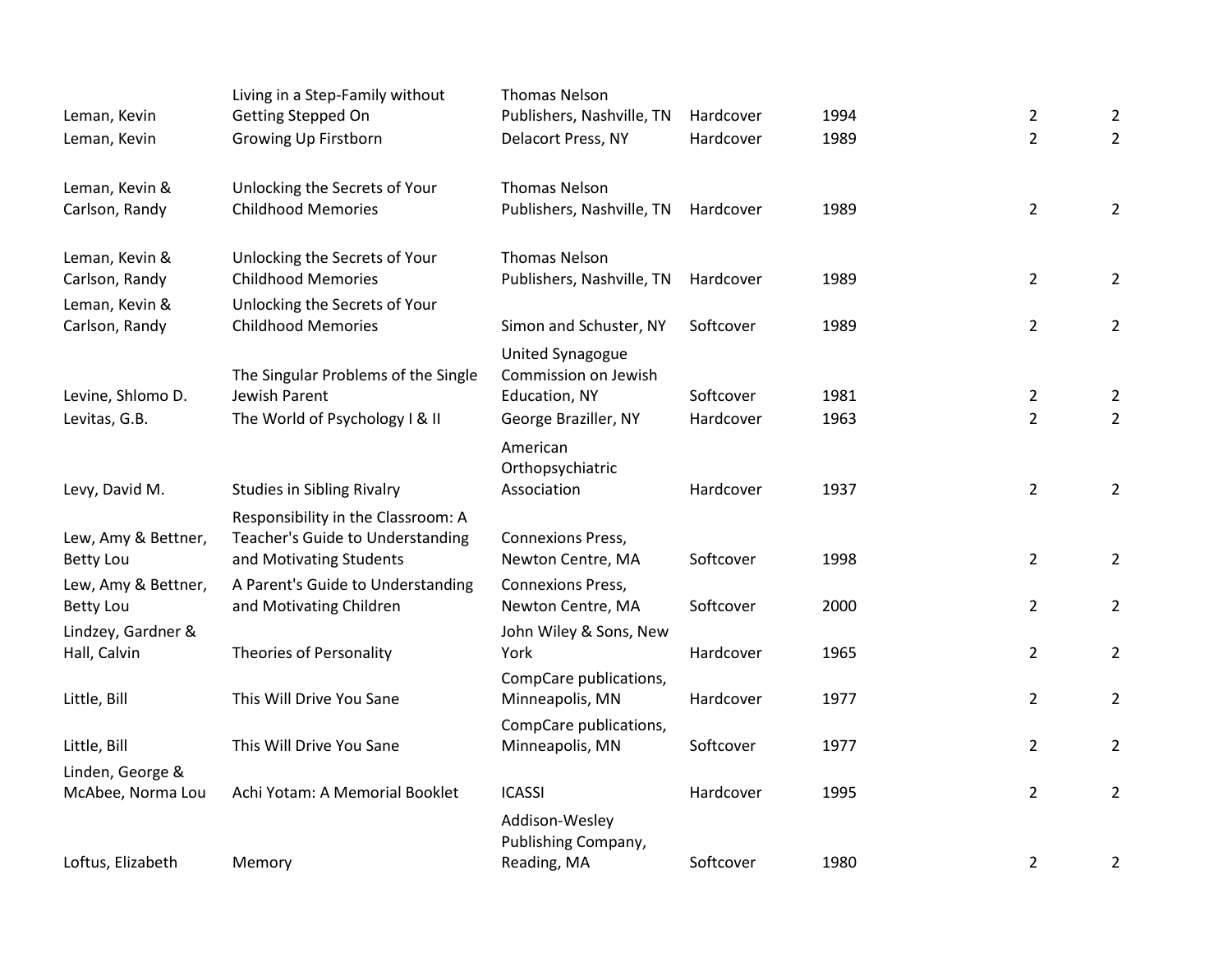|                                         | Living in a Step-Family without                             | <b>Thomas Nelson</b>                   |           |      |                |                |
|-----------------------------------------|-------------------------------------------------------------|----------------------------------------|-----------|------|----------------|----------------|
| Leman, Kevin                            | Getting Stepped On                                          | Publishers, Nashville, TN              | Hardcover | 1994 | $\overline{2}$ | $\overline{2}$ |
| Leman, Kevin                            | Growing Up Firstborn                                        | Delacort Press, NY                     | Hardcover | 1989 | $\overline{2}$ | $\overline{2}$ |
| Leman, Kevin &                          | Unlocking the Secrets of Your                               | <b>Thomas Nelson</b>                   |           |      |                |                |
| Carlson, Randy                          | <b>Childhood Memories</b>                                   | Publishers, Nashville, TN              | Hardcover | 1989 | $\overline{2}$ | $\overline{2}$ |
| Leman, Kevin &                          | Unlocking the Secrets of Your                               | <b>Thomas Nelson</b>                   |           |      |                |                |
| Carlson, Randy                          | <b>Childhood Memories</b>                                   | Publishers, Nashville, TN              | Hardcover | 1989 | $\overline{2}$ | $\overline{2}$ |
| Leman, Kevin &                          | Unlocking the Secrets of Your                               |                                        |           |      |                |                |
| Carlson, Randy                          | <b>Childhood Memories</b>                                   | Simon and Schuster, NY                 | Softcover | 1989 | $\overline{2}$ | $\overline{2}$ |
|                                         |                                                             | <b>United Synagogue</b>                |           |      |                |                |
|                                         | The Singular Problems of the Single                         | Commission on Jewish                   |           |      |                |                |
| Levine, Shlomo D.                       | Jewish Parent                                               | Education, NY                          | Softcover | 1981 | $\overline{2}$ | $\overline{2}$ |
| Levitas, G.B.                           | The World of Psychology I & II                              | George Braziller, NY                   | Hardcover | 1963 | $\overline{2}$ | $\overline{2}$ |
|                                         |                                                             | American                               |           |      |                |                |
| Levy, David M.                          |                                                             | Orthopsychiatric<br>Association        | Hardcover | 1937 | $\overline{2}$ | $\overline{2}$ |
|                                         | <b>Studies in Sibling Rivalry</b>                           |                                        |           |      |                |                |
|                                         | Responsibility in the Classroom: A                          |                                        |           |      |                |                |
| Lew, Amy & Bettner,<br><b>Betty Lou</b> | Teacher's Guide to Understanding<br>and Motivating Students | Connexions Press,<br>Newton Centre, MA | Softcover | 1998 | $\overline{2}$ | $\overline{2}$ |
| Lew, Amy & Bettner,                     | A Parent's Guide to Understanding                           | <b>Connexions Press,</b>               |           |      |                |                |
| <b>Betty Lou</b>                        | and Motivating Children                                     | Newton Centre, MA                      | Softcover | 2000 | $\overline{2}$ | $\overline{2}$ |
| Lindzey, Gardner &                      |                                                             | John Wiley & Sons, New                 |           |      |                |                |
| Hall, Calvin                            | Theories of Personality                                     | York                                   | Hardcover | 1965 | $\overline{2}$ | $\overline{2}$ |
|                                         |                                                             | CompCare publications,                 |           |      |                |                |
| Little, Bill                            | This Will Drive You Sane                                    | Minneapolis, MN                        | Hardcover | 1977 | $\overline{2}$ | $\overline{2}$ |
|                                         |                                                             | CompCare publications,                 |           |      |                |                |
| Little, Bill                            | This Will Drive You Sane                                    | Minneapolis, MN                        | Softcover | 1977 | $\overline{2}$ | $\overline{2}$ |
| Linden, George &                        |                                                             |                                        |           |      |                |                |
| McAbee, Norma Lou                       | Achi Yotam: A Memorial Booklet                              | <b>ICASSI</b>                          | Hardcover | 1995 | $\overline{2}$ | $\overline{2}$ |
|                                         |                                                             | Addison-Wesley                         |           |      |                |                |
|                                         |                                                             | Publishing Company,                    |           |      |                |                |
| Loftus, Elizabeth                       | Memory                                                      | Reading, MA                            | Softcover | 1980 | $\overline{2}$ | $\overline{2}$ |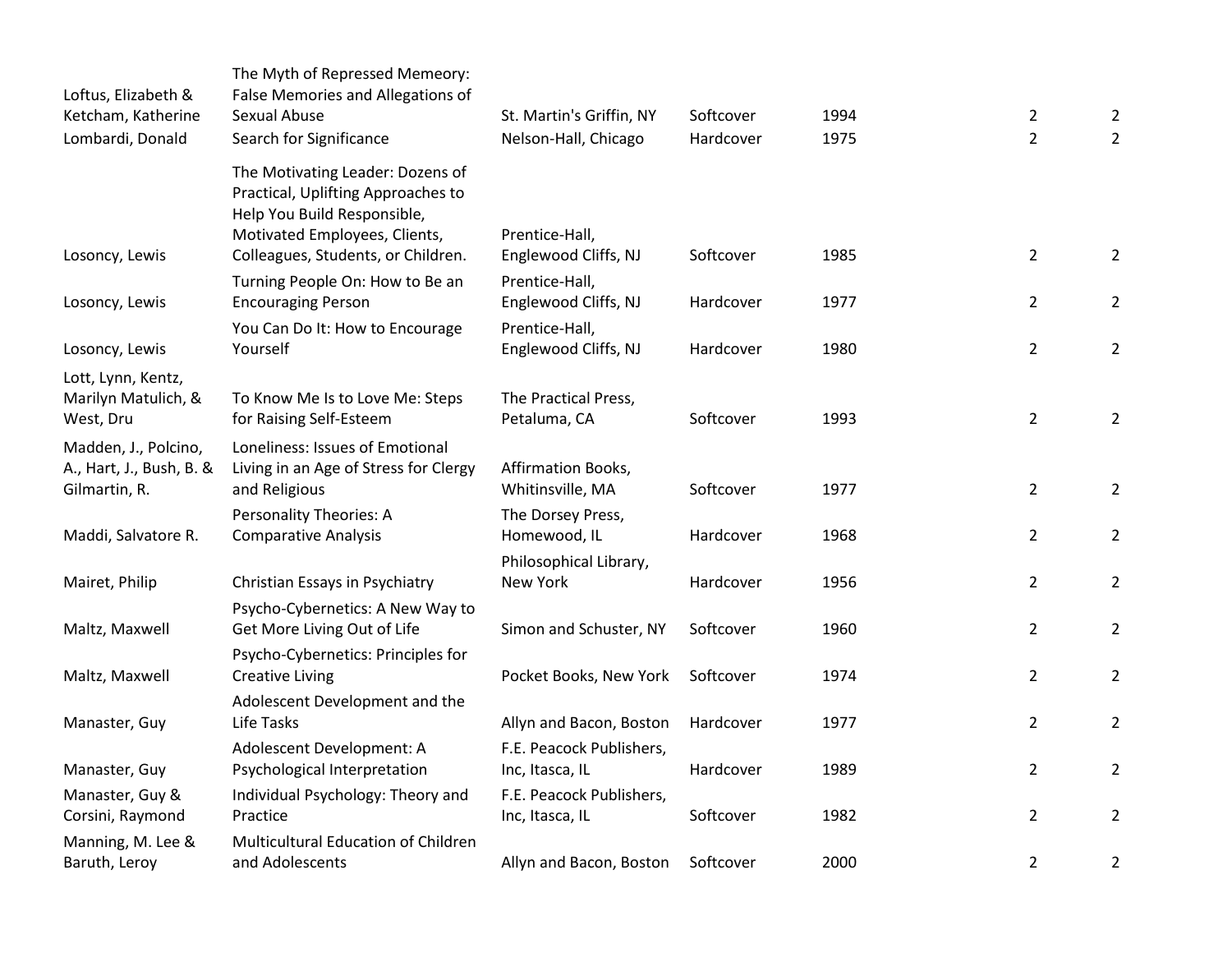| Loftus, Elizabeth &<br>Ketcham, Katherine                         | The Myth of Repressed Memeory:<br>False Memories and Allegations of<br><b>Sexual Abuse</b>                                                                                   | St. Martin's Griffin, NY                                    | Softcover | 1994 | $\overline{2}$ | $\overline{2}$ |
|-------------------------------------------------------------------|------------------------------------------------------------------------------------------------------------------------------------------------------------------------------|-------------------------------------------------------------|-----------|------|----------------|----------------|
| Lombardi, Donald                                                  | Search for Significance                                                                                                                                                      | Nelson-Hall, Chicago                                        | Hardcover | 1975 | $\overline{2}$ | $\overline{2}$ |
| Losoncy, Lewis                                                    | The Motivating Leader: Dozens of<br>Practical, Uplifting Approaches to<br>Help You Build Responsible,<br>Motivated Employees, Clients,<br>Colleagues, Students, or Children. | Prentice-Hall,<br>Englewood Cliffs, NJ                      | Softcover | 1985 | $\overline{2}$ | $\overline{2}$ |
| Losoncy, Lewis                                                    | Turning People On: How to Be an<br><b>Encouraging Person</b>                                                                                                                 | Prentice-Hall,<br>Englewood Cliffs, NJ                      | Hardcover | 1977 | $\overline{2}$ | $\overline{2}$ |
| Losoncy, Lewis                                                    | You Can Do It: How to Encourage<br>Yourself                                                                                                                                  | Prentice-Hall,<br>Englewood Cliffs, NJ                      | Hardcover | 1980 | $\overline{2}$ | $\overline{2}$ |
| Lott, Lynn, Kentz,<br>Marilyn Matulich, &<br>West, Dru            | To Know Me Is to Love Me: Steps<br>for Raising Self-Esteem                                                                                                                   | The Practical Press,<br>Petaluma, CA                        | Softcover | 1993 | $\overline{2}$ | $\overline{2}$ |
| Madden, J., Polcino,<br>A., Hart, J., Bush, B. &<br>Gilmartin, R. | Loneliness: Issues of Emotional<br>Living in an Age of Stress for Clergy<br>and Religious                                                                                    | Affirmation Books,<br>Whitinsville, MA                      | Softcover | 1977 | $\overline{2}$ | $\overline{2}$ |
| Maddi, Salvatore R.                                               | <b>Personality Theories: A</b><br><b>Comparative Analysis</b>                                                                                                                | The Dorsey Press,<br>Homewood, IL<br>Philosophical Library, | Hardcover | 1968 | $\overline{2}$ | $\overline{2}$ |
| Mairet, Philip                                                    | Christian Essays in Psychiatry                                                                                                                                               | New York                                                    | Hardcover | 1956 | $\overline{2}$ | $\overline{2}$ |
| Maltz, Maxwell                                                    | Psycho-Cybernetics: A New Way to<br>Get More Living Out of Life                                                                                                              | Simon and Schuster, NY                                      | Softcover | 1960 | $\overline{2}$ | $\overline{2}$ |
| Maltz, Maxwell                                                    | Psycho-Cybernetics: Principles for<br><b>Creative Living</b>                                                                                                                 | Pocket Books, New York                                      | Softcover | 1974 | $\overline{2}$ | $\overline{2}$ |
| Manaster, Guy                                                     | Adolescent Development and the<br>Life Tasks                                                                                                                                 | Allyn and Bacon, Boston                                     | Hardcover | 1977 | $\overline{2}$ | $\overline{2}$ |
| Manaster, Guy                                                     | Adolescent Development: A<br>Psychological Interpretation                                                                                                                    | F.E. Peacock Publishers,<br>Inc, Itasca, IL                 | Hardcover | 1989 | $\overline{2}$ | $\overline{2}$ |
| Manaster, Guy &<br>Corsini, Raymond                               | Individual Psychology: Theory and<br>Practice                                                                                                                                | F.E. Peacock Publishers,<br>Inc, Itasca, IL                 | Softcover | 1982 | $\overline{2}$ | $\overline{2}$ |
| Manning, M. Lee &<br>Baruth, Leroy                                | Multicultural Education of Children<br>and Adolescents                                                                                                                       | Allyn and Bacon, Boston                                     | Softcover | 2000 | $\overline{2}$ | $\overline{2}$ |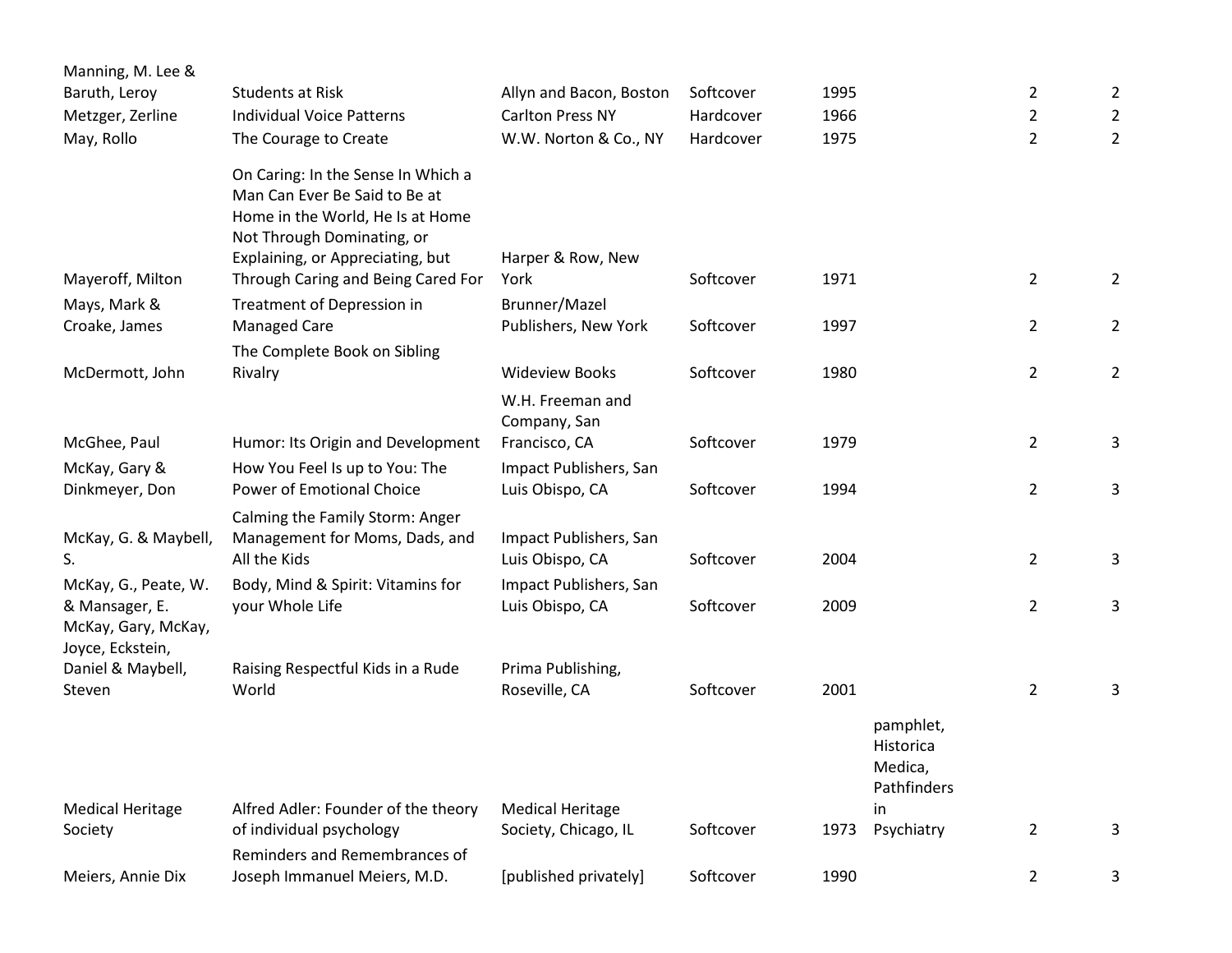| Manning, M. Lee &                                             |                                                                                                                                                                           |                                           |           |      |                                                  |                |                |
|---------------------------------------------------------------|---------------------------------------------------------------------------------------------------------------------------------------------------------------------------|-------------------------------------------|-----------|------|--------------------------------------------------|----------------|----------------|
| Baruth, Leroy                                                 | <b>Students at Risk</b>                                                                                                                                                   | Allyn and Bacon, Boston                   | Softcover | 1995 |                                                  | $\overline{2}$ | 2              |
| Metzger, Zerline                                              | <b>Individual Voice Patterns</b>                                                                                                                                          | <b>Carlton Press NY</b>                   | Hardcover | 1966 |                                                  | $\overline{2}$ | $\overline{2}$ |
| May, Rollo                                                    | The Courage to Create                                                                                                                                                     | W.W. Norton & Co., NY                     | Hardcover | 1975 |                                                  | $\overline{2}$ | $\overline{2}$ |
|                                                               | On Caring: In the Sense In Which a<br>Man Can Ever Be Said to Be at<br>Home in the World, He Is at Home<br>Not Through Dominating, or<br>Explaining, or Appreciating, but | Harper & Row, New                         |           |      |                                                  |                |                |
| Mayeroff, Milton                                              | Through Caring and Being Cared For                                                                                                                                        | York                                      | Softcover | 1971 |                                                  | $\overline{2}$ | $\overline{2}$ |
| Mays, Mark &                                                  | Treatment of Depression in                                                                                                                                                | Brunner/Mazel                             |           |      |                                                  |                |                |
| Croake, James                                                 | <b>Managed Care</b>                                                                                                                                                       | Publishers, New York                      | Softcover | 1997 |                                                  | $\overline{2}$ | $\overline{2}$ |
|                                                               | The Complete Book on Sibling                                                                                                                                              |                                           |           |      |                                                  |                |                |
| McDermott, John                                               | Rivalry                                                                                                                                                                   | <b>Wideview Books</b>                     | Softcover | 1980 |                                                  | $\overline{2}$ | $\overline{2}$ |
|                                                               |                                                                                                                                                                           | W.H. Freeman and<br>Company, San          |           |      |                                                  |                |                |
| McGhee, Paul                                                  | Humor: Its Origin and Development                                                                                                                                         | Francisco, CA                             | Softcover | 1979 |                                                  | $\overline{2}$ | 3              |
| McKay, Gary &                                                 | How You Feel Is up to You: The                                                                                                                                            | Impact Publishers, San                    |           |      |                                                  |                |                |
| Dinkmeyer, Don                                                | Power of Emotional Choice                                                                                                                                                 | Luis Obispo, CA                           | Softcover | 1994 |                                                  | $\overline{2}$ | 3              |
| McKay, G. & Maybell,                                          | Calming the Family Storm: Anger<br>Management for Moms, Dads, and                                                                                                         | Impact Publishers, San                    |           |      |                                                  |                |                |
| S.                                                            | All the Kids                                                                                                                                                              | Luis Obispo, CA                           | Softcover | 2004 |                                                  | $\overline{2}$ | 3              |
| McKay, G., Peate, W.<br>& Mansager, E.<br>McKay, Gary, McKay, | Body, Mind & Spirit: Vitamins for<br>your Whole Life                                                                                                                      | Impact Publishers, San<br>Luis Obispo, CA | Softcover | 2009 |                                                  | $\overline{2}$ | 3              |
| Joyce, Eckstein,                                              |                                                                                                                                                                           |                                           |           |      |                                                  |                |                |
| Daniel & Maybell,<br>Steven                                   | Raising Respectful Kids in a Rude<br>World                                                                                                                                | Prima Publishing,<br>Roseville, CA        | Softcover | 2001 |                                                  | $\overline{2}$ | 3              |
|                                                               |                                                                                                                                                                           |                                           |           |      | pamphlet,<br>Historica<br>Medica,<br>Pathfinders |                |                |
| <b>Medical Heritage</b>                                       | Alfred Adler: Founder of the theory                                                                                                                                       | <b>Medical Heritage</b>                   |           |      | in                                               |                |                |
| Society                                                       | of individual psychology                                                                                                                                                  | Society, Chicago, IL                      | Softcover | 1973 | Psychiatry                                       | $\overline{2}$ | 3              |
| Meiers, Annie Dix                                             | Reminders and Remembrances of<br>Joseph Immanuel Meiers, M.D.                                                                                                             | [published privately]                     | Softcover | 1990 |                                                  | $\overline{2}$ | 3              |
|                                                               |                                                                                                                                                                           |                                           |           |      |                                                  |                |                |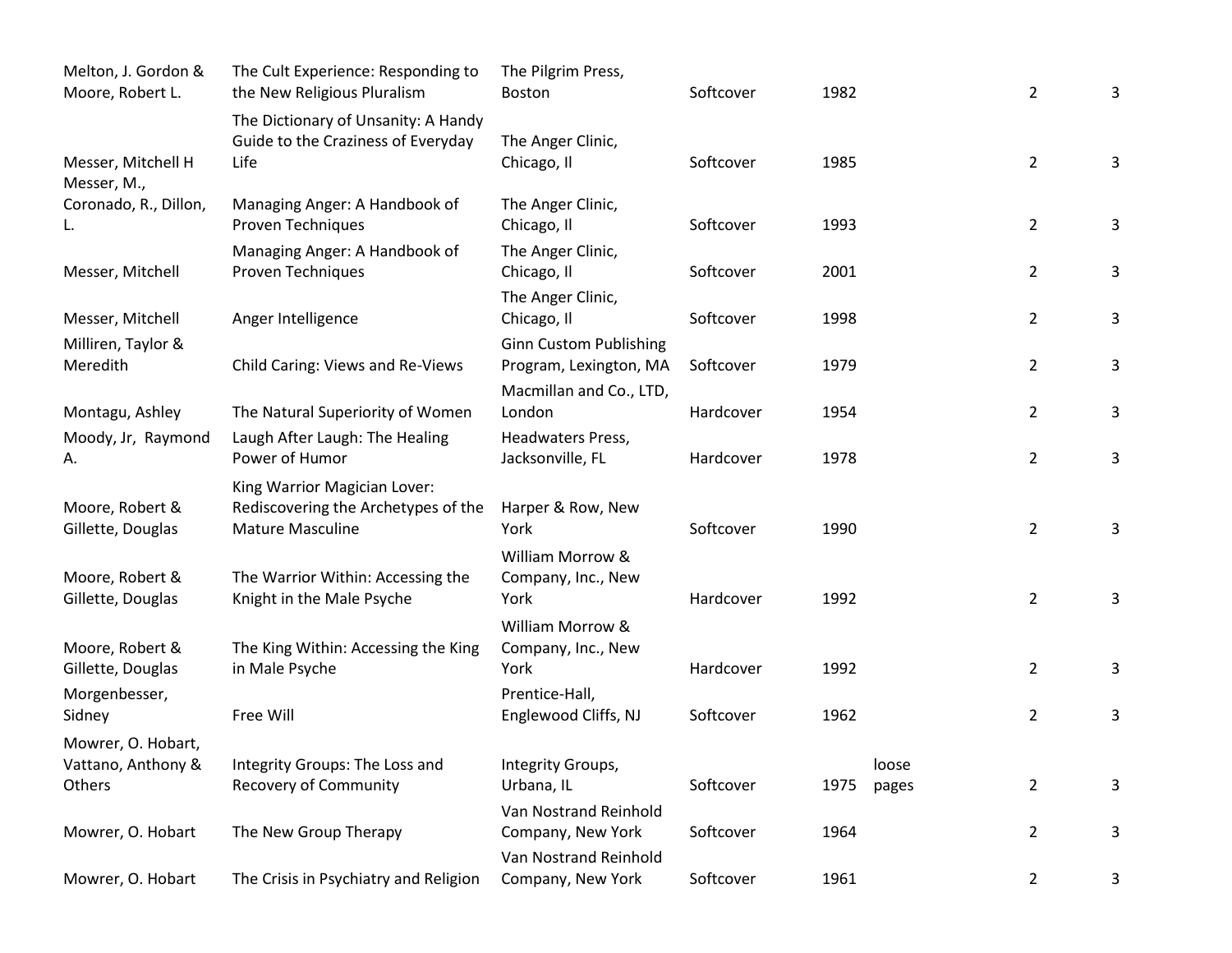| Melton, J. Gordon &<br>Moore, Robert L.            | The Cult Experience: Responding to<br>the New Religious Pluralism                       | The Pilgrim Press,<br><b>Boston</b>                                                | Softcover | 1982 |                | $\overline{2}$ | 3 |
|----------------------------------------------------|-----------------------------------------------------------------------------------------|------------------------------------------------------------------------------------|-----------|------|----------------|----------------|---|
| Messer, Mitchell H                                 | The Dictionary of Unsanity: A Handy<br>Guide to the Craziness of Everyday<br>Life       | The Anger Clinic,<br>Chicago, Il                                                   | Softcover | 1985 |                | $\overline{2}$ | 3 |
| Messer, M.,<br>Coronado, R., Dillon,<br>L.         | Managing Anger: A Handbook of<br><b>Proven Techniques</b>                               | The Anger Clinic,<br>Chicago, Il                                                   | Softcover | 1993 |                | $\overline{2}$ | 3 |
| Messer, Mitchell                                   | Managing Anger: A Handbook of<br>Proven Techniques                                      | The Anger Clinic,<br>Chicago, Il                                                   | Softcover | 2001 |                | $\overline{2}$ | 3 |
| Messer, Mitchell                                   | Anger Intelligence                                                                      | The Anger Clinic,<br>Chicago, Il                                                   | Softcover | 1998 |                | $\overline{2}$ | 3 |
| Milliren, Taylor &<br>Meredith                     | Child Caring: Views and Re-Views                                                        | <b>Ginn Custom Publishing</b><br>Program, Lexington, MA<br>Macmillan and Co., LTD, | Softcover | 1979 |                | $\overline{2}$ | 3 |
| Montagu, Ashley                                    | The Natural Superiority of Women                                                        | London                                                                             | Hardcover | 1954 |                | $\overline{2}$ | 3 |
| Moody, Jr, Raymond<br>А.                           | Laugh After Laugh: The Healing<br>Power of Humor                                        | Headwaters Press,<br>Jacksonville, FL                                              | Hardcover | 1978 |                | $\overline{2}$ | 3 |
| Moore, Robert &<br>Gillette, Douglas               | King Warrior Magician Lover:<br>Rediscovering the Archetypes of the<br>Mature Masculine | Harper & Row, New<br>York                                                          | Softcover | 1990 |                | $\overline{2}$ | 3 |
| Moore, Robert &<br>Gillette, Douglas               | The Warrior Within: Accessing the<br>Knight in the Male Psyche                          | William Morrow &<br>Company, Inc., New<br>York                                     | Hardcover | 1992 |                | $\overline{2}$ | 3 |
| Moore, Robert &<br>Gillette, Douglas               | The King Within: Accessing the King<br>in Male Psyche                                   | William Morrow &<br>Company, Inc., New<br>York                                     | Hardcover | 1992 |                | $\overline{2}$ | 3 |
| Morgenbesser,<br>Sidney                            | Free Will                                                                               | Prentice-Hall,<br>Englewood Cliffs, NJ                                             | Softcover | 1962 |                | $\overline{2}$ | 3 |
| Mowrer, O. Hobart,<br>Vattano, Anthony &<br>Others | Integrity Groups: The Loss and<br><b>Recovery of Community</b>                          | Integrity Groups,<br>Urbana, IL                                                    | Softcover | 1975 | loose<br>pages | $\overline{2}$ | 3 |
| Mowrer, O. Hobart                                  | The New Group Therapy                                                                   | Van Nostrand Reinhold<br>Company, New York                                         | Softcover | 1964 |                | $\overline{2}$ | 3 |
| Mowrer, O. Hobart                                  | The Crisis in Psychiatry and Religion                                                   | Van Nostrand Reinhold<br>Company, New York                                         | Softcover | 1961 |                | $\overline{2}$ | 3 |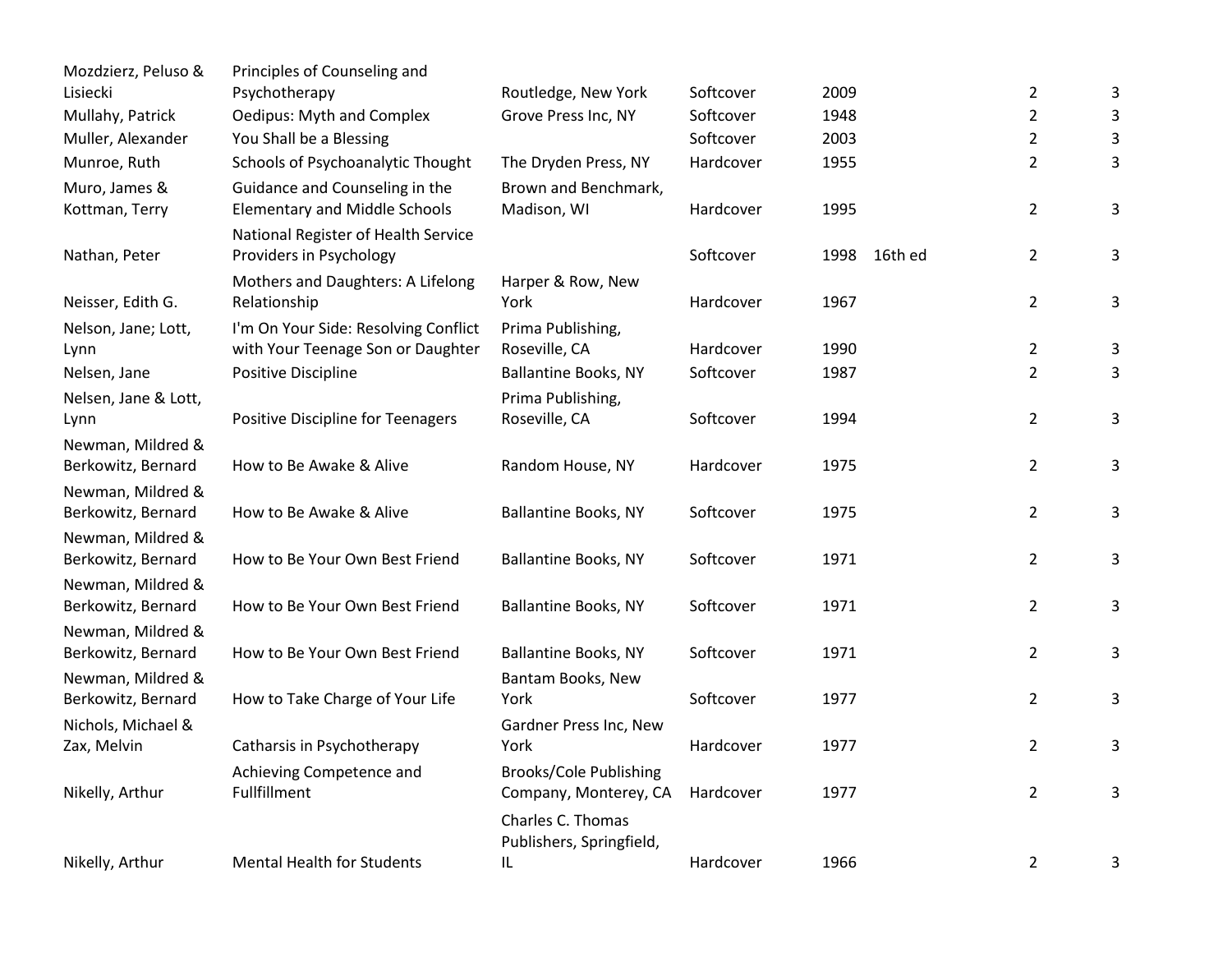| Mozdzierz, Peluso &                     | Principles of Counseling and         |                               |           |      |         |                |   |
|-----------------------------------------|--------------------------------------|-------------------------------|-----------|------|---------|----------------|---|
| Lisiecki                                | Psychotherapy                        | Routledge, New York           | Softcover | 2009 |         | $\overline{2}$ | 3 |
| Mullahy, Patrick                        | Oedipus: Myth and Complex            | Grove Press Inc, NY           | Softcover | 1948 |         | $\overline{2}$ | 3 |
| Muller, Alexander                       | You Shall be a Blessing              |                               | Softcover | 2003 |         | $\overline{2}$ | 3 |
| Munroe, Ruth                            | Schools of Psychoanalytic Thought    | The Dryden Press, NY          | Hardcover | 1955 |         | $\overline{2}$ | 3 |
| Muro, James &                           | Guidance and Counseling in the       | Brown and Benchmark,          |           |      |         |                |   |
| Kottman, Terry                          | <b>Elementary and Middle Schools</b> | Madison, WI                   | Hardcover | 1995 |         | $\overline{2}$ | 3 |
|                                         | National Register of Health Service  |                               |           |      |         |                |   |
| Nathan, Peter                           | Providers in Psychology              |                               | Softcover | 1998 | 16th ed | $\overline{2}$ | 3 |
|                                         | Mothers and Daughters: A Lifelong    | Harper & Row, New             |           |      |         |                |   |
| Neisser, Edith G.                       | Relationship                         | York                          | Hardcover | 1967 |         | $\overline{2}$ | 3 |
| Nelson, Jane; Lott,                     | I'm On Your Side: Resolving Conflict | Prima Publishing,             |           |      |         |                |   |
| Lynn                                    | with Your Teenage Son or Daughter    | Roseville, CA                 | Hardcover | 1990 |         | $\overline{2}$ | 3 |
| Nelsen, Jane                            | Positive Discipline                  | <b>Ballantine Books, NY</b>   | Softcover | 1987 |         | $\overline{2}$ | 3 |
| Nelsen, Jane & Lott,                    |                                      | Prima Publishing,             |           |      |         |                |   |
| Lynn                                    | Positive Discipline for Teenagers    | Roseville, CA                 | Softcover | 1994 |         | $\overline{2}$ | 3 |
| Newman, Mildred &                       |                                      |                               |           |      |         |                |   |
| Berkowitz, Bernard                      | How to Be Awake & Alive              | Random House, NY              | Hardcover | 1975 |         | $\overline{2}$ | 3 |
| Newman, Mildred &                       |                                      |                               |           |      |         |                |   |
| Berkowitz, Bernard                      | How to Be Awake & Alive              | Ballantine Books, NY          | Softcover | 1975 |         | $\overline{2}$ | 3 |
| Newman, Mildred &                       | How to Be Your Own Best Friend       |                               | Softcover | 1971 |         | $\overline{2}$ |   |
| Berkowitz, Bernard                      |                                      | Ballantine Books, NY          |           |      |         |                | 3 |
| Newman, Mildred &<br>Berkowitz, Bernard | How to Be Your Own Best Friend       | <b>Ballantine Books, NY</b>   | Softcover | 1971 |         | $\overline{2}$ | 3 |
| Newman, Mildred &                       |                                      |                               |           |      |         |                |   |
| Berkowitz, Bernard                      | How to Be Your Own Best Friend       | <b>Ballantine Books, NY</b>   | Softcover | 1971 |         | $\overline{2}$ | 3 |
| Newman, Mildred &                       |                                      | Bantam Books, New             |           |      |         |                |   |
| Berkowitz, Bernard                      | How to Take Charge of Your Life      | York                          | Softcover | 1977 |         | $\overline{2}$ | 3 |
| Nichols, Michael &                      |                                      | Gardner Press Inc, New        |           |      |         |                |   |
| Zax, Melvin                             | Catharsis in Psychotherapy           | York                          | Hardcover | 1977 |         | $\overline{2}$ | 3 |
|                                         | Achieving Competence and             | <b>Brooks/Cole Publishing</b> |           |      |         |                |   |
| Nikelly, Arthur                         | Fullfillment                         | Company, Monterey, CA         | Hardcover | 1977 |         | $\overline{2}$ | 3 |
|                                         |                                      | Charles C. Thomas             |           |      |         |                |   |
|                                         |                                      | Publishers, Springfield,      |           |      |         |                |   |
| Nikelly, Arthur                         | <b>Mental Health for Students</b>    | IL                            | Hardcover | 1966 |         | $\overline{2}$ | 3 |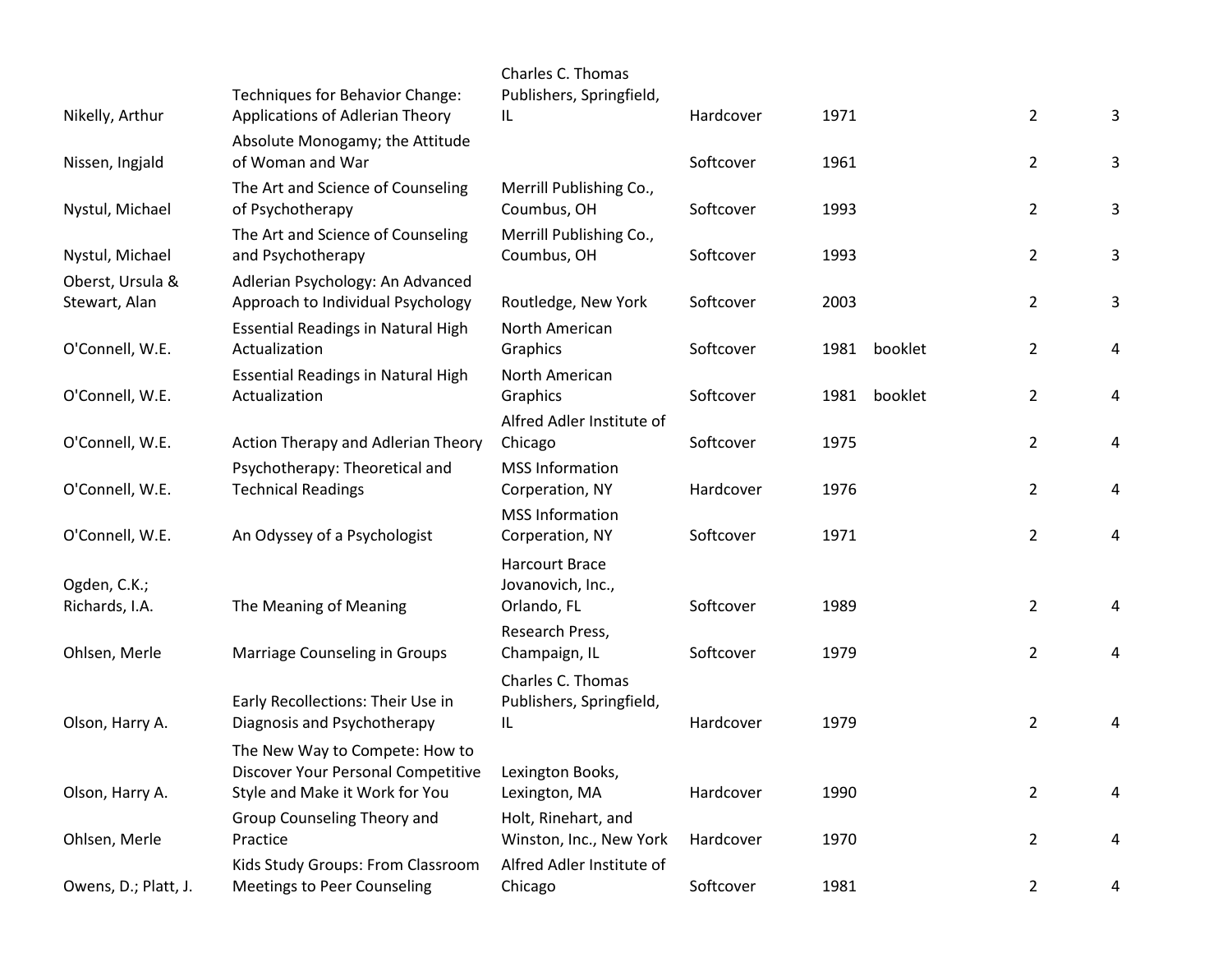| Owens, D.; Platt, J.              | Kids Study Groups: From Classroom<br><b>Meetings to Peer Counseling</b>                                | Alfred Adler Institute of<br>Chicago                      | Softcover | 1981 |         | $\overline{2}$ | 4 |
|-----------------------------------|--------------------------------------------------------------------------------------------------------|-----------------------------------------------------------|-----------|------|---------|----------------|---|
| Ohlsen, Merle                     | Group Counseling Theory and<br>Practice                                                                | Holt, Rinehart, and<br>Winston, Inc., New York            | Hardcover | 1970 |         | $\overline{2}$ | 4 |
| Olson, Harry A.                   | The New Way to Compete: How to<br>Discover Your Personal Competitive<br>Style and Make it Work for You | Lexington Books,<br>Lexington, MA                         | Hardcover | 1990 |         | $\overline{2}$ | 4 |
| Olson, Harry A.                   | Early Recollections: Their Use in<br>Diagnosis and Psychotherapy                                       | Charles C. Thomas<br>Publishers, Springfield,<br>IL       | Hardcover | 1979 |         | $\overline{2}$ | 4 |
| Ohlsen, Merle                     | Marriage Counseling in Groups                                                                          | Research Press,<br>Champaign, IL                          | Softcover | 1979 |         | $\overline{2}$ | 4 |
| Ogden, C.K.;<br>Richards, I.A.    | The Meaning of Meaning                                                                                 | <b>Harcourt Brace</b><br>Jovanovich, Inc.,<br>Orlando, FL | Softcover | 1989 |         | $\overline{2}$ | 4 |
| O'Connell, W.E.                   | An Odyssey of a Psychologist                                                                           | <b>MSS Information</b><br>Corperation, NY                 | Softcover | 1971 |         | $\overline{2}$ | 4 |
| O'Connell, W.E.                   | Psychotherapy: Theoretical and<br><b>Technical Readings</b>                                            | <b>MSS Information</b><br>Corperation, NY                 | Hardcover | 1976 |         | $\overline{2}$ | 4 |
| O'Connell, W.E.                   | Action Therapy and Adlerian Theory                                                                     | Alfred Adler Institute of<br>Chicago                      | Softcover | 1975 |         | $\overline{2}$ | 4 |
| O'Connell, W.E.                   | <b>Essential Readings in Natural High</b><br>Actualization                                             | North American<br>Graphics                                | Softcover | 1981 | booklet | $\overline{2}$ | 4 |
| O'Connell, W.E.                   | <b>Essential Readings in Natural High</b><br>Actualization                                             | North American<br>Graphics                                | Softcover | 1981 | booklet | $\overline{2}$ | 4 |
| Oberst, Ursula &<br>Stewart, Alan | Adlerian Psychology: An Advanced<br>Approach to Individual Psychology                                  | Routledge, New York                                       | Softcover | 2003 |         | $\overline{2}$ | 3 |
| Nystul, Michael                   | The Art and Science of Counseling<br>and Psychotherapy                                                 | Merrill Publishing Co.,<br>Coumbus, OH                    | Softcover | 1993 |         | $\overline{2}$ | 3 |
| Nystul, Michael                   | The Art and Science of Counseling<br>of Psychotherapy                                                  | Merrill Publishing Co.,<br>Coumbus, OH                    | Softcover | 1993 |         | $\overline{2}$ | 3 |
| Nissen, Ingjald                   | Absolute Monogamy; the Attitude<br>of Woman and War                                                    |                                                           | Softcover | 1961 |         | $\overline{2}$ | 3 |
| Nikelly, Arthur                   | Techniques for Behavior Change:<br>Applications of Adlerian Theory                                     | Charles C. Thomas<br>Publishers, Springfield,<br>IL       | Hardcover | 1971 |         | $\overline{2}$ | 3 |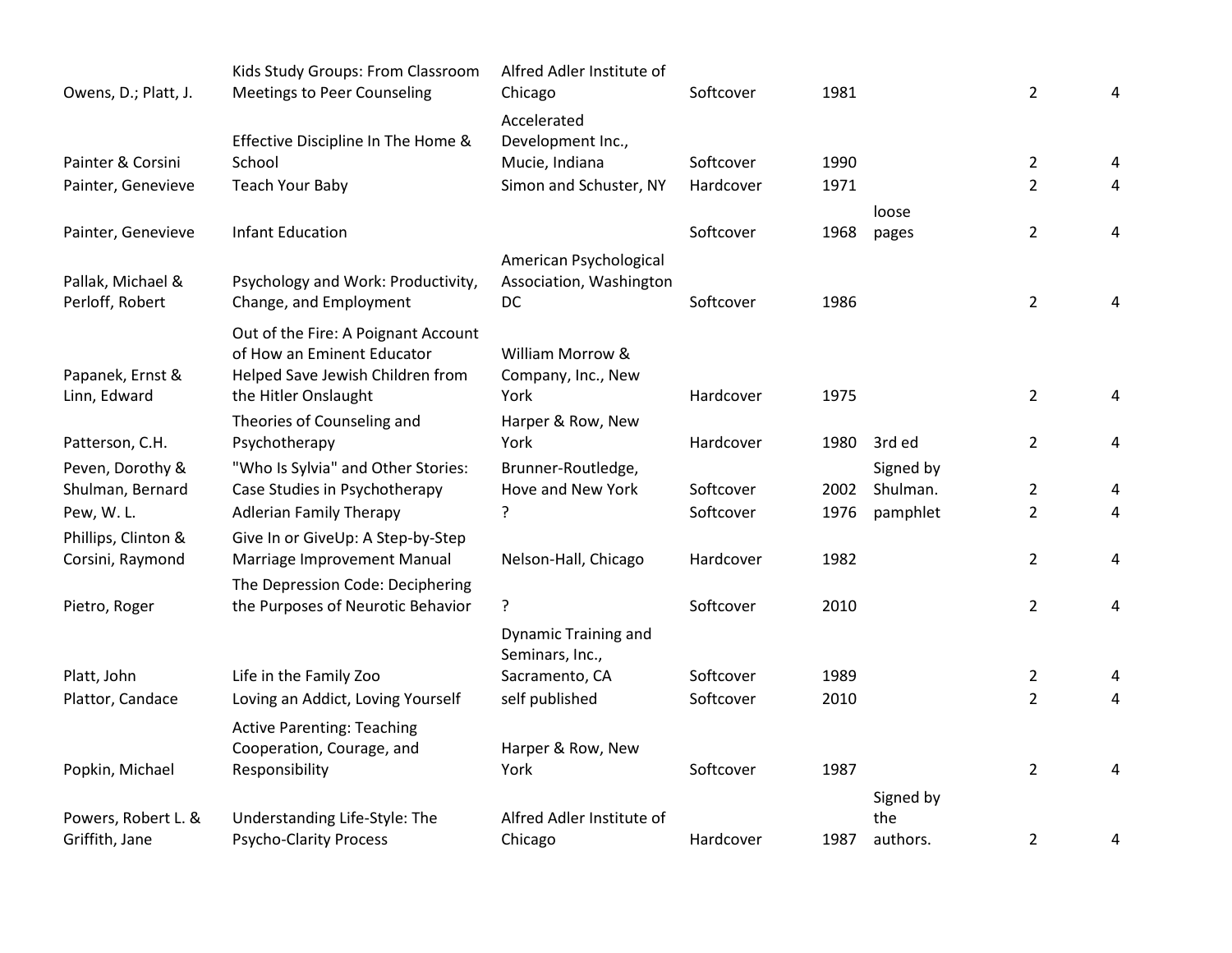| Owens, D.; Platt, J. | Kids Study Groups: From Classroom<br><b>Meetings to Peer Counseling</b> | Alfred Adler Institute of<br>Chicago    | Softcover | 1981 |           | $\overline{2}$ | 4 |
|----------------------|-------------------------------------------------------------------------|-----------------------------------------|-----------|------|-----------|----------------|---|
|                      |                                                                         | Accelerated                             |           |      |           |                |   |
|                      | Effective Discipline In The Home &                                      | Development Inc.,                       |           |      |           |                |   |
| Painter & Corsini    | School                                                                  | Mucie, Indiana                          | Softcover | 1990 |           | $\overline{2}$ | 4 |
| Painter, Genevieve   | <b>Teach Your Baby</b>                                                  | Simon and Schuster, NY                  | Hardcover | 1971 |           | $\overline{2}$ | 4 |
|                      |                                                                         |                                         |           |      | loose     |                |   |
| Painter, Genevieve   | <b>Infant Education</b>                                                 |                                         | Softcover | 1968 | pages     | $\overline{2}$ | 4 |
|                      |                                                                         | American Psychological                  |           |      |           |                |   |
| Pallak, Michael &    | Psychology and Work: Productivity,                                      | Association, Washington                 |           |      |           |                |   |
| Perloff, Robert      | Change, and Employment                                                  | DC                                      | Softcover | 1986 |           | $\overline{2}$ | 4 |
|                      | Out of the Fire: A Poignant Account                                     |                                         |           |      |           |                |   |
|                      | of How an Eminent Educator                                              | William Morrow &                        |           |      |           |                |   |
| Papanek, Ernst &     | Helped Save Jewish Children from                                        | Company, Inc., New                      |           |      |           |                |   |
| Linn, Edward         | the Hitler Onslaught                                                    | York                                    | Hardcover | 1975 |           | $\overline{2}$ | 4 |
|                      | Theories of Counseling and                                              | Harper & Row, New                       |           |      |           |                |   |
| Patterson, C.H.      | Psychotherapy                                                           | York                                    | Hardcover | 1980 | 3rd ed    | $\overline{2}$ | 4 |
| Peven, Dorothy &     | "Who Is Sylvia" and Other Stories:                                      | Brunner-Routledge,                      |           |      | Signed by |                |   |
| Shulman, Bernard     | Case Studies in Psychotherapy                                           | Hove and New York                       | Softcover | 2002 | Shulman.  | $\overline{2}$ | 4 |
| Pew, W.L.            | <b>Adlerian Family Therapy</b>                                          | ?                                       | Softcover | 1976 | pamphlet  | $\overline{2}$ | 4 |
| Phillips, Clinton &  | Give In or GiveUp: A Step-by-Step                                       | Nelson-Hall, Chicago                    | Hardcover | 1982 |           | $\overline{2}$ |   |
| Corsini, Raymond     | Marriage Improvement Manual                                             |                                         |           |      |           |                | 4 |
| Pietro, Roger        | The Depression Code: Deciphering<br>the Purposes of Neurotic Behavior   | ?                                       | Softcover | 2010 |           | $\overline{2}$ | 4 |
|                      |                                                                         |                                         |           |      |           |                |   |
|                      |                                                                         | Dynamic Training and<br>Seminars, Inc., |           |      |           |                |   |
| Platt, John          | Life in the Family Zoo                                                  | Sacramento, CA                          | Softcover | 1989 |           | $\overline{2}$ | 4 |
| Plattor, Candace     | Loving an Addict, Loving Yourself                                       | self published                          | Softcover | 2010 |           | $\overline{2}$ | 4 |
|                      | <b>Active Parenting: Teaching</b>                                       |                                         |           |      |           |                |   |
|                      | Cooperation, Courage, and                                               | Harper & Row, New                       |           |      |           |                |   |
| Popkin, Michael      | Responsibility                                                          | York                                    | Softcover | 1987 |           | $\overline{2}$ | 4 |
|                      |                                                                         |                                         |           |      | Signed by |                |   |
| Powers, Robert L. &  | Understanding Life-Style: The                                           | Alfred Adler Institute of               |           |      | the       |                |   |
| Griffith, Jane       | <b>Psycho-Clarity Process</b>                                           | Chicago                                 | Hardcover | 1987 | authors.  | $\overline{2}$ | 4 |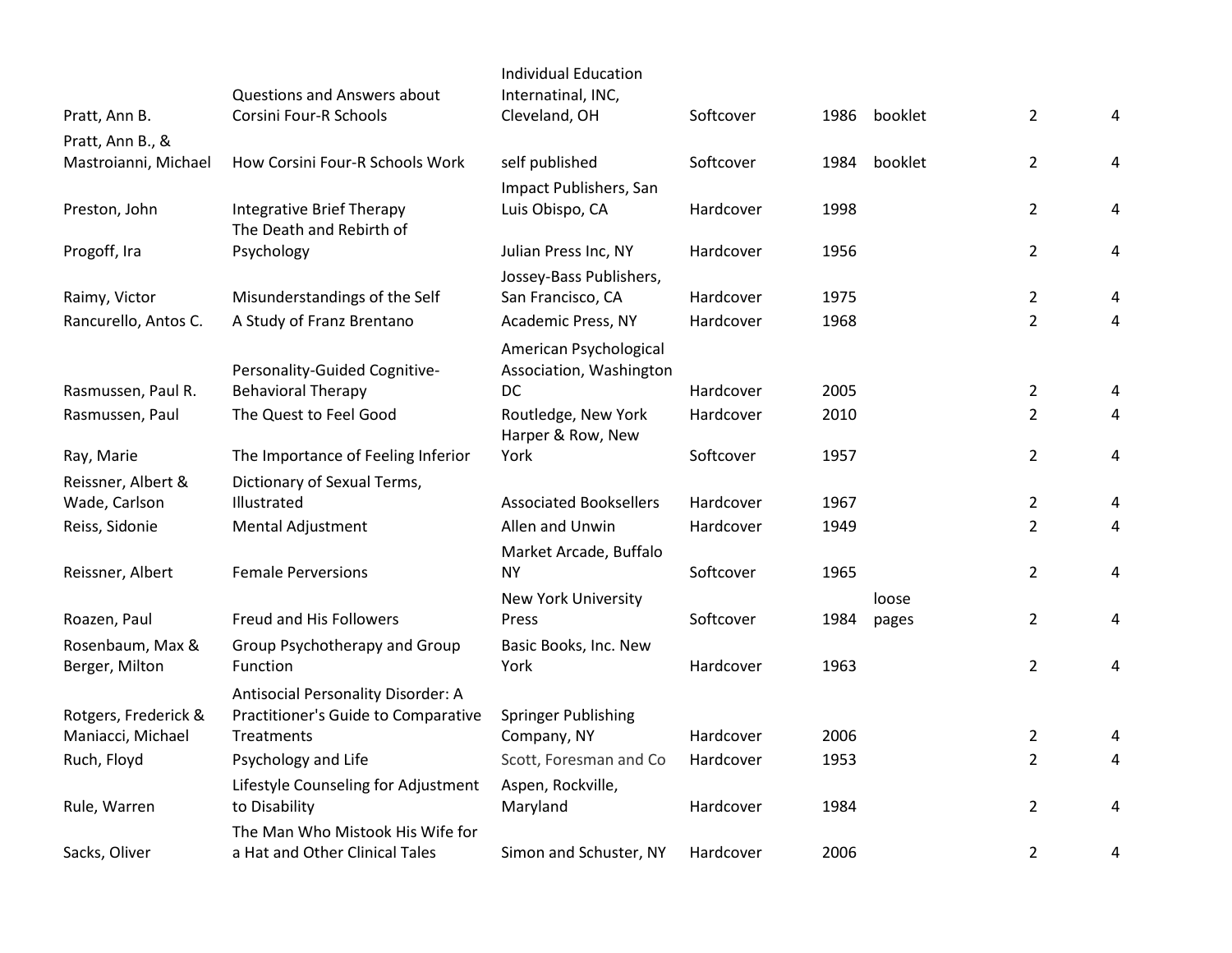|                                          |                                                              | <b>Individual Education</b>               |           |      |         |                |   |
|------------------------------------------|--------------------------------------------------------------|-------------------------------------------|-----------|------|---------|----------------|---|
| Pratt, Ann B.                            | <b>Questions and Answers about</b><br>Corsini Four-R Schools | Internatinal, INC,<br>Cleveland, OH       | Softcover | 1986 | booklet | $\overline{2}$ | 4 |
|                                          |                                                              |                                           |           |      |         |                |   |
| Pratt, Ann B., &<br>Mastroianni, Michael | How Corsini Four-R Schools Work                              | self published                            | Softcover | 1984 | booklet | $\overline{2}$ | 4 |
|                                          |                                                              |                                           |           |      |         |                |   |
| Preston, John                            | <b>Integrative Brief Therapy</b>                             | Impact Publishers, San<br>Luis Obispo, CA | Hardcover | 1998 |         | $\overline{2}$ | 4 |
|                                          | The Death and Rebirth of                                     |                                           |           |      |         |                |   |
| Progoff, Ira                             | Psychology                                                   | Julian Press Inc, NY                      | Hardcover | 1956 |         | $\overline{2}$ | 4 |
|                                          |                                                              | Jossey-Bass Publishers,                   |           |      |         |                |   |
| Raimy, Victor                            | Misunderstandings of the Self                                | San Francisco, CA                         | Hardcover | 1975 |         | 2              | 4 |
| Rancurello, Antos C.                     | A Study of Franz Brentano                                    | Academic Press, NY                        | Hardcover | 1968 |         | $\overline{2}$ | 4 |
|                                          |                                                              | American Psychological                    |           |      |         |                |   |
|                                          | Personality-Guided Cognitive-                                | Association, Washington                   |           |      |         |                |   |
| Rasmussen, Paul R.                       | <b>Behavioral Therapy</b>                                    | <b>DC</b>                                 | Hardcover | 2005 |         | 2              | 4 |
| Rasmussen, Paul                          | The Quest to Feel Good                                       | Routledge, New York                       | Hardcover | 2010 |         | $\overline{2}$ | 4 |
|                                          |                                                              | Harper & Row, New                         |           |      |         |                |   |
| Ray, Marie                               | The Importance of Feeling Inferior                           | York                                      | Softcover | 1957 |         | $\overline{2}$ | 4 |
| Reissner, Albert &                       | Dictionary of Sexual Terms,                                  |                                           |           |      |         |                |   |
| Wade, Carlson                            | Illustrated                                                  | <b>Associated Booksellers</b>             | Hardcover | 1967 |         | $\overline{2}$ | 4 |
| Reiss, Sidonie                           | Mental Adjustment                                            | Allen and Unwin                           | Hardcover | 1949 |         | $\overline{2}$ | 4 |
|                                          |                                                              | Market Arcade, Buffalo                    |           |      |         |                |   |
| Reissner, Albert                         | <b>Female Perversions</b>                                    | <b>NY</b>                                 | Softcover | 1965 |         | $\overline{2}$ | 4 |
|                                          |                                                              | New York University                       |           |      | loose   |                |   |
| Roazen, Paul                             | Freud and His Followers                                      | Press                                     | Softcover | 1984 | pages   | $\overline{2}$ | 4 |
| Rosenbaum, Max &                         | Group Psychotherapy and Group                                | Basic Books, Inc. New                     |           |      |         |                |   |
| Berger, Milton                           | Function                                                     | York                                      | Hardcover | 1963 |         | $\overline{2}$ | 4 |
|                                          | Antisocial Personality Disorder: A                           |                                           |           |      |         |                |   |
| Rotgers, Frederick &                     | Practitioner's Guide to Comparative                          | <b>Springer Publishing</b>                |           |      |         |                |   |
| Maniacci, Michael                        | Treatments                                                   | Company, NY                               | Hardcover | 2006 |         | $\overline{2}$ | 4 |
| Ruch, Floyd                              | Psychology and Life                                          | Scott, Foresman and Co                    | Hardcover | 1953 |         | $\overline{2}$ | 4 |
|                                          | Lifestyle Counseling for Adjustment                          | Aspen, Rockville,                         |           |      |         |                |   |
| Rule, Warren                             | to Disability                                                | Maryland                                  | Hardcover | 1984 |         | $\overline{2}$ | 4 |
|                                          | The Man Who Mistook His Wife for                             |                                           |           |      |         |                |   |
| Sacks, Oliver                            | a Hat and Other Clinical Tales                               | Simon and Schuster, NY                    | Hardcover | 2006 |         | $\overline{2}$ | 4 |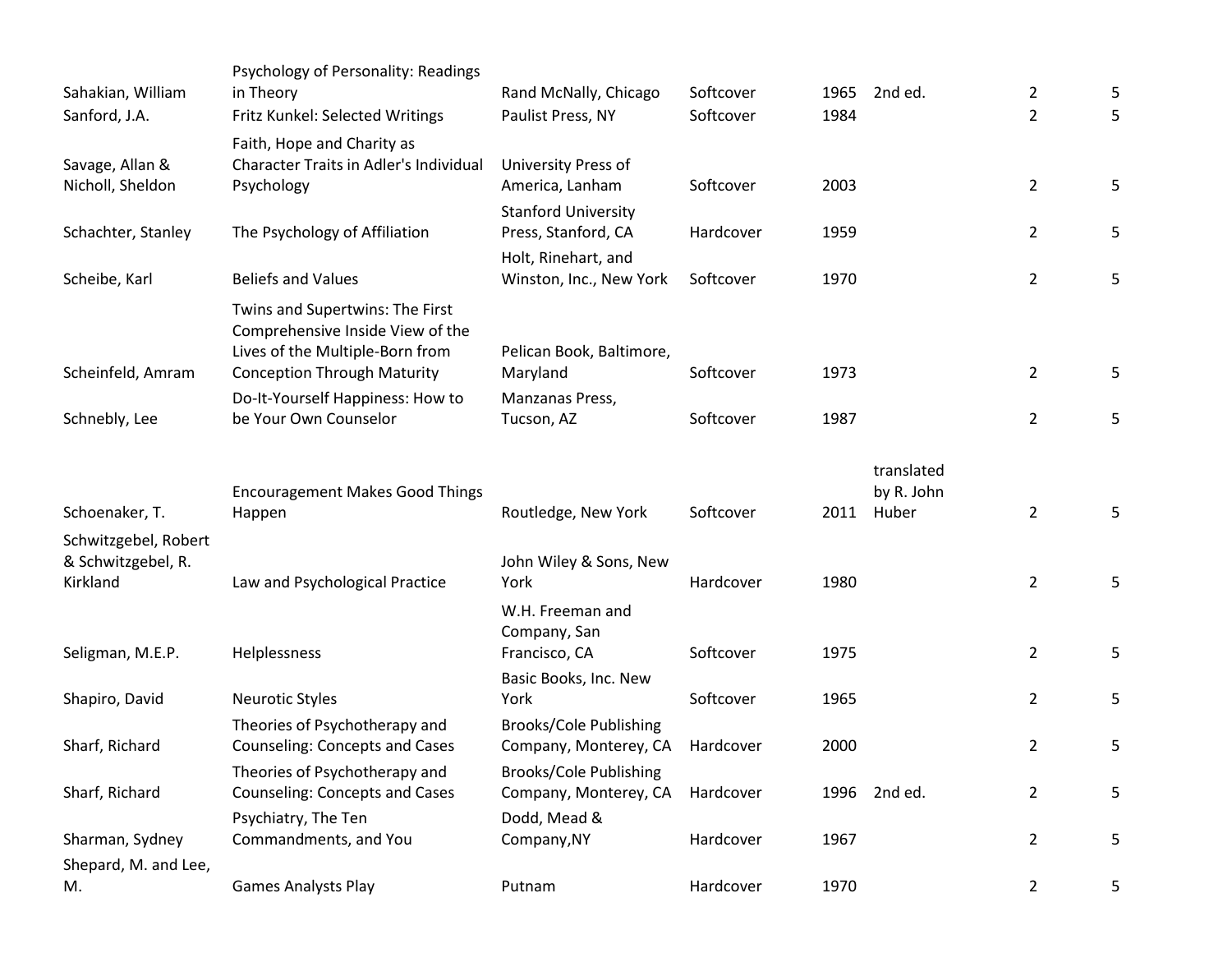|                                     | Psychology of Personality: Readings                                                                                                          |                                                        | Softcover | 1965 | 2nd ed.                  |                                  |        |
|-------------------------------------|----------------------------------------------------------------------------------------------------------------------------------------------|--------------------------------------------------------|-----------|------|--------------------------|----------------------------------|--------|
| Sahakian, William                   | in Theory                                                                                                                                    | Rand McNally, Chicago<br>Paulist Press, NY             | Softcover | 1984 |                          | $\overline{2}$<br>$\overline{2}$ | 5<br>5 |
| Sanford, J.A.                       | Fritz Kunkel: Selected Writings                                                                                                              |                                                        |           |      |                          |                                  |        |
| Savage, Allan &<br>Nicholl, Sheldon | Faith, Hope and Charity as<br>Character Traits in Adler's Individual<br>Psychology                                                           | University Press of<br>America, Lanham                 | Softcover | 2003 |                          | $\overline{2}$                   | 5      |
|                                     |                                                                                                                                              | <b>Stanford University</b>                             |           |      |                          |                                  |        |
| Schachter, Stanley                  | The Psychology of Affiliation                                                                                                                | Press, Stanford, CA                                    | Hardcover | 1959 |                          | $\overline{2}$                   | 5      |
|                                     |                                                                                                                                              | Holt, Rinehart, and                                    |           |      |                          |                                  |        |
| Scheibe, Karl                       | <b>Beliefs and Values</b>                                                                                                                    | Winston, Inc., New York                                | Softcover | 1970 |                          | $\overline{2}$                   | 5      |
| Scheinfeld, Amram                   | Twins and Supertwins: The First<br>Comprehensive Inside View of the<br>Lives of the Multiple-Born from<br><b>Conception Through Maturity</b> | Pelican Book, Baltimore,<br>Maryland                   | Softcover | 1973 |                          | $\overline{2}$                   | 5      |
|                                     | Do-It-Yourself Happiness: How to                                                                                                             | Manzanas Press,                                        |           |      |                          |                                  |        |
| Schnebly, Lee                       | be Your Own Counselor                                                                                                                        | Tucson, AZ                                             | Softcover | 1987 |                          | $\overline{2}$                   | 5      |
|                                     |                                                                                                                                              |                                                        |           |      |                          |                                  |        |
|                                     |                                                                                                                                              |                                                        |           |      | translated<br>by R. John |                                  |        |
| Schoenaker, T.                      | <b>Encouragement Makes Good Things</b><br>Happen                                                                                             | Routledge, New York                                    | Softcover | 2011 | Huber                    | $\overline{2}$                   | 5      |
| Schwitzgebel, Robert                |                                                                                                                                              |                                                        |           |      |                          |                                  |        |
| & Schwitzgebel, R.                  |                                                                                                                                              | John Wiley & Sons, New                                 |           |      |                          |                                  |        |
| Kirkland                            | Law and Psychological Practice                                                                                                               | York                                                   | Hardcover | 1980 |                          | $\overline{2}$                   | 5      |
|                                     |                                                                                                                                              | W.H. Freeman and<br>Company, San                       |           |      |                          |                                  |        |
| Seligman, M.E.P.                    | Helplessness                                                                                                                                 | Francisco, CA                                          | Softcover | 1975 |                          | $\overline{2}$                   | 5      |
|                                     |                                                                                                                                              | Basic Books, Inc. New                                  |           |      |                          |                                  |        |
| Shapiro, David                      | <b>Neurotic Styles</b>                                                                                                                       | York                                                   | Softcover | 1965 |                          | $\overline{2}$                   | 5      |
|                                     | Theories of Psychotherapy and                                                                                                                | <b>Brooks/Cole Publishing</b>                          |           |      |                          |                                  |        |
| Sharf, Richard                      | <b>Counseling: Concepts and Cases</b>                                                                                                        | Company, Monterey, CA                                  | Hardcover | 2000 |                          | $\overline{2}$                   | 5      |
| Sharf, Richard                      | Theories of Psychotherapy and<br><b>Counseling: Concepts and Cases</b>                                                                       | <b>Brooks/Cole Publishing</b><br>Company, Monterey, CA | Hardcover | 1996 | 2nd ed.                  | $\overline{2}$                   | 5      |
|                                     | Psychiatry, The Ten                                                                                                                          | Dodd, Mead &                                           |           |      |                          |                                  |        |
| Sharman, Sydney                     | Commandments, and You                                                                                                                        | Company, NY                                            | Hardcover | 1967 |                          | $\overline{2}$                   | 5      |
| Shepard, M. and Lee,                |                                                                                                                                              |                                                        |           |      |                          |                                  |        |
| M.                                  | <b>Games Analysts Play</b>                                                                                                                   | Putnam                                                 | Hardcover | 1970 |                          | $\overline{2}$                   | 5      |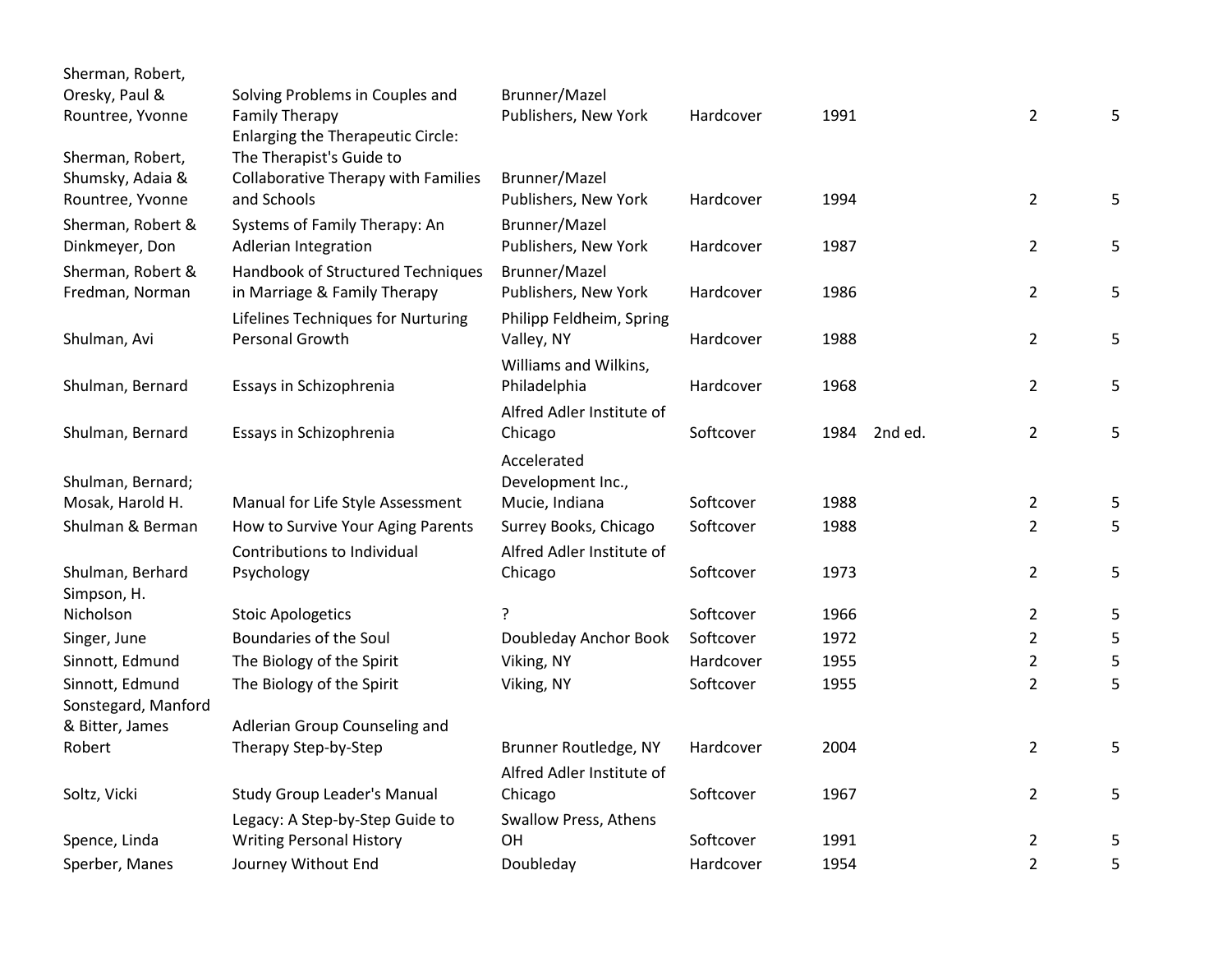| Sherman, Robert,    |                                            |                              |           |      |         |                |   |
|---------------------|--------------------------------------------|------------------------------|-----------|------|---------|----------------|---|
| Oresky, Paul &      | Solving Problems in Couples and            | Brunner/Mazel                |           |      |         |                |   |
| Rountree, Yvonne    | Family Therapy                             | Publishers, New York         | Hardcover | 1991 |         | $\overline{2}$ | 5 |
|                     | Enlarging the Therapeutic Circle:          |                              |           |      |         |                |   |
| Sherman, Robert,    | The Therapist's Guide to                   |                              |           |      |         |                |   |
| Shumsky, Adaia &    | <b>Collaborative Therapy with Families</b> | Brunner/Mazel                |           |      |         |                |   |
| Rountree, Yvonne    | and Schools                                | Publishers, New York         | Hardcover | 1994 |         | $\overline{2}$ | 5 |
| Sherman, Robert &   | Systems of Family Therapy: An              | Brunner/Mazel                |           |      |         |                |   |
| Dinkmeyer, Don      | Adlerian Integration                       | Publishers, New York         | Hardcover | 1987 |         | $\overline{2}$ | 5 |
| Sherman, Robert &   | Handbook of Structured Techniques          | Brunner/Mazel                |           |      |         |                |   |
| Fredman, Norman     | in Marriage & Family Therapy               | Publishers, New York         | Hardcover | 1986 |         | $\overline{2}$ | 5 |
|                     | Lifelines Techniques for Nurturing         | Philipp Feldheim, Spring     |           |      |         |                |   |
| Shulman, Avi        | Personal Growth                            | Valley, NY                   | Hardcover | 1988 |         | $\overline{2}$ | 5 |
|                     |                                            | Williams and Wilkins,        |           |      |         |                |   |
| Shulman, Bernard    | Essays in Schizophrenia                    | Philadelphia                 | Hardcover | 1968 |         | $\overline{2}$ | 5 |
|                     |                                            | Alfred Adler Institute of    |           |      |         |                |   |
| Shulman, Bernard    | Essays in Schizophrenia                    | Chicago                      | Softcover | 1984 | 2nd ed. | $\overline{2}$ | 5 |
|                     |                                            | Accelerated                  |           |      |         |                |   |
| Shulman, Bernard;   |                                            | Development Inc.,            |           |      |         |                |   |
| Mosak, Harold H.    | Manual for Life Style Assessment           | Mucie, Indiana               | Softcover | 1988 |         | $\overline{2}$ | 5 |
| Shulman & Berman    | How to Survive Your Aging Parents          | Surrey Books, Chicago        | Softcover | 1988 |         | $\overline{2}$ | 5 |
|                     | Contributions to Individual                | Alfred Adler Institute of    |           |      |         |                |   |
| Shulman, Berhard    | Psychology                                 | Chicago                      | Softcover | 1973 |         | $\overline{2}$ | 5 |
| Simpson, H.         |                                            |                              |           |      |         |                |   |
| Nicholson           | <b>Stoic Apologetics</b>                   |                              | Softcover | 1966 |         | $\overline{2}$ | 5 |
| Singer, June        | Boundaries of the Soul                     | Doubleday Anchor Book        | Softcover | 1972 |         | $\overline{2}$ | 5 |
| Sinnott, Edmund     | The Biology of the Spirit                  | Viking, NY                   | Hardcover | 1955 |         | 2              | 5 |
| Sinnott, Edmund     | The Biology of the Spirit                  | Viking, NY                   | Softcover | 1955 |         | $\overline{2}$ | 5 |
| Sonstegard, Manford |                                            |                              |           |      |         |                |   |
| & Bitter, James     | Adlerian Group Counseling and              |                              |           |      |         |                |   |
| Robert              | Therapy Step-by-Step                       | Brunner Routledge, NY        | Hardcover | 2004 |         | $\overline{2}$ | 5 |
|                     |                                            | Alfred Adler Institute of    |           |      |         |                |   |
| Soltz, Vicki        | <b>Study Group Leader's Manual</b>         | Chicago                      | Softcover | 1967 |         | $\overline{2}$ | 5 |
|                     | Legacy: A Step-by-Step Guide to            | <b>Swallow Press, Athens</b> |           |      |         |                |   |
| Spence, Linda       | <b>Writing Personal History</b>            | OH                           | Softcover | 1991 |         | $\overline{2}$ | 5 |
| Sperber, Manes      | Journey Without End                        | Doubleday                    | Hardcover | 1954 |         | $\overline{2}$ | 5 |
|                     |                                            |                              |           |      |         |                |   |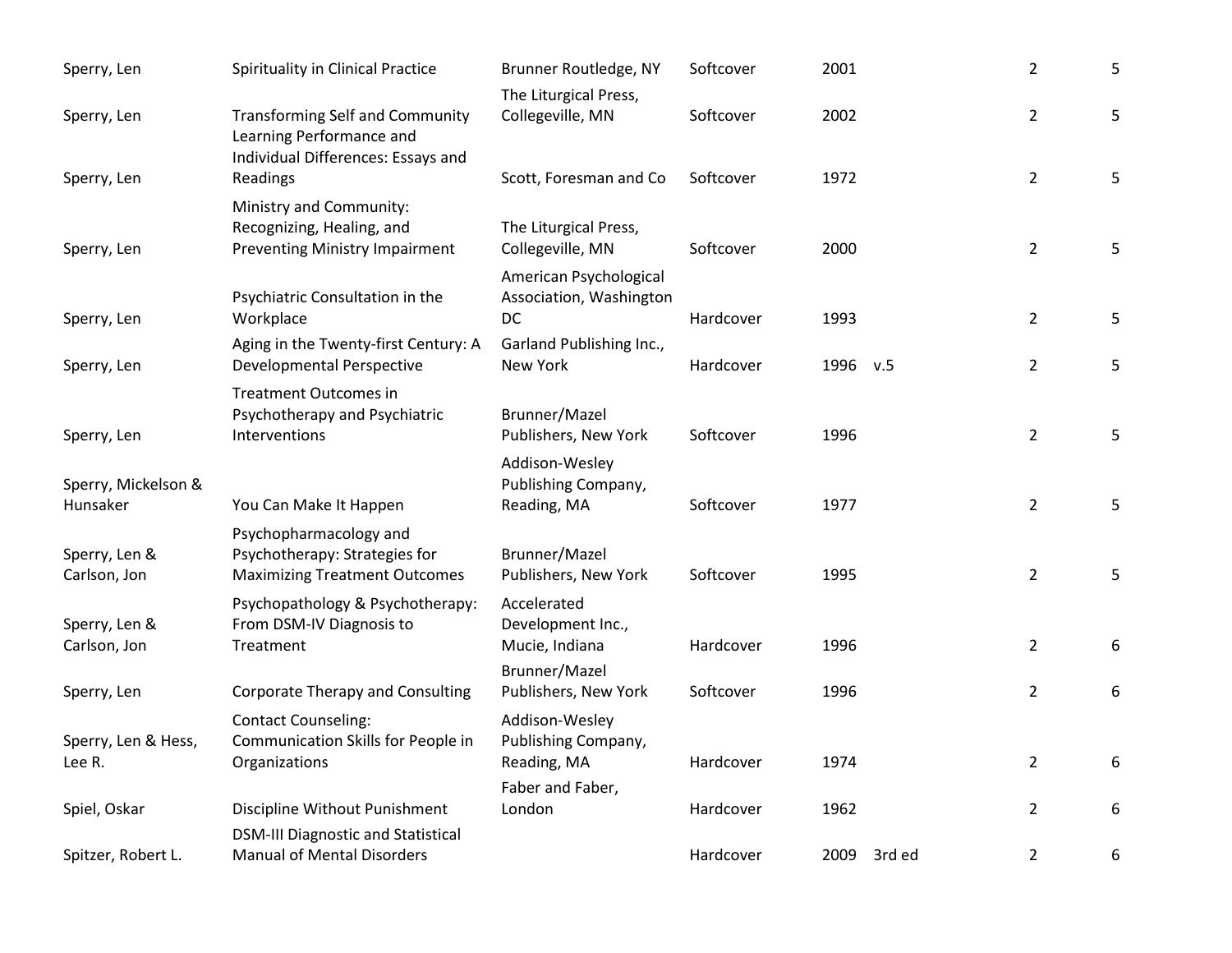| Sperry, Len                     | Spirituality in Clinical Practice                                                                        | Brunner Routledge, NY                                   | Softcover | 2001           | $\overline{2}$ | 5 |
|---------------------------------|----------------------------------------------------------------------------------------------------------|---------------------------------------------------------|-----------|----------------|----------------|---|
| Sperry, Len                     | <b>Transforming Self and Community</b><br>Learning Performance and<br>Individual Differences: Essays and | The Liturgical Press,<br>Collegeville, MN               | Softcover | 2002           | $\overline{2}$ | 5 |
| Sperry, Len                     | Readings                                                                                                 | Scott, Foresman and Co                                  | Softcover | 1972           | $\overline{2}$ | 5 |
| Sperry, Len                     | Ministry and Community:<br>Recognizing, Healing, and<br><b>Preventing Ministry Impairment</b>            | The Liturgical Press,<br>Collegeville, MN               | Softcover | 2000           | $\overline{2}$ | 5 |
| Sperry, Len                     | Psychiatric Consultation in the<br>Workplace                                                             | American Psychological<br>Association, Washington<br>DC | Hardcover | 1993           | $\overline{2}$ | 5 |
| Sperry, Len                     | Aging in the Twenty-first Century: A<br><b>Developmental Perspective</b>                                 | Garland Publishing Inc.,<br>New York                    | Hardcover | 1996 v.5       | $\overline{2}$ | 5 |
| Sperry, Len                     | <b>Treatment Outcomes in</b><br>Psychotherapy and Psychiatric<br>Interventions                           | Brunner/Mazel<br>Publishers, New York                   | Softcover | 1996           | $\overline{2}$ | 5 |
| Sperry, Mickelson &<br>Hunsaker | You Can Make It Happen                                                                                   | Addison-Wesley<br>Publishing Company,<br>Reading, MA    | Softcover | 1977           | $\overline{2}$ | 5 |
| Sperry, Len &<br>Carlson, Jon   | Psychopharmacology and<br>Psychotherapy: Strategies for<br><b>Maximizing Treatment Outcomes</b>          | Brunner/Mazel<br>Publishers, New York                   | Softcover | 1995           | $\overline{2}$ | 5 |
| Sperry, Len &<br>Carlson, Jon   | Psychopathology & Psychotherapy:<br>From DSM-IV Diagnosis to<br>Treatment                                | Accelerated<br>Development Inc.,<br>Mucie, Indiana      | Hardcover | 1996           | $\overline{2}$ | 6 |
| Sperry, Len                     | <b>Corporate Therapy and Consulting</b>                                                                  | Brunner/Mazel<br>Publishers, New York                   | Softcover | 1996           | $\overline{2}$ | 6 |
| Sperry, Len & Hess,<br>Lee R.   | <b>Contact Counseling:</b><br>Communication Skills for People in<br>Organizations                        | Addison-Wesley<br>Publishing Company,<br>Reading, MA    | Hardcover | 1974           | $\overline{2}$ | 6 |
| Spiel, Oskar                    | Discipline Without Punishment                                                                            | Faber and Faber,<br>London                              | Hardcover | 1962           | $\overline{2}$ | 6 |
| Spitzer, Robert L.              | <b>DSM-III Diagnostic and Statistical</b><br><b>Manual of Mental Disorders</b>                           |                                                         | Hardcover | 2009<br>3rd ed | $\overline{2}$ | 6 |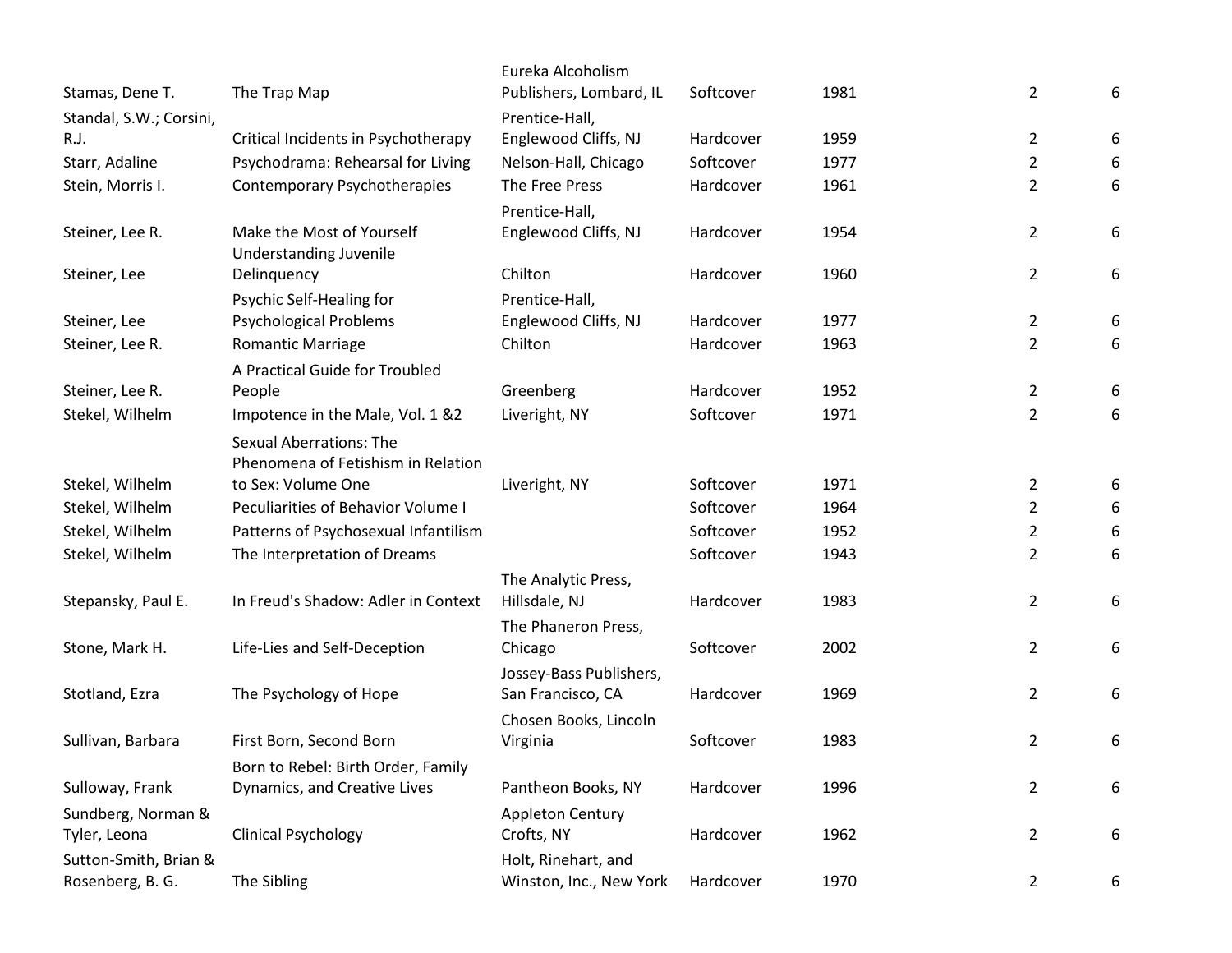|                         |                                      | Eureka Alcoholism       |           |      |                |   |
|-------------------------|--------------------------------------|-------------------------|-----------|------|----------------|---|
| Stamas, Dene T.         | The Trap Map                         | Publishers, Lombard, IL | Softcover | 1981 | $\overline{2}$ | 6 |
| Standal, S.W.; Corsini, |                                      | Prentice-Hall,          |           |      |                |   |
| R.J.                    | Critical Incidents in Psychotherapy  | Englewood Cliffs, NJ    | Hardcover | 1959 | $\overline{2}$ | 6 |
| Starr, Adaline          | Psychodrama: Rehearsal for Living    | Nelson-Hall, Chicago    | Softcover | 1977 | $\overline{2}$ | 6 |
| Stein, Morris I.        | Contemporary Psychotherapies         | The Free Press          | Hardcover | 1961 | $\overline{2}$ | 6 |
|                         |                                      | Prentice-Hall,          |           |      |                |   |
| Steiner, Lee R.         | Make the Most of Yourself            | Englewood Cliffs, NJ    | Hardcover | 1954 | $\overline{2}$ | 6 |
|                         | <b>Understanding Juvenile</b>        |                         |           |      |                |   |
| Steiner, Lee            | Delinquency                          | Chilton                 | Hardcover | 1960 | $\overline{2}$ | 6 |
|                         | Psychic Self-Healing for             | Prentice-Hall,          |           |      |                |   |
| Steiner, Lee            | <b>Psychological Problems</b>        | Englewood Cliffs, NJ    | Hardcover | 1977 | $\overline{2}$ | 6 |
| Steiner, Lee R.         | <b>Romantic Marriage</b>             | Chilton                 | Hardcover | 1963 | $\overline{2}$ | 6 |
|                         | A Practical Guide for Troubled       |                         |           |      |                |   |
| Steiner, Lee R.         | People                               | Greenberg               | Hardcover | 1952 | $\overline{2}$ | 6 |
| Stekel, Wilhelm         | Impotence in the Male, Vol. 1 &2     | Liveright, NY           | Softcover | 1971 | $\overline{2}$ | 6 |
|                         | <b>Sexual Aberrations: The</b>       |                         |           |      |                |   |
|                         | Phenomena of Fetishism in Relation   |                         |           |      |                |   |
| Stekel, Wilhelm         | to Sex: Volume One                   | Liveright, NY           | Softcover | 1971 | $\overline{2}$ | 6 |
| Stekel, Wilhelm         | Peculiarities of Behavior Volume I   |                         | Softcover | 1964 | $\overline{2}$ | 6 |
| Stekel, Wilhelm         | Patterns of Psychosexual Infantilism |                         | Softcover | 1952 | $\overline{2}$ | 6 |
| Stekel, Wilhelm         | The Interpretation of Dreams         |                         | Softcover | 1943 | $\overline{2}$ | 6 |
|                         |                                      | The Analytic Press,     |           |      |                |   |
| Stepansky, Paul E.      | In Freud's Shadow: Adler in Context  | Hillsdale, NJ           | Hardcover | 1983 | $\overline{2}$ | 6 |
|                         |                                      | The Phaneron Press,     |           |      |                |   |
| Stone, Mark H.          | Life-Lies and Self-Deception         | Chicago                 | Softcover | 2002 | $\overline{2}$ | 6 |
|                         |                                      | Jossey-Bass Publishers, |           |      |                |   |
| Stotland, Ezra          | The Psychology of Hope               | San Francisco, CA       | Hardcover | 1969 | $\overline{2}$ | 6 |
|                         |                                      | Chosen Books, Lincoln   |           |      |                |   |
| Sullivan, Barbara       | First Born, Second Born              | Virginia                | Softcover | 1983 | $\overline{2}$ | 6 |
|                         | Born to Rebel: Birth Order, Family   |                         |           |      |                |   |
| Sulloway, Frank         | Dynamics, and Creative Lives         | Pantheon Books, NY      | Hardcover | 1996 | 2              | 6 |
| Sundberg, Norman &      |                                      | <b>Appleton Century</b> |           |      |                |   |
| Tyler, Leona            | <b>Clinical Psychology</b>           | Crofts, NY              | Hardcover | 1962 | $\overline{2}$ | 6 |
| Sutton-Smith, Brian &   |                                      | Holt, Rinehart, and     |           |      |                |   |
| Rosenberg, B. G.        | The Sibling                          | Winston, Inc., New York | Hardcover | 1970 | 2              | 6 |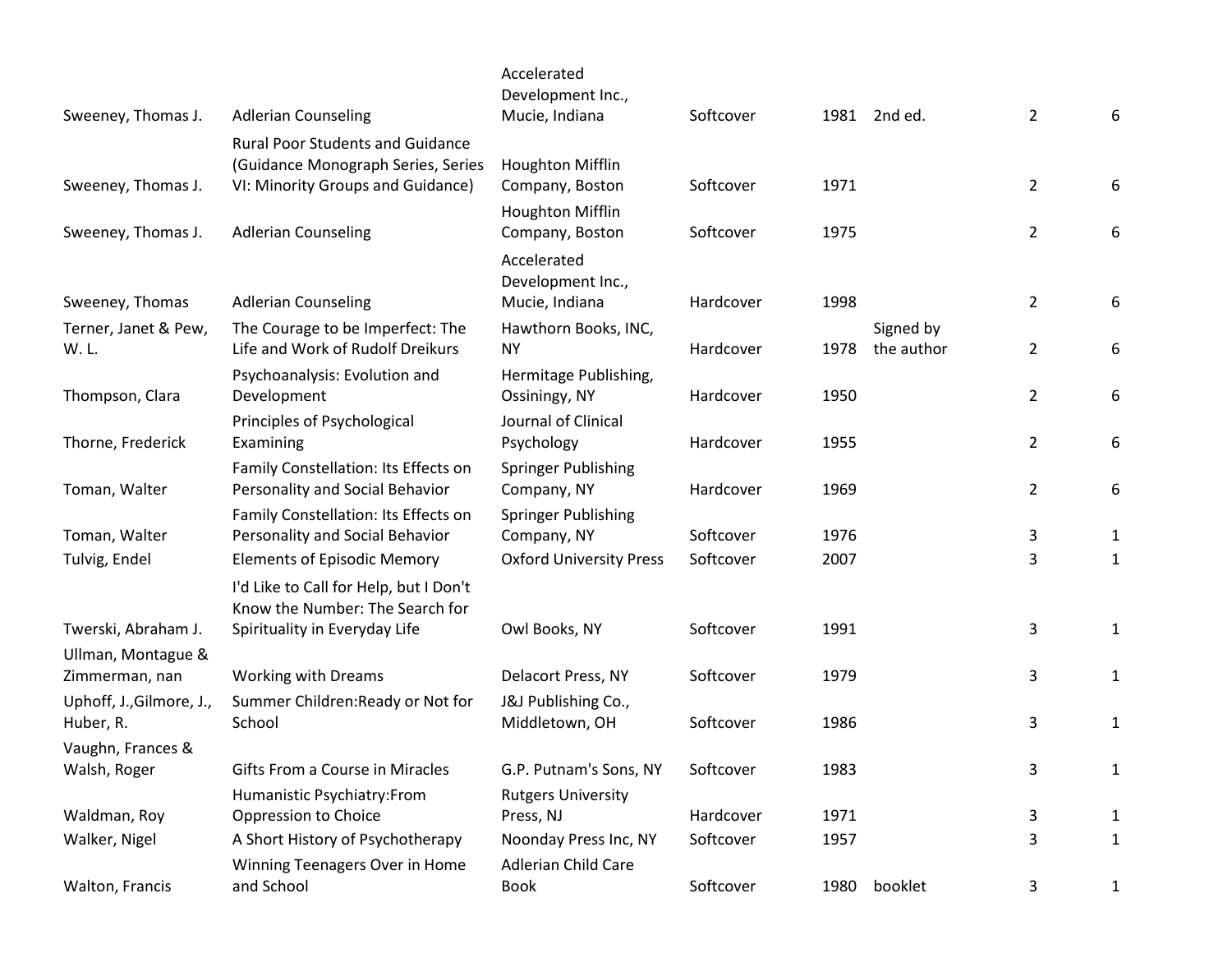|                                       |                                                                               | Accelerated<br>Development Inc.,          |           |      |                         |                |              |
|---------------------------------------|-------------------------------------------------------------------------------|-------------------------------------------|-----------|------|-------------------------|----------------|--------------|
| Sweeney, Thomas J.                    | <b>Adlerian Counseling</b>                                                    | Mucie, Indiana                            | Softcover |      | 1981 2nd ed.            | $\overline{2}$ | 6            |
|                                       | <b>Rural Poor Students and Guidance</b><br>(Guidance Monograph Series, Series | Houghton Mifflin                          | Softcover | 1971 |                         |                |              |
| Sweeney, Thomas J.                    | VI: Minority Groups and Guidance)                                             | Company, Boston<br>Houghton Mifflin       |           |      |                         | $\overline{2}$ | 6            |
| Sweeney, Thomas J.                    | <b>Adlerian Counseling</b>                                                    | Company, Boston                           | Softcover | 1975 |                         | $\overline{2}$ | 6            |
|                                       |                                                                               | Accelerated<br>Development Inc.,          |           |      |                         |                |              |
| Sweeney, Thomas                       | <b>Adlerian Counseling</b>                                                    | Mucie, Indiana                            | Hardcover | 1998 |                         | 2              | 6            |
| Terner, Janet & Pew,<br>W.L.          | The Courage to be Imperfect: The<br>Life and Work of Rudolf Dreikurs          | Hawthorn Books, INC,<br><b>NY</b>         | Hardcover | 1978 | Signed by<br>the author | 2              | 6            |
| Thompson, Clara                       | Psychoanalysis: Evolution and<br>Development                                  | Hermitage Publishing,<br>Ossiningy, NY    | Hardcover | 1950 |                         | 2              | 6            |
| Thorne, Frederick                     | Principles of Psychological<br>Examining                                      | Journal of Clinical<br>Psychology         | Hardcover | 1955 |                         | 2              | 6            |
| Toman, Walter                         | Family Constellation: Its Effects on<br>Personality and Social Behavior       | <b>Springer Publishing</b><br>Company, NY | Hardcover | 1969 |                         | $\overline{2}$ | 6            |
| Toman, Walter                         | Family Constellation: Its Effects on<br>Personality and Social Behavior       | Springer Publishing<br>Company, NY        | Softcover | 1976 |                         | 3              | $\mathbf{1}$ |
| Tulvig, Endel                         | <b>Elements of Episodic Memory</b>                                            | <b>Oxford University Press</b>            | Softcover | 2007 |                         | 3              | $\mathbf{1}$ |
|                                       | I'd Like to Call for Help, but I Don't<br>Know the Number: The Search for     |                                           |           |      |                         |                |              |
| Twerski, Abraham J.                   | Spirituality in Everyday Life                                                 | Owl Books, NY                             | Softcover | 1991 |                         | 3              | 1            |
| Ullman, Montague &<br>Zimmerman, nan  | <b>Working with Dreams</b>                                                    | Delacort Press, NY                        | Softcover | 1979 |                         | 3              | $\mathbf{1}$ |
| Uphoff, J., Gilmore, J.,<br>Huber, R. | Summer Children: Ready or Not for<br>School                                   | J&J Publishing Co.,<br>Middletown, OH     | Softcover | 1986 |                         | 3              | $\mathbf{1}$ |
| Vaughn, Frances &                     |                                                                               |                                           |           |      |                         |                |              |
| Walsh, Roger                          | Gifts From a Course in Miracles                                               | G.P. Putnam's Sons, NY                    | Softcover | 1983 |                         | 3              | $\mathbf{1}$ |
|                                       | Humanistic Psychiatry:From                                                    | <b>Rutgers University</b>                 |           |      |                         |                |              |
| Waldman, Roy                          | Oppression to Choice                                                          | Press, NJ                                 | Hardcover | 1971 |                         | 3              | 1            |
| Walker, Nigel                         | A Short History of Psychotherapy                                              | Noonday Press Inc, NY                     | Softcover | 1957 |                         | 3              | $\mathbf{1}$ |
| Walton, Francis                       | Winning Teenagers Over in Home<br>and School                                  | Adlerian Child Care<br><b>Book</b>        | Softcover | 1980 | booklet                 | 3              | $\mathbf{1}$ |
|                                       |                                                                               |                                           |           |      |                         |                |              |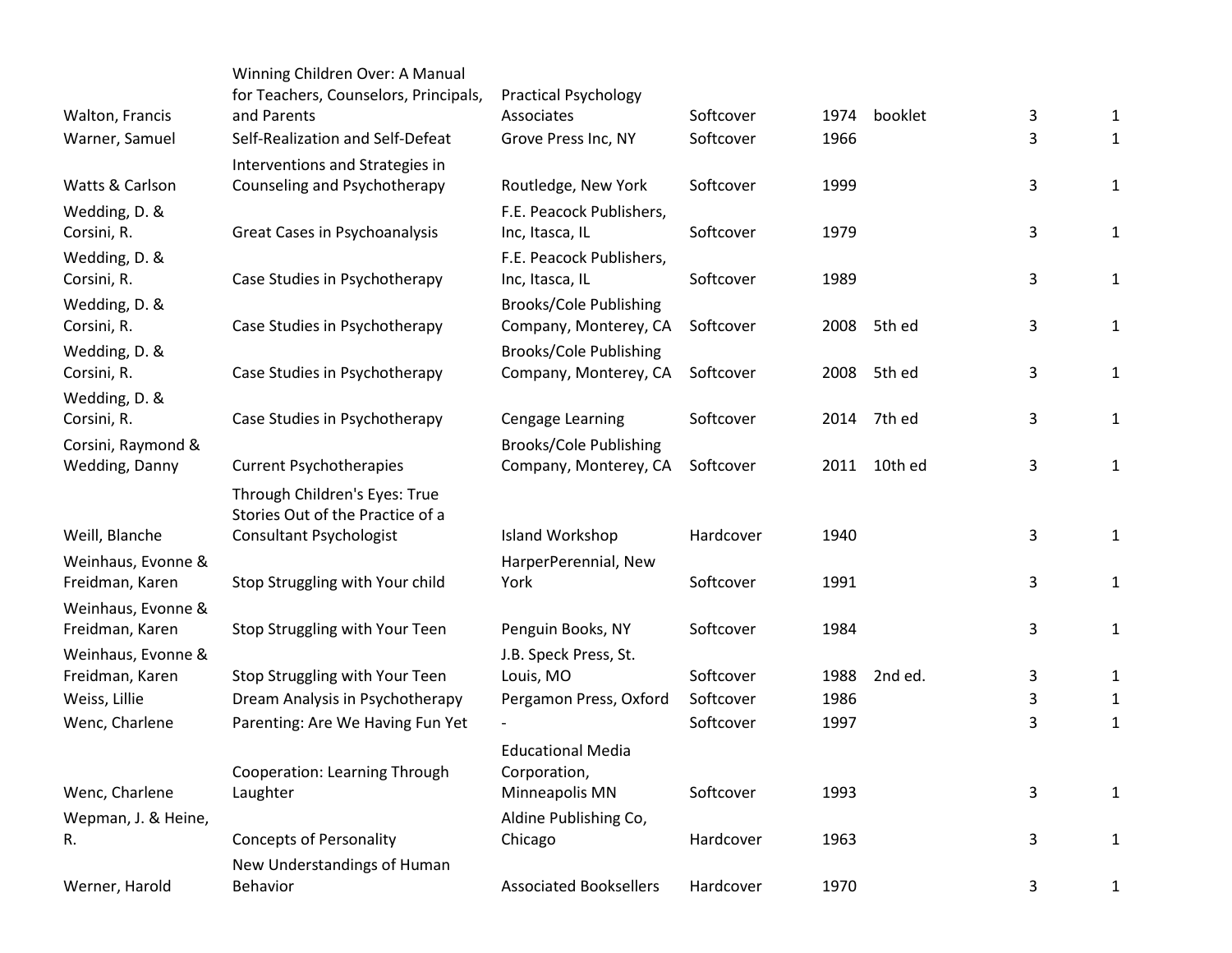|                           | Winning Children Over: A Manual           |                                |           |      |             |              |              |
|---------------------------|-------------------------------------------|--------------------------------|-----------|------|-------------|--------------|--------------|
|                           | for Teachers, Counselors, Principals,     | <b>Practical Psychology</b>    |           |      |             |              |              |
| Walton, Francis           | and Parents                               | Associates                     | Softcover | 1974 | booklet     | 3            | 1            |
| Warner, Samuel            | Self-Realization and Self-Defeat          | Grove Press Inc, NY            | Softcover | 1966 |             | 3            | $\mathbf{1}$ |
|                           | Interventions and Strategies in           |                                |           |      |             |              |              |
| Watts & Carlson           | Counseling and Psychotherapy              | Routledge, New York            | Softcover | 1999 |             | $\mathsf 3$  | $\mathbf{1}$ |
| Wedding, D. &             |                                           | F.E. Peacock Publishers,       |           |      |             |              |              |
| Corsini, R.               | Great Cases in Psychoanalysis             | Inc, Itasca, IL                | Softcover | 1979 |             | $\mathsf 3$  | $\mathbf{1}$ |
| Wedding, D. &             |                                           | F.E. Peacock Publishers,       |           |      |             |              |              |
| Corsini, R.               | Case Studies in Psychotherapy             | Inc, Itasca, IL                | Softcover | 1989 |             | $\mathbf{3}$ | $\mathbf{1}$ |
| Wedding, D. &             |                                           | <b>Brooks/Cole Publishing</b>  |           |      |             |              |              |
| Corsini, R.               | Case Studies in Psychotherapy             | Company, Monterey, CA          | Softcover | 2008 | 5th ed      | $\mathsf 3$  | $\mathbf{1}$ |
| Wedding, D. &             |                                           | <b>Brooks/Cole Publishing</b>  |           |      |             |              |              |
| Corsini, R.               | Case Studies in Psychotherapy             | Company, Monterey, CA          | Softcover | 2008 | 5th ed      | $\mathbf{3}$ | $\mathbf{1}$ |
| Wedding, D. &             |                                           |                                |           |      |             |              |              |
| Corsini, R.               | Case Studies in Psychotherapy             | Cengage Learning               | Softcover |      | 2014 7th ed | $\mathsf 3$  | $\mathbf{1}$ |
| Corsini, Raymond &        |                                           | <b>Brooks/Cole Publishing</b>  |           |      |             |              |              |
| Wedding, Danny            | <b>Current Psychotherapies</b>            | Company, Monterey, CA          | Softcover | 2011 | 10th ed     | $\mathbf{3}$ | $\mathbf{1}$ |
|                           | Through Children's Eyes: True             |                                |           |      |             |              |              |
|                           | Stories Out of the Practice of a          |                                |           |      |             |              |              |
| Weill, Blanche            | Consultant Psychologist                   | Island Workshop                | Hardcover | 1940 |             | 3            | $\mathbf{1}$ |
| Weinhaus, Evonne &        |                                           | HarperPerennial, New           |           |      |             |              |              |
| Freidman, Karen           | Stop Struggling with Your child           | York                           | Softcover | 1991 |             | 3            | $\mathbf{1}$ |
| Weinhaus, Evonne &        |                                           |                                |           |      |             |              |              |
| Freidman, Karen           | Stop Struggling with Your Teen            | Penguin Books, NY              | Softcover | 1984 |             | 3            | $\mathbf{1}$ |
| Weinhaus, Evonne &        |                                           | J.B. Speck Press, St.          |           |      |             |              |              |
| Freidman, Karen           | Stop Struggling with Your Teen            | Louis, MO                      | Softcover | 1988 | 2nd ed.     | 3            | 1            |
| Weiss, Lillie             | Dream Analysis in Psychotherapy           | Pergamon Press, Oxford         | Softcover | 1986 |             | $\mathsf 3$  | 1            |
| Wenc, Charlene            | Parenting: Are We Having Fun Yet          |                                | Softcover | 1997 |             | $\mathsf 3$  | $\mathbf{1}$ |
|                           |                                           |                                |           |      |             |              |              |
|                           |                                           | <b>Educational Media</b>       |           |      |             |              |              |
| Wenc, Charlene            | Cooperation: Learning Through<br>Laughter | Corporation,<br>Minneapolis MN | Softcover | 1993 |             | 3            | $\mathbf{1}$ |
|                           |                                           |                                |           |      |             |              |              |
| Wepman, J. & Heine,<br>R. | <b>Concepts of Personality</b>            | Aldine Publishing Co,          | Hardcover | 1963 |             | $\mathsf 3$  |              |
|                           |                                           | Chicago                        |           |      |             |              | $\mathbf{1}$ |
|                           | New Understandings of Human               |                                |           |      |             |              |              |
| Werner, Harold            | Behavior                                  | <b>Associated Booksellers</b>  | Hardcover | 1970 |             | 3            | $\mathbf{1}$ |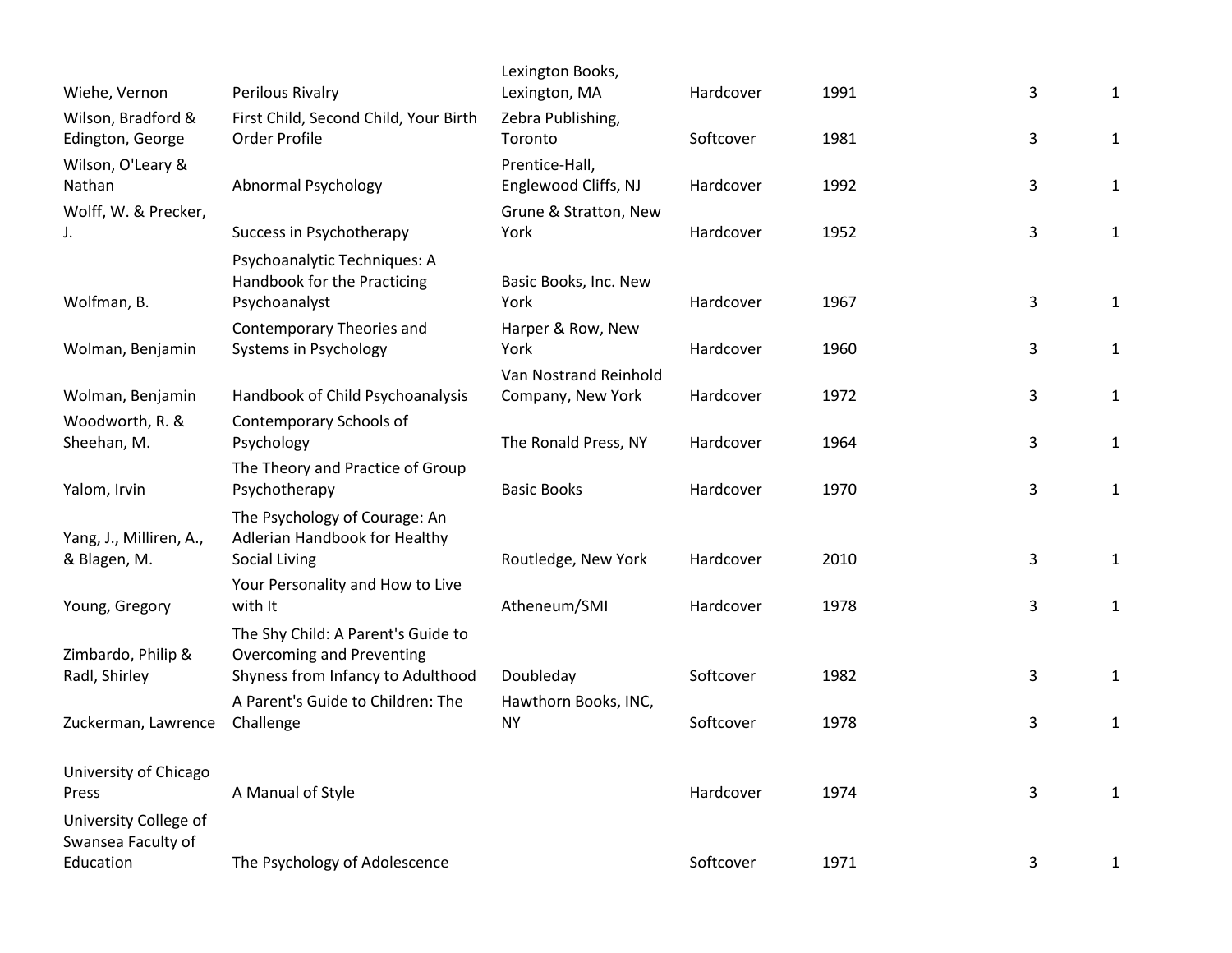| Wiehe, Vernon           | Perilous Rivalry                                            | Lexington Books,<br>Lexington, MA | Hardcover | 1991 | $\mathsf 3$  | $\mathbf{1}$ |
|-------------------------|-------------------------------------------------------------|-----------------------------------|-----------|------|--------------|--------------|
| Wilson, Bradford &      | First Child, Second Child, Your Birth                       | Zebra Publishing,                 |           |      |              |              |
| Edington, George        | Order Profile                                               | Toronto                           | Softcover | 1981 | 3            | $\mathbf{1}$ |
| Wilson, O'Leary &       |                                                             | Prentice-Hall,                    |           |      |              |              |
| Nathan                  | Abnormal Psychology                                         | Englewood Cliffs, NJ              | Hardcover | 1992 | 3            | $\mathbf{1}$ |
| Wolff, W. & Precker,    |                                                             | Grune & Stratton, New             |           |      |              |              |
| J.                      | Success in Psychotherapy                                    | York                              | Hardcover | 1952 | $\mathbf{3}$ | $\mathbf{1}$ |
|                         | Psychoanalytic Techniques: A<br>Handbook for the Practicing | Basic Books, Inc. New             |           |      |              |              |
| Wolfman, B.             | Psychoanalyst                                               | York                              | Hardcover | 1967 | $\mathsf 3$  | $\mathbf{1}$ |
|                         | Contemporary Theories and                                   | Harper & Row, New                 |           |      |              |              |
| Wolman, Benjamin        | Systems in Psychology                                       | York                              | Hardcover | 1960 | 3            | $\mathbf{1}$ |
|                         |                                                             | Van Nostrand Reinhold             |           |      |              |              |
| Wolman, Benjamin        | Handbook of Child Psychoanalysis                            | Company, New York                 | Hardcover | 1972 | 3            | 1            |
| Woodworth, R. &         | Contemporary Schools of                                     | The Ronald Press, NY              | Hardcover | 1964 | $\mathbf{3}$ |              |
| Sheehan, M.             | Psychology<br>The Theory and Practice of Group              |                                   |           |      |              | $\mathbf{1}$ |
| Yalom, Irvin            | Psychotherapy                                               | <b>Basic Books</b>                | Hardcover | 1970 | 3            | $\mathbf{1}$ |
|                         | The Psychology of Courage: An                               |                                   |           |      |              |              |
| Yang, J., Milliren, A., | Adlerian Handbook for Healthy                               |                                   |           |      |              |              |
| & Blagen, M.            | <b>Social Living</b>                                        | Routledge, New York               | Hardcover | 2010 | 3            | $\mathbf{1}$ |
| Young, Gregory          | Your Personality and How to Live<br>with It                 | Atheneum/SMI                      | Hardcover | 1978 | 3            | $\mathbf{1}$ |
|                         | The Shy Child: A Parent's Guide to                          |                                   |           |      |              |              |
| Zimbardo, Philip &      | <b>Overcoming and Preventing</b>                            |                                   |           |      |              |              |
| Radl, Shirley           | Shyness from Infancy to Adulthood                           | Doubleday                         | Softcover | 1982 | 3            | $\mathbf{1}$ |
|                         | A Parent's Guide to Children: The                           | Hawthorn Books, INC,              |           |      |              |              |
| Zuckerman, Lawrence     | Challenge                                                   | <b>NY</b>                         | Softcover | 1978 | 3            | $\mathbf{1}$ |
| University of Chicago   |                                                             |                                   |           |      |              |              |
| Press                   | A Manual of Style                                           |                                   | Hardcover | 1974 | 3            | $\mathbf{1}$ |
| University College of   |                                                             |                                   |           |      |              |              |
| Swansea Faculty of      |                                                             |                                   |           |      |              |              |
| Education               | The Psychology of Adolescence                               |                                   | Softcover | 1971 | 3            | 1            |